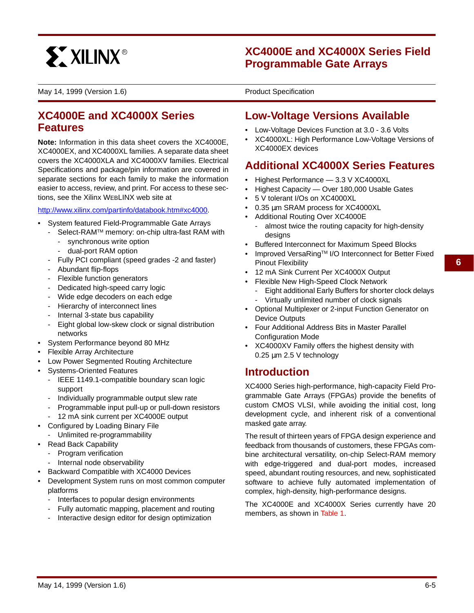

## **XC4000E and XC4000X Series Field Programmable Gate Arrays**

May 14, 1999 (Version 1.6) **0 0\*** Product Specification

**0**

## **XC4000E and XC4000X Series Features**

**Note:** Information in this data sheet covers the XC4000E, XC4000EX, and XC4000XL families. A separate data sheet covers the XC4000XLA and XC4000XV families. Electrical Specifications and package/pin information are covered in separate sections for each family to make the information easier to access, review, and print. For access to these sections, see the Xilinx WEBLINX web site at

http://www.xilinx.com/partinfo/databook.htm#xc4000.

- System featured Field-Programmable Gate Arrays
	- Select-RAMTM memory: on-chip ultra-fast RAM with
		- synchronous write option
		- dual-port RAM option
	- Fully PCI compliant (speed grades -2 and faster)
	- Abundant flip-flops
	- Flexible function generators
	- Dedicated high-speed carry logic
	- Wide edge decoders on each edge
	- Hierarchy of interconnect lines
	- Internal 3-state bus capability
	- Eight global low-skew clock or signal distribution networks
- System Performance beyond 80 MHz
- Flexible Array Architecture
- Low Power Segmented Routing Architecture
- Systems-Oriented Features
	- IEEE 1149.1-compatible boundary scan logic support
	- Individually programmable output slew rate
	- Programmable input pull-up or pull-down resistors
	- 12 mA sink current per XC4000E output
- Configured by Loading Binary File
- Unlimited re-programmability
- Read Back Capability
	- Program verification
	- Internal node observability
- Backward Compatible with XC4000 Devices
- Development System runs on most common computer platforms
	- Interfaces to popular design environments
	- Fully automatic mapping, placement and routing
	- Interactive design editor for design optimization

## **Low-Voltage Versions Available**

- Low-Voltage Devices Function at 3.0 3.6 Volts
- XC4000XL: High Performance Low-Voltage Versions of XC4000EX devices

# **Additional XC4000X Series Features**

- Highest Performance 3.3 V XC4000XL
- Highest Capacity Over 180,000 Usable Gates
- 5 V tolerant I/Os on XC4000XL
- 0.35 µm SRAM process for XC4000XL
- Additional Routing Over XC4000E
	- almost twice the routing capacity for high-density designs
- Buffered Interconnect for Maximum Speed Blocks
- Improved VersaRing™ I/O Interconnect for Better Fixed Pinout Flexibility
- 12 mA Sink Current Per XC4000X Output
- Flexible New High-Speed Clock Network
	- Eight additional Early Buffers for shorter clock delays - Virtually unlimited number of clock signals
- Optional Multiplexer or 2-input Function Generator on Device Outputs
- Four Additional Address Bits in Master Parallel Configuration Mode
- XC4000XV Family offers the highest density with 0.25 µm 2.5 V technology

## **Introduction**

XC4000 Series high-performance, high-capacity Field Programmable Gate Arrays (FPGAs) provide the benefits of custom CMOS VLSI, while avoiding the initial cost, long development cycle, and inherent risk of a conventional masked gate array.

The result of thirteen years of FPGA design experience and feedback from thousands of customers, these FPGAs combine architectural versatility, on-chip Select-RAM memory with edge-triggered and dual-port modes, increased speed, abundant routing resources, and new, sophisticated software to achieve fully automated implementation of complex, high-density, high-performance designs.

The XC4000E and XC4000X Series currently have 20 members, as shown in Table 1.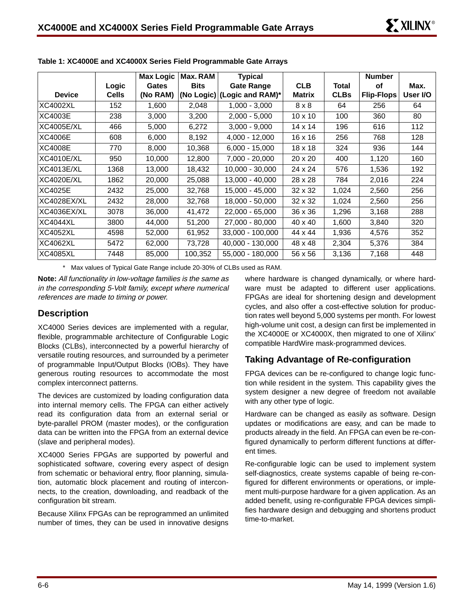|                   |              | <b>Max Logic</b> | Max. RAM    | <b>Typical</b>              |                |             | <b>Number</b>     |          |
|-------------------|--------------|------------------|-------------|-----------------------------|----------------|-------------|-------------------|----------|
|                   | Logic        | Gates            | <b>Bits</b> | <b>Gate Range</b>           | <b>CLB</b>     | Total       | οf                | Max.     |
| <b>Device</b>     | <b>Cells</b> | (No RAM)         |             | (No Logic) (Logic and RAM)* | <b>Matrix</b>  | <b>CLBs</b> | <b>Flip-Flops</b> | User I/O |
| <b>XC4002XL</b>   | 152          | 1,600            | 2,048       | 1,000 - 3,000               | $8 \times 8$   | 64          | 256               | 64       |
| XC4003E           | 238          | 3,000            | 3,200       | $2,000 - 5,000$             | $10 \times 10$ | 100         | 360               | 80       |
| XC4005E/XL        | 466          | 5,000            | 6,272       | $3.000 - 9.000$             | 14 x 14        | 196         | 616               | 112      |
| <b>XC4006E</b>    | 608          | 6,000            | 8,192       | $4,000 - 12,000$            | 16 x 16        | 256         | 768               | 128      |
| <b>XC4008E</b>    | 770          | 8,000            | 10,368      | $6,000 - 15,000$            | 18 x 18        | 324         | 936               | 144      |
| <b>XC4010E/XL</b> | 950          | 10,000           | 12,800      | 7,000 - 20,000              | $20 \times 20$ | 400         | 1,120             | 160      |
| XC4013E/XL        | 1368         | 13,000           | 18,432      | 10,000 - 30,000             | 24 x 24        | 576         | 1,536             | 192      |
| <b>XC4020E/XL</b> | 1862         | 20,000           | 25,088      | 13,000 - 40,000             | 28 x 28        | 784         | 2,016             | 224      |
| XC4025E           | 2432         | 25,000           | 32,768      | 15,000 - 45,000             | $32 \times 32$ | 1,024       | 2,560             | 256      |
| XC4028EX/XL       | 2432         | 28,000           | 32,768      | 18,000 - 50,000             | $32 \times 32$ | 1,024       | 2,560             | 256      |
| XC4036EX/XL       | 3078         | 36,000           | 41,472      | 22,000 - 65,000             | 36 x 36        | 1,296       | 3,168             | 288      |
| <b>XC4044XL</b>   | 3800         | 44,000           | 51,200      | 27,000 - 80,000             | 40 x 40        | 1,600       | 3,840             | 320      |
| XC4052XL          | 4598         | 52,000           | 61,952      | 33,000 - 100,000            | 44 x 44        | 1,936       | 4,576             | 352      |
| XC4062XL          | 5472         | 62,000           | 73,728      | 40,000 - 130,000            | 48 x 48        | 2,304       | 5,376             | 384      |
| XC4085XL          | 7448         | 85,000           | 100,352     | 55,000 - 180,000            | 56 x 56        | 3,136       | 7,168             | 448      |

**Table 1: XC4000E and XC4000X Series Field Programmable Gate Arrays**

\* Max values of Typical Gate Range include 20-30% of CLBs used as RAM.

**Note:** All functionality in low-voltage families is the same as in the corresponding 5-Volt family, except where numerical references are made to timing or power.

## **Description**

XC4000 Series devices are implemented with a regular, flexible, programmable architecture of Configurable Logic Blocks (CLBs), interconnected by a powerful hierarchy of versatile routing resources, and surrounded by a perimeter of programmable Input/Output Blocks (IOBs). They have generous routing resources to accommodate the most complex interconnect patterns.

The devices are customized by loading configuration data into internal memory cells. The FPGA can either actively read its configuration data from an external serial or byte-parallel PROM (master modes), or the configuration data can be written into the FPGA from an external device (slave and peripheral modes).

XC4000 Series FPGAs are supported by powerful and sophisticated software, covering every aspect of design from schematic or behavioral entry, floor planning, simulation, automatic block placement and routing of interconnects, to the creation, downloading, and readback of the configuration bit stream.

Because Xilinx FPGAs can be reprogrammed an unlimited number of times, they can be used in innovative designs where hardware is changed dynamically, or where hardware must be adapted to different user applications. FPGAs are ideal for shortening design and development cycles, and also offer a cost-effective solution for production rates well beyond 5,000 systems per month. For lowest high-volume unit cost, a design can first be implemented in the XC4000E or XC4000X, then migrated to one of Xilinx' compatible HardWire mask-programmed devices.

## **Taking Advantage of Re-configuration**

FPGA devices can be re-configured to change logic function while resident in the system. This capability gives the system designer a new degree of freedom not available with any other type of logic.

Hardware can be changed as easily as software. Design updates or modifications are easy, and can be made to products already in the field. An FPGA can even be re-configured dynamically to perform different functions at different times.

Re-configurable logic can be used to implement system self-diagnostics, create systems capable of being re-configured for different environments or operations, or implement multi-purpose hardware for a given application. As an added benefit, using re-configurable FPGA devices simplifies hardware design and debugging and shortens product time-to-market.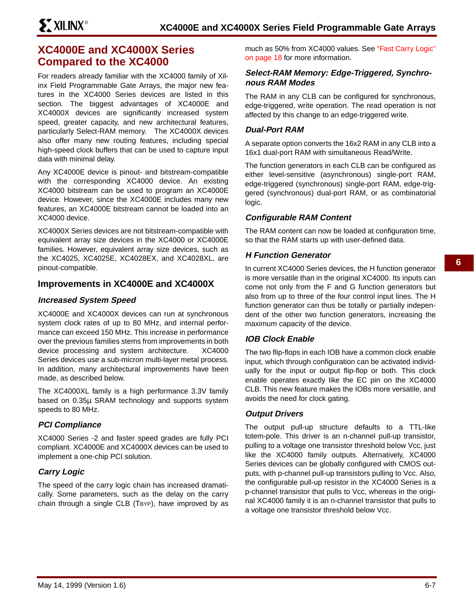## **XC4000E and XC4000X Series Compared to the XC4000**

For readers already familiar with the XC4000 family of Xilinx Field Programmable Gate Arrays, the major new features in the XC4000 Series devices are listed in this section. The biggest advantages of XC4000E and XC4000X devices are significantly increased system speed, greater capacity, and new architectural features, particularly Select-RAM memory. The XC4000X devices also offer many new routing features, including special high-speed clock buffers that can be used to capture input data with minimal delay.

Any XC4000E device is pinout- and bitstream-compatible with the corresponding XC4000 device. An existing XC4000 bitstream can be used to program an XC4000E device. However, since the XC4000E includes many new features, an XC4000E bitstream cannot be loaded into an XC4000 device.

XC4000X Series devices are not bitstream-compatible with equivalent array size devices in the XC4000 or XC4000E families. However, equivalent array size devices, such as the XC4025, XC4025E, XC4028EX, and XC4028XL, are pinout-compatible.

## **Improvements in XC4000E and XC4000X**

## **Increased System Speed**

XC4000E and XC4000X devices can run at synchronous system clock rates of up to 80 MHz, and internal performance can exceed 150 MHz. This increase in performance over the previous families stems from improvements in both device processing and system architecture. XC4000 Series devices use a sub-micron multi-layer metal process. In addition, many architectural improvements have been made, as described below.

The XC4000XL family is a high performance 3.3V family based on 0.35µ SRAM technology and supports system speeds to 80 MHz.

## **PCI Compliance**

XC4000 Series -2 and faster speed grades are fully PCI compliant. XC4000E and XC4000X devices can be used to implement a one-chip PCI solution.

## **Carry Logic**

The speed of the carry logic chain has increased dramatically. Some parameters, such as the delay on the carry chain through a single CLB (TBYP), have improved by as

much as 50% from XC4000 values. See "Fast Carry Logic" on page 18 for more information.

## **Select-RAM Memory: Edge-Triggered, Synchronous RAM Modes**

The RAM in any CLB can be configured for synchronous, edge-triggered, write operation. The read operation is not affected by this change to an edge-triggered write.

## **Dual-Port RAM**

A separate option converts the 16x2 RAM in any CLB into a 16x1 dual-port RAM with simultaneous Read/Write.

The function generators in each CLB can be configured as either level-sensitive (asynchronous) single-port RAM, edge-triggered (synchronous) single-port RAM, edge-triggered (synchronous) dual-port RAM, or as combinatorial logic.

## **Configurable RAM Content**

The RAM content can now be loaded at configuration time, so that the RAM starts up with user-defined data.

### **H Function Generator**

In current XC4000 Series devices, the H function generator is more versatile than in the original XC4000. Its inputs can come not only from the F and G function generators but also from up to three of the four control input lines. The H function generator can thus be totally or partially independent of the other two function generators, increasing the maximum capacity of the device.

## **IOB Clock Enable**

The two flip-flops in each IOB have a common clock enable input, which through configuration can be activated individually for the input or output flip-flop or both. This clock enable operates exactly like the EC pin on the XC4000 CLB. This new feature makes the IOBs more versatile, and avoids the need for clock gating.

## **Output Drivers**

The output pull-up structure defaults to a TTL-like totem-pole. This driver is an n-channel pull-up transistor, pulling to a voltage one transistor threshold below Vcc, just like the XC4000 family outputs. Alternatively, XC4000 Series devices can be globally configured with CMOS outputs, with p-channel pull-up transistors pulling to Vcc. Also, the configurable pull-up resistor in the XC4000 Series is a p-channel transistor that pulls to Vcc, whereas in the original XC4000 family it is an n-channel transistor that pulls to a voltage one transistor threshold below Vcc.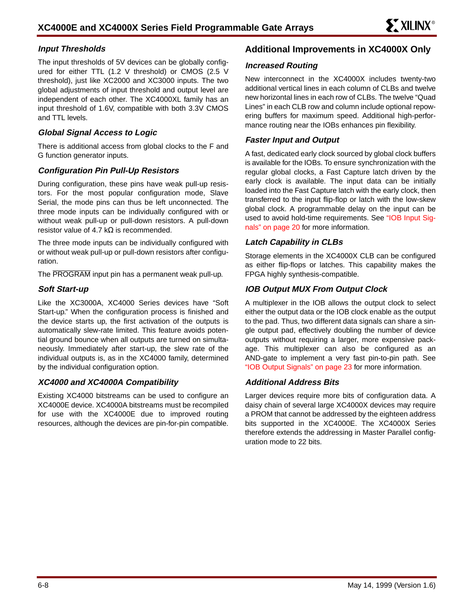## **Input Thresholds**

The input thresholds of 5V devices can be globally configured for either TTL (1.2 V threshold) or CMOS (2.5 V threshold), just like XC2000 and XC3000 inputs. The two global adjustments of input threshold and output level are independent of each other. The XC4000XL family has an input threshold of 1.6V, compatible with both 3.3V CMOS and TTL levels.

## **Global Signal Access to Logic**

There is additional access from global clocks to the F and G function generator inputs.

## **Configuration Pin Pull-Up Resistors**

During configuration, these pins have weak pull-up resistors. For the most popular configuration mode, Slave Serial, the mode pins can thus be left unconnected. The three mode inputs can be individually configured with or without weak pull-up or pull-down resistors. A pull-down resistor value of 4.7 k $\Omega$  is recommended.

The three mode inputs can be individually configured with or without weak pull-up or pull-down resistors after configuration.

The PROGRAM input pin has a permanent weak pull-up.

## **Soft Start-up**

Like the XC3000A, XC4000 Series devices have "Soft Start-up." When the configuration process is finished and the device starts up, the first activation of the outputs is automatically slew-rate limited. This feature avoids potential ground bounce when all outputs are turned on simultaneously. Immediately after start-up, the slew rate of the individual outputs is, as in the XC4000 family, determined by the individual configuration option.

## **XC4000 and XC4000A Compatibility**

Existing XC4000 bitstreams can be used to configure an XC4000E device. XC4000A bitstreams must be recompiled for use with the XC4000E due to improved routing resources, although the devices are pin-for-pin compatible.

## **Additional Improvements in XC4000X Only**

### **Increased Routing**

New interconnect in the XC4000X includes twenty-two additional vertical lines in each column of CLBs and twelve new horizontal lines in each row of CLBs. The twelve "Quad Lines" in each CLB row and column include optional repowering buffers for maximum speed. Additional high-performance routing near the IOBs enhances pin flexibility.

## **Faster Input and Output**

A fast, dedicated early clock sourced by global clock buffers is available for the IOBs. To ensure synchronization with the regular global clocks, a Fast Capture latch driven by the early clock is available. The input data can be initially loaded into the Fast Capture latch with the early clock, then transferred to the input flip-flop or latch with the low-skew global clock. A programmable delay on the input can be used to avoid hold-time requirements. See "IOB Input Signals" on page 20 for more information.

### **Latch Capability in CLBs**

Storage elements in the XC4000X CLB can be configured as either flip-flops or latches. This capability makes the FPGA highly synthesis-compatible.

## **IOB Output MUX From Output Clock**

A multiplexer in the IOB allows the output clock to select either the output data or the IOB clock enable as the output to the pad. Thus, two different data signals can share a single output pad, effectively doubling the number of device outputs without requiring a larger, more expensive package. This multiplexer can also be configured as an AND-gate to implement a very fast pin-to-pin path. See "IOB Output Signals" on page 23 for more information.

### **Additional Address Bits**

Larger devices require more bits of configuration data. A daisy chain of several large XC4000X devices may require a PROM that cannot be addressed by the eighteen address bits supported in the XC4000E. The XC4000X Series therefore extends the addressing in Master Parallel configuration mode to 22 bits.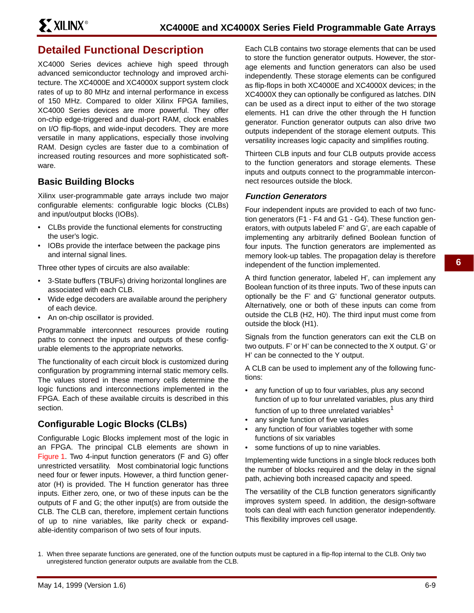## **Detailed Functional Description**

XC4000 Series devices achieve high speed through advanced semiconductor technology and improved architecture. The XC4000E and XC4000X support system clock rates of up to 80 MHz and internal performance in excess of 150 MHz. Compared to older Xilinx FPGA families, XC4000 Series devices are more powerful. They offer on-chip edge-triggered and dual-port RAM, clock enables on I/O flip-flops, and wide-input decoders. They are more versatile in many applications, especially those involving RAM. Design cycles are faster due to a combination of increased routing resources and more sophisticated software.

## **Basic Building Blocks**

Xilinx user-programmable gate arrays include two major configurable elements: configurable logic blocks (CLBs) and input/output blocks (IOBs).

- CLBs provide the functional elements for constructing the user's logic.
- IOBs provide the interface between the package pins and internal signal lines.

Three other types of circuits are also available:

- 3-State buffers (TBUFs) driving horizontal longlines are associated with each CLB.
- Wide edge decoders are available around the periphery of each device.
- An on-chip oscillator is provided.

Programmable interconnect resources provide routing paths to connect the inputs and outputs of these configurable elements to the appropriate networks.

The functionality of each circuit block is customized during configuration by programming internal static memory cells. The values stored in these memory cells determine the logic functions and interconnections implemented in the FPGA. Each of these available circuits is described in this section.

## **Configurable Logic Blocks (CLBs)**

Configurable Logic Blocks implement most of the logic in an FPGA. The principal CLB elements are shown in Figure 1. Two 4-input function generators (F and G) offer unrestricted versatility. Most combinatorial logic functions need four or fewer inputs. However, a third function generator (H) is provided. The H function generator has three inputs. Either zero, one, or two of these inputs can be the outputs of F and G; the other input(s) are from outside the CLB. The CLB can, therefore, implement certain functions of up to nine variables, like parity check or expandable-identity comparison of two sets of four inputs.

Each CLB contains two storage elements that can be used to store the function generator outputs. However, the storage elements and function generators can also be used independently. These storage elements can be configured as flip-flops in both XC4000E and XC4000X devices; in the XC4000X they can optionally be configured as latches. DIN can be used as a direct input to either of the two storage elements. H1 can drive the other through the H function generator. Function generator outputs can also drive two outputs independent of the storage element outputs. This versatility increases logic capacity and simplifies routing.

Thirteen CLB inputs and four CLB outputs provide access to the function generators and storage elements. These inputs and outputs connect to the programmable interconnect resources outside the block.

## **Function Generators**

Four independent inputs are provided to each of two function generators (F1 - F4 and G1 - G4). These function generators, with outputs labeled F' and G', are each capable of implementing any arbitrarily defined Boolean function of four inputs. The function generators are implemented as memory look-up tables. The propagation delay is therefore independent of the function implemented.

A third function generator, labeled H', can implement any Boolean function of its three inputs. Two of these inputs can optionally be the F' and G' functional generator outputs. Alternatively, one or both of these inputs can come from outside the CLB (H2, H0). The third input must come from outside the block (H1).

Signals from the function generators can exit the CLB on two outputs. F' or H' can be connected to the X output. G' or H' can be connected to the Y output.

A CLB can be used to implement any of the following functions:

- any function of up to four variables, plus any second function of up to four unrelated variables, plus any third function of up to three unrelated variables<sup>1</sup>
- any single function of five variables
- any function of four variables together with some functions of six variables
- some functions of up to nine variables.

Implementing wide functions in a single block reduces both the number of blocks required and the delay in the signal path, achieving both increased capacity and speed.

The versatility of the CLB function generators significantly improves system speed. In addition, the design-software tools can deal with each function generator independently. This flexibility improves cell usage.

<sup>1.</sup> When three separate functions are generated, one of the function outputs must be captured in a flip-flop internal to the CLB. Only two unregistered function generator outputs are available from the CLB.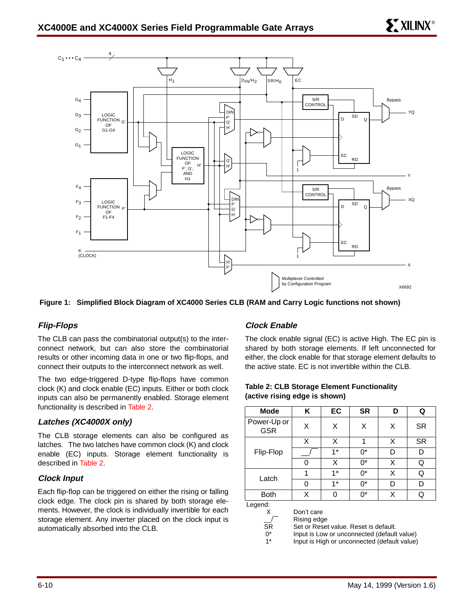

**Figure 1: Simplified Block Diagram of XC4000 Series CLB (RAM and Carry Logic functions not shown)**

## **Flip-Flops**

The CLB can pass the combinatorial output(s) to the interconnect network, but can also store the combinatorial results or other incoming data in one or two flip-flops, and connect their outputs to the interconnect network as well.

The two edge-triggered D-type flip-flops have common clock (K) and clock enable (EC) inputs. Either or both clock inputs can also be permanently enabled. Storage element functionality is described in Table 2.

### **Latches (XC4000X only)**

The CLB storage elements can also be configured as latches. The two latches have common clock (K) and clock enable (EC) inputs. Storage element functionality is described in Table 2.

### **Clock Input**

Each flip-flop can be triggered on either the rising or falling clock edge. The clock pin is shared by both storage elements. However, the clock is individually invertible for each storage element. Any inverter placed on the clock input is automatically absorbed into the CLB.

### **Clock Enable**

The clock enable signal (EC) is active High. The EC pin is shared by both storage elements. If left unconnected for either, the clock enable for that storage element defaults to the active state. EC is not invertible within the CLB.

| <b>Mode</b>               | κ | EC   | <b>SR</b> | D | Q         |
|---------------------------|---|------|-----------|---|-----------|
| Power-Up or<br><b>GSR</b> | X | X    | X         | X | <b>SR</b> |
|                           | X | X    | 1         | x | <b>SR</b> |
| Flip-Flop                 |   | $1*$ | ሰ*        | D | D         |
|                           | 0 | Χ    | $0^*$     | Χ | Q         |
| Latch                     | 1 | $1*$ | ሰ*        | Χ | Q         |
|                           | 0 | $1*$ | ሰ*        | D | D         |
| <b>Both</b>               | Χ |      | ሰ*        | x | Q         |

**Table 2: CLB Storage Element Functionality (active rising edge is shown)**

Legend:

X Don't care

\_\_/ SR Rising edge

Set or Reset value. Reset is default.

 $^{\bullet}$ 1\* Input is Low or unconnected (default value) Input is High or unconnected (default value)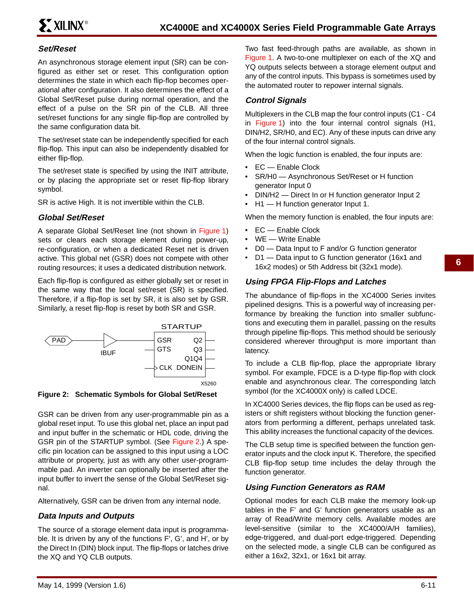## **Set/Reset**

An asynchronous storage element input (SR) can be configured as either set or reset. This configuration option determines the state in which each flip-flop becomes operational after configuration. It also determines the effect of a Global Set/Reset pulse during normal operation, and the effect of a pulse on the SR pin of the CLB. All three set/reset functions for any single flip-flop are controlled by the same configuration data bit.

The set/reset state can be independently specified for each flip-flop. This input can also be independently disabled for either flip-flop.

The set/reset state is specified by using the INIT attribute, or by placing the appropriate set or reset flip-flop library symbol.

SR is active High. It is not invertible within the CLB.

### **Global Set/Reset**

A separate Global Set/Reset line (not shown in Figure 1) sets or clears each storage element during power-up, re-configuration, or when a dedicated Reset net is driven active. This global net (GSR) does not compete with other routing resources; it uses a dedicated distribution network.

Each flip-flop is configured as either globally set or reset in the same way that the local set/reset (SR) is specified. Therefore, if a flip-flop is set by SR, it is also set by GSR. Similarly, a reset flip-flop is reset by both SR and GSR.



**Figure 2: Schematic Symbols for Global Set/Reset**

GSR can be driven from any user-programmable pin as a global reset input. To use this global net, place an input pad and input buffer in the schematic or HDL code, driving the GSR pin of the STARTUP symbol. (See Figure 2.) A specific pin location can be assigned to this input using a LOC attribute or property, just as with any other user-programmable pad. An inverter can optionally be inserted after the input buffer to invert the sense of the Global Set/Reset signal.

Alternatively, GSR can be driven from any internal node.

### **Data Inputs and Outputs**

The source of a storage element data input is programmable. It is driven by any of the functions F', G', and H', or by the Direct In (DIN) block input. The flip-flops or latches drive the XQ and YQ CLB outputs.

Two fast feed-through paths are available, as shown in Figure 1. A two-to-one multiplexer on each of the XQ and YQ outputs selects between a storage element output and any of the control inputs. This bypass is sometimes used by the automated router to repower internal signals.

## **Control Signals**

Multiplexers in the CLB map the four control inputs (C1 - C4 in Figure 1) into the four internal control signals (H1, DIN/H2, SR/H0, and EC). Any of these inputs can drive any of the four internal control signals.

When the logic function is enabled, the four inputs are:

- EC Enable Clock
- SR/H0 Asynchronous Set/Reset or H function generator Input 0
- DIN/H2 Direct In or H function generator Input 2
- H1 H function generator Input 1.

When the memory function is enabled, the four inputs are:

- EC Enable Clock
- WE Write Enable
- D0 Data Input to F and/or G function generator
- D1 Data input to G function generator (16x1 and 16x2 modes) or 5th Address bit (32x1 mode).

### **Using FPGA Flip-Flops and Latches**

The abundance of flip-flops in the XC4000 Series invites pipelined designs. This is a powerful way of increasing performance by breaking the function into smaller subfunctions and executing them in parallel, passing on the results through pipeline flip-flops. This method should be seriously considered wherever throughput is more important than latency.

To include a CLB flip-flop, place the appropriate library symbol. For example, FDCE is a D-type flip-flop with clock enable and asynchronous clear. The corresponding latch symbol (for the XC4000X only) is called LDCE.

In XC4000 Series devices, the flip flops can be used as registers or shift registers without blocking the function generators from performing a different, perhaps unrelated task. This ability increases the functional capacity of the devices.

The CLB setup time is specified between the function generator inputs and the clock input K. Therefore, the specified CLB flip-flop setup time includes the delay through the function generator.

### **Using Function Generators as RAM**

Optional modes for each CLB make the memory look-up tables in the F' and G' function generators usable as an array of Read/Write memory cells. Available modes are level-sensitive (similar to the XC4000/A/H families), edge-triggered, and dual-port edge-triggered. Depending on the selected mode, a single CLB can be configured as either a 16x2, 32x1, or 16x1 bit array.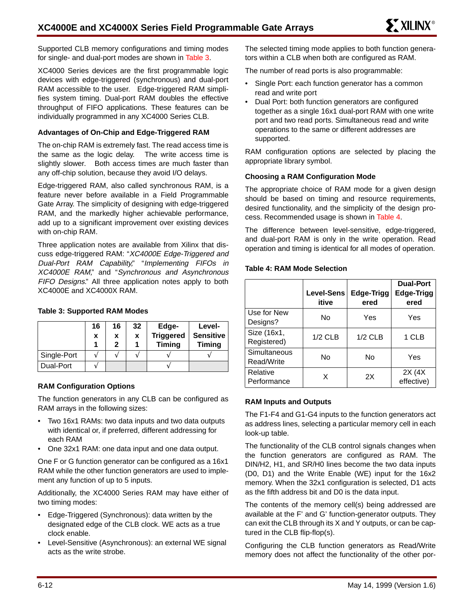Supported CLB memory configurations and timing modes for single- and dual-port modes are shown in Table 3.

XC4000 Series devices are the first programmable logic devices with edge-triggered (synchronous) and dual-port RAM accessible to the user. Edge-triggered RAM simplifies system timing. Dual-port RAM doubles the effective throughput of FIFO applications. These features can be individually programmed in any XC4000 Series CLB.

#### **Advantages of On-Chip and Edge-Triggered RAM**

The on-chip RAM is extremely fast. The read access time is the same as the logic delay. The write access time is slightly slower. Both access times are much faster than any off-chip solution, because they avoid I/O delays.

Edge-triggered RAM, also called synchronous RAM, is a feature never before available in a Field Programmable Gate Array. The simplicity of designing with edge-triggered RAM, and the markedly higher achievable performance, add up to a significant improvement over existing devices with on-chip RAM.

Three application notes are available from Xilinx that discuss edge-triggered RAM: "XC4000E Edge-Triggered and Dual-Port RAM Capability," "Implementing FIFOs in XC4000E RAM," and "Synchronous and Asynchronous FIFO Designs." All three application notes apply to both XC4000E and XC4000X RAM.

### **Table 3: Supported RAM Modes**

|             | 16<br>X | 16<br>X<br>2 | 32<br>X | Edge-<br><b>Triggered</b><br><b>Timing</b> | Level-<br><b>Sensitive</b><br><b>Timing</b> |
|-------------|---------|--------------|---------|--------------------------------------------|---------------------------------------------|
| Single-Port |         |              |         |                                            |                                             |
| Dual-Port   |         |              |         |                                            |                                             |

#### **RAM Configuration Options**

The function generators in any CLB can be configured as RAM arrays in the following sizes:

- Two 16x1 RAMs: two data inputs and two data outputs with identical or, if preferred, different addressing for each RAM
- One 32x1 RAM: one data input and one data output.

One F or G function generator can be configured as a 16x1 RAM while the other function generators are used to implement any function of up to 5 inputs.

Additionally, the XC4000 Series RAM may have either of two timing modes:

- Edge-Triggered (Synchronous): data written by the designated edge of the CLB clock. WE acts as a true clock enable.
- Level-Sensitive (Asynchronous): an external WE signal acts as the write strobe.

The selected timing mode applies to both function generators within a CLB when both are configured as RAM.

The number of read ports is also programmable:

- Single Port: each function generator has a common read and write port
- Dual Port: both function generators are configured together as a single 16x1 dual-port RAM with one write port and two read ports. Simultaneous read and write operations to the same or different addresses are supported.

RAM configuration options are selected by placing the appropriate library symbol.

#### **Choosing a RAM Configuration Mode**

The appropriate choice of RAM mode for a given design should be based on timing and resource requirements, desired functionality, and the simplicity of the design process. Recommended usage is shown in Table 4.

The difference between level-sensitive, edge-triggered, and dual-port RAM is only in the write operation. Read operation and timing is identical for all modes of operation.

#### **Table 4: RAM Mode Selection**

|                            | <b>Level-Sens</b><br>itive | Edge-Trigg<br>ered | <b>Dual-Port</b><br>Edge-Trigg<br>ered |
|----------------------------|----------------------------|--------------------|----------------------------------------|
| Use for New<br>Designs?    | No                         | Yes                | Yes                                    |
| Size (16x1,<br>Registered) | $1/2$ CLB                  | $1/2$ CLB          | 1 CLB                                  |
| Simultaneous<br>Read/Write | <b>No</b>                  | No                 | Yes                                    |
| Relative<br>Performance    | x                          | 2X                 | 2X (4X<br>effective)                   |

#### **RAM Inputs and Outputs**

The F1-F4 and G1-G4 inputs to the function generators act as address lines, selecting a particular memory cell in each look-up table.

The functionality of the CLB control signals changes when the function generators are configured as RAM. The DIN/H2, H1, and SR/H0 lines become the two data inputs (D0, D1) and the Write Enable (WE) input for the 16x2 memory. When the 32x1 configuration is selected, D1 acts as the fifth address bit and D0 is the data input.

The contents of the memory cell(s) being addressed are available at the F' and G' function-generator outputs. They can exit the CLB through its X and Y outputs, or can be captured in the CLB flip-flop(s).

Configuring the CLB function generators as Read/Write memory does not affect the functionality of the other por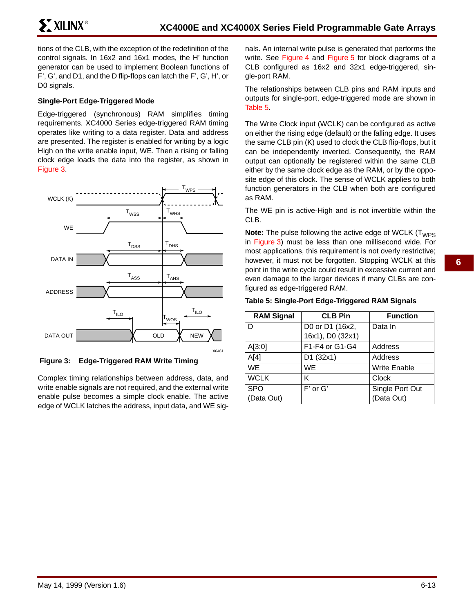tions of the CLB, with the exception of the redefinition of the control signals. In 16x2 and 16x1 modes, the H' function generator can be used to implement Boolean functions of F', G', and D1, and the D flip-flops can latch the F', G', H', or D0 signals.

## **Single-Port Edge-Triggered Mode**

Edge-triggered (synchronous) RAM simplifies timing requirements. XC4000 Series edge-triggered RAM timing operates like writing to a data register. Data and address are presented. The register is enabled for writing by a logic High on the write enable input, WE. Then a rising or falling clock edge loads the data into the register, as shown in Figure 3.



**Figure 3: Edge-Triggered RAM Write Timing**

Complex timing relationships between address, data, and write enable signals are not required, and the external write enable pulse becomes a simple clock enable. The active edge of WCLK latches the address, input data, and WE signals. An internal write pulse is generated that performs the write. See Figure 4 and Figure 5 for block diagrams of a CLB configured as 16x2 and 32x1 edge-triggered, single-port RAM.

The relationships between CLB pins and RAM inputs and outputs for single-port, edge-triggered mode are shown in Table 5.

The Write Clock input (WCLK) can be configured as active on either the rising edge (default) or the falling edge. It uses the same CLB pin (K) used to clock the CLB flip-flops, but it can be independently inverted. Consequently, the RAM output can optionally be registered within the same CLB either by the same clock edge as the RAM, or by the opposite edge of this clock. The sense of WCLK applies to both function generators in the CLB when both are configured as RAM.

The WE pin is active-High and is not invertible within the CLB.

**Note:** The pulse following the active edge of WCLK (T<sub>WPS</sub> in Figure 3) must be less than one millisecond wide. For most applications, this requirement is not overly restrictive; however, it must not be forgotten. Stopping WCLK at this point in the write cycle could result in excessive current and even damage to the larger devices if many CLBs are configured as edge-triggered RAM.

#### **Table 5: Single-Port Edge-Triggered RAM Signals**

| <b>RAM Signal</b>        | <b>CLB Pin</b>                      | <b>Function</b>               |
|--------------------------|-------------------------------------|-------------------------------|
| D                        | D0 or D1 (16x2,<br>16x1), D0 (32x1) | Data In                       |
| A[3:0]                   | F1-F4 or G1-G4                      | Address                       |
| A[4]                     | D1 (32x1)                           | Address                       |
| <b>WE</b>                | <b>WF</b>                           | <b>Write Enable</b>           |
| <b>WCLK</b>              | κ                                   | Clock                         |
| <b>SPO</b><br>(Data Out) | F' or G'                            | Single Port Out<br>(Data Out) |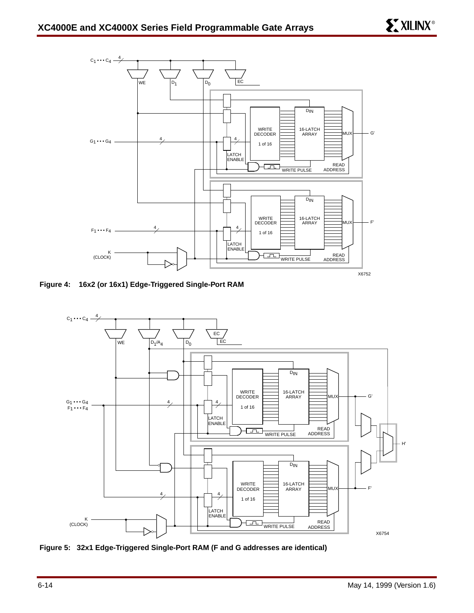

**Figure 4: 16x2 (or 16x1) Edge-Triggered Single-Port RAM**



**Figure 5: 32x1 Edge-Triggered Single-Port RAM (F and G addresses are identical)**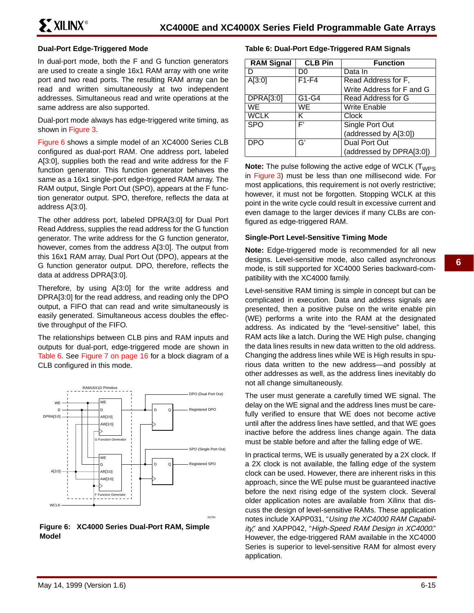#### **Dual-Port Edge-Triggered Mode**

In dual-port mode, both the F and G function generators are used to create a single 16x1 RAM array with one write port and two read ports. The resulting RAM array can be read and written simultaneously at two independent addresses. Simultaneous read and write operations at the same address are also supported.

Dual-port mode always has edge-triggered write timing, as shown in Figure 3.

Figure 6 shows a simple model of an XC4000 Series CLB configured as dual-port RAM. One address port, labeled A[3:0], supplies both the read and write address for the F function generator. This function generator behaves the same as a 16x1 single-port edge-triggered RAM array. The RAM output, Single Port Out (SPO), appears at the F function generator output. SPO, therefore, reflects the data at address A[3:0].

The other address port, labeled DPRA[3:0] for Dual Port Read Address, supplies the read address for the G function generator. The write address for the G function generator, however, comes from the address A[3:0]. The output from this 16x1 RAM array, Dual Port Out (DPO), appears at the G function generator output. DPO, therefore, reflects the data at address DPRA[3:0].

Therefore, by using A[3:0] for the write address and DPRA[3:0] for the read address, and reading only the DPO output, a FIFO that can read and write simultaneously is easily generated. Simultaneous access doubles the effective throughput of the FIFO.

The relationships between CLB pins and RAM inputs and outputs for dual-port, edge-triggered mode are shown in Table 6. See Figure 7 on page 16 for a block diagram of a CLB configured in this mode.





#### **Table 6: Dual-Port Edge-Triggered RAM Signals**

| <b>RAM Signal</b> | <b>CLB Pin</b> | <b>Function</b>           |
|-------------------|----------------|---------------------------|
|                   | DO             | Data In                   |
| A[3:0]            | $F1-F4$        | Read Address for F,       |
|                   |                | Write Address for F and G |
| <b>DPRA[3:0]</b>  | $G1-G4$        | Read Address for G        |
| WE                | WE.            | <b>Write Enable</b>       |
| <b>WCLK</b>       | ĸ              | Clock                     |
| <b>SPO</b>        | F'             | Single Port Out           |
|                   |                | (addressed by A[3:0])     |
| DPO               | G'             | <b>Dual Port Out</b>      |
|                   |                | (addressed by DPRA[3:0])  |

**Note:** The pulse following the active edge of WCLK (T<sub>WPS</sub>) in Figure 3) must be less than one millisecond wide. For most applications, this requirement is not overly restrictive; however, it must not be forgotten. Stopping WCLK at this point in the write cycle could result in excessive current and even damage to the larger devices if many CLBs are configured as edge-triggered RAM.

#### **Single-Port Level-Sensitive Timing Mode**

**Note:** Edge-triggered mode is recommended for all new designs. Level-sensitive mode, also called asynchronous mode, is still supported for XC4000 Series backward-compatibility with the XC4000 family.

Level-sensitive RAM timing is simple in concept but can be complicated in execution. Data and address signals are presented, then a positive pulse on the write enable pin (WE) performs a write into the RAM at the designated address. As indicated by the "level-sensitive" label, this RAM acts like a latch. During the WE High pulse, changing the data lines results in new data written to the old address. Changing the address lines while WE is High results in spurious data written to the new address—and possibly at other addresses as well, as the address lines inevitably do not all change simultaneously.

The user must generate a carefully timed WE signal. The delay on the WE signal and the address lines must be carefully verified to ensure that WE does not become active until after the address lines have settled, and that WE goes inactive before the address lines change again. The data must be stable before and after the falling edge of WE.

In practical terms, WE is usually generated by a 2X clock. If a 2X clock is not available, the falling edge of the system clock can be used. However, there are inherent risks in this approach, since the WE pulse must be guaranteed inactive before the next rising edge of the system clock. Several older application notes are available from Xilinx that discuss the design of level-sensitive RAMs. These application notes include XAPP031, "Using the XC4000 RAM Capability," and XAPP042, "High-Speed RAM Design in XC4000." However, the edge-triggered RAM available in the XC4000 Series is superior to level-sensitive RAM for almost every application.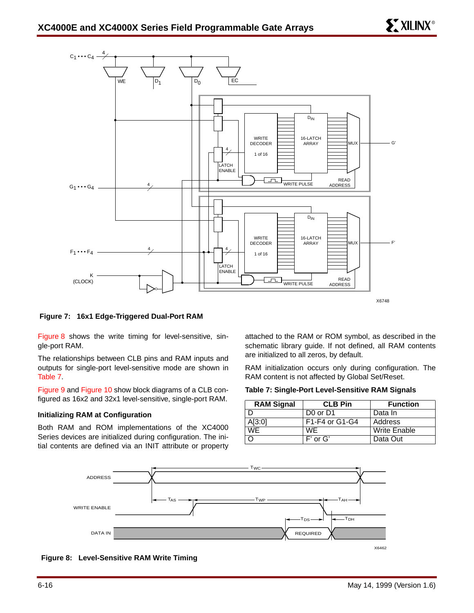

#### **Figure 7: 16x1 Edge-Triggered Dual-Port RAM**

Figure 8 shows the write timing for level-sensitive, single-port RAM.

The relationships between CLB pins and RAM inputs and outputs for single-port level-sensitive mode are shown in Table 7.

Figure 9 and Figure 10 show block diagrams of a CLB configured as 16x2 and 32x1 level-sensitive, single-port RAM.

#### **Initializing RAM at Configuration**

Both RAM and ROM implementations of the XC4000 Series devices are initialized during configuration. The initial contents are defined via an INIT attribute or property attached to the RAM or ROM symbol, as described in the schematic library guide. If not defined, all RAM contents are initialized to all zeros, by default.

RAM initialization occurs only during configuration. The RAM content is not affected by Global Set/Reset.

#### **Table 7: Single-Port Level-Sensitive RAM Signals**

| <b>RAM Signal</b>      | <b>CLB Pin</b>                   | <b>Function</b>     |
|------------------------|----------------------------------|---------------------|
|                        | D <sub>0</sub> or D <sub>1</sub> | Data In             |
| A[3:0]                 | F1-F4 or G1-G4                   | Address             |
| $\overline{\text{WE}}$ | WF.                              | <b>Write Enable</b> |
|                        | F' or G'                         | Data Out            |



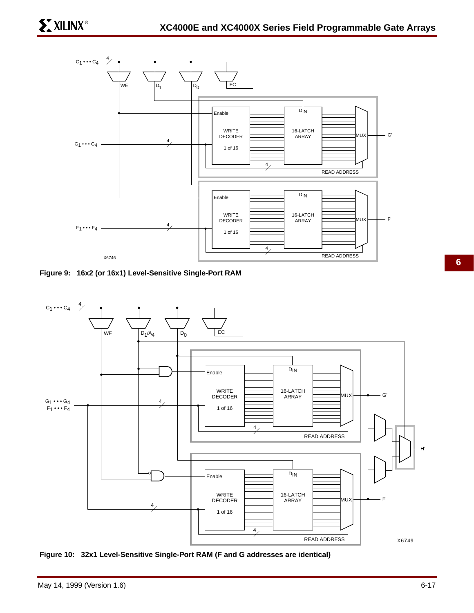

**Figure 9: 16x2 (or 16x1) Level-Sensitive Single-Port RAM**





**6**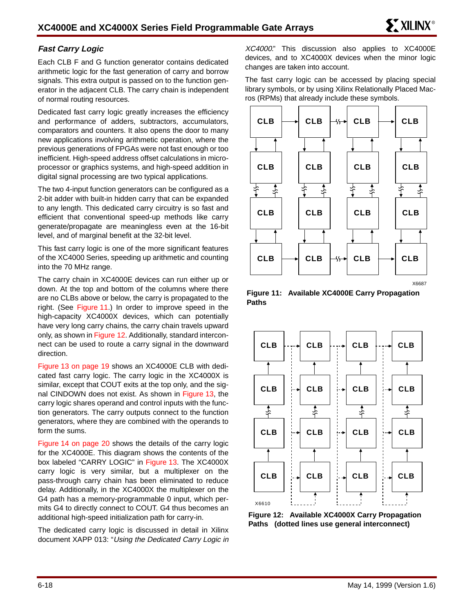## **Fast Carry Logic**

Each CLB F and G function generator contains dedicated arithmetic logic for the fast generation of carry and borrow signals. This extra output is passed on to the function generator in the adjacent CLB. The carry chain is independent of normal routing resources.

Dedicated fast carry logic greatly increases the efficiency and performance of adders, subtractors, accumulators, comparators and counters. It also opens the door to many new applications involving arithmetic operation, where the previous generations of FPGAs were not fast enough or too inefficient. High-speed address offset calculations in microprocessor or graphics systems, and high-speed addition in digital signal processing are two typical applications.

The two 4-input function generators can be configured as a 2-bit adder with built-in hidden carry that can be expanded to any length. This dedicated carry circuitry is so fast and efficient that conventional speed-up methods like carry generate/propagate are meaningless even at the 16-bit level, and of marginal benefit at the 32-bit level.

This fast carry logic is one of the more significant features of the XC4000 Series, speeding up arithmetic and counting into the 70 MHz range.

The carry chain in XC4000E devices can run either up or down. At the top and bottom of the columns where there are no CLBs above or below, the carry is propagated to the right. (See Figure 11.) In order to improve speed in the high-capacity XC4000X devices, which can potentially have very long carry chains, the carry chain travels upward only, as shown in Figure 12. Additionally, standard interconnect can be used to route a carry signal in the downward direction.

Figure 13 on page 19 shows an XC4000E CLB with dedicated fast carry logic. The carry logic in the XC4000X is similar, except that COUT exits at the top only, and the signal CINDOWN does not exist. As shown in Figure 13, the carry logic shares operand and control inputs with the function generators. The carry outputs connect to the function generators, where they are combined with the operands to form the sums.

Figure 14 on page 20 shows the details of the carry logic for the XC4000E. This diagram shows the contents of the box labeled "CARRY LOGIC" in Figure 13. The XC4000X carry logic is very similar, but a multiplexer on the pass-through carry chain has been eliminated to reduce delay. Additionally, in the XC4000X the multiplexer on the G4 path has a memory-programmable 0 input, which permits G4 to directly connect to COUT. G4 thus becomes an additional high-speed initialization path for carry-in.

The dedicated carry logic is discussed in detail in Xilinx document XAPP 013: "Using the Dedicated Carry Logic in XC4000." This discussion also applies to XC4000E devices, and to XC4000X devices when the minor logic changes are taken into account.

The fast carry logic can be accessed by placing special library symbols, or by using Xilinx Relationally Placed Macros (RPMs) that already include these symbols.



**Figure 11: Available XC4000E Carry Propagation Paths**



**Figure 12: Available XC4000X Carry Propagation Paths (dotted lines use general interconnect)**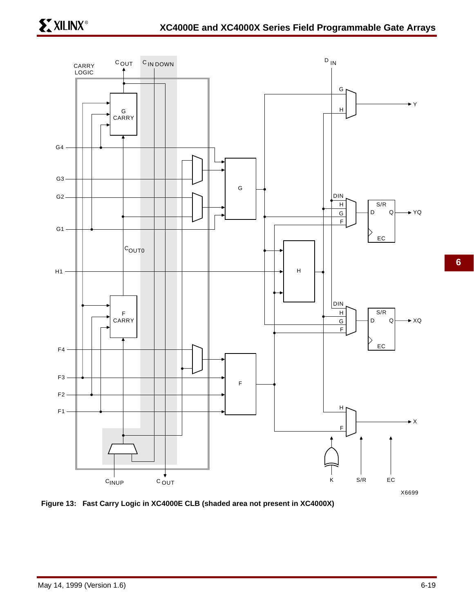



**6**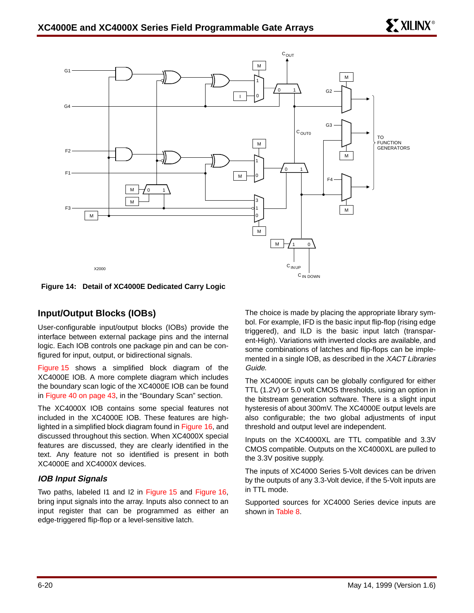

**Figure 14: Detail of XC4000E Dedicated Carry Logic**

## **Input/Output Blocks (IOBs)**

User-configurable input/output blocks (IOBs) provide the interface between external package pins and the internal logic. Each IOB controls one package pin and can be configured for input, output, or bidirectional signals.

Figure 15 shows a simplified block diagram of the XC4000E IOB. A more complete diagram which includes the boundary scan logic of the XC4000E IOB can be found in Figure 40 on page 43, in the "Boundary Scan" section.

The XC4000X IOB contains some special features not included in the XC4000E IOB. These features are highlighted in a simplified block diagram found in Figure 16, and discussed throughout this section. When XC4000X special features are discussed, they are clearly identified in the text. Any feature not so identified is present in both XC4000E and XC4000X devices.

### **IOB Input Signals**

Two paths, labeled I1 and I2 in Figure 15 and Figure 16, bring input signals into the array. Inputs also connect to an input register that can be programmed as either an edge-triggered flip-flop or a level-sensitive latch.

The choice is made by placing the appropriate library symbol. For example, IFD is the basic input flip-flop (rising edge triggered), and ILD is the basic input latch (transparent-High). Variations with inverted clocks are available, and some combinations of latches and flip-flops can be implemented in a single IOB, as described in the XACT Libraries Guide.

The XC4000E inputs can be globally configured for either TTL (1.2V) or 5.0 volt CMOS thresholds, using an option in the bitstream generation software. There is a slight input hysteresis of about 300mV. The XC4000E output levels are also configurable; the two global adjustments of input threshold and output level are independent.

Inputs on the XC4000XL are TTL compatible and 3.3V CMOS compatible. Outputs on the XC4000XL are pulled to the 3.3V positive supply.

The inputs of XC4000 Series 5-Volt devices can be driven by the outputs of any 3.3-Volt device, if the 5-Volt inputs are in TTL mode.

Supported sources for XC4000 Series device inputs are shown in Table 8.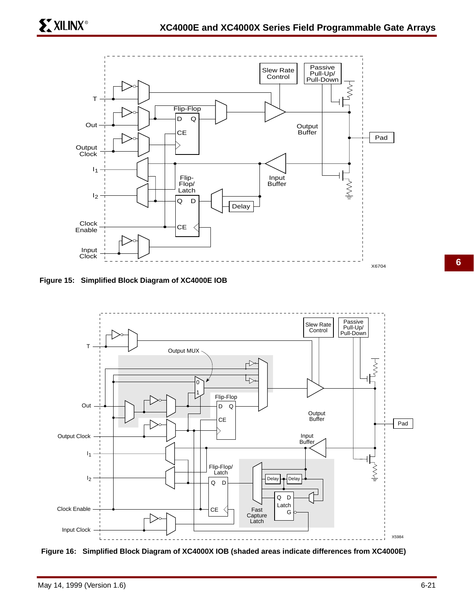

**Figure 15: Simplified Block Diagram of XC4000E IOB**



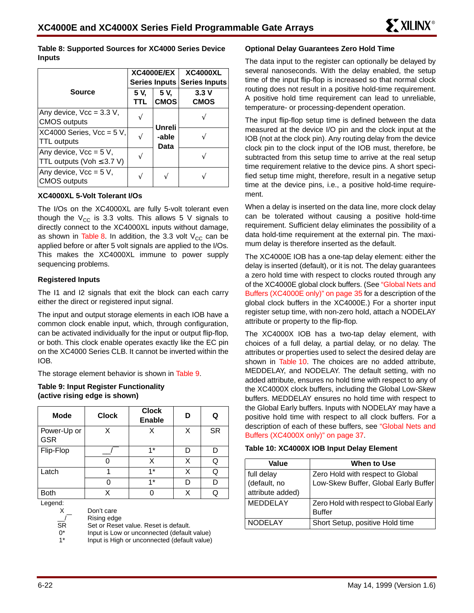**Table 8: Supported Sources for XC4000 Series Device Inputs**

|                                                                 |             | <b>XC4000E/EX</b><br>Series Inputs | <b>XC4000XL</b><br><b>Series Inputs</b> |
|-----------------------------------------------------------------|-------------|------------------------------------|-----------------------------------------|
| <b>Source</b>                                                   | 5 V.<br>TTL | 5 V.<br><b>CMOS</b>                | 3.3V<br><b>CMOS</b>                     |
| Any device, $Vec = 3.3 V$ ,<br><b>CMOS</b> outputs              |             | Unreli                             |                                         |
| XC4000 Series, $Vec = 5 V$ ,<br><b>TTL outputs</b>              |             | -able<br>Data                      |                                         |
| Any device, $Vec = 5 V$ ,<br>TTL outputs (Voh $\leq$ 3.7 V)     |             |                                    |                                         |
| Any device, $\text{Vcc} = 5 \text{ V}$ ,<br><b>CMOS outputs</b> |             |                                    |                                         |

#### **XC4000XL 5-Volt Tolerant I/Os**

The I/Os on the XC4000XL are fully 5-volt tolerant even though the  $V_{CC}$  is 3.3 volts. This allows 5 V signals to directly connect to the XC4000XL inputs without damage, as shown in Table 8. In addition, the 3.3 volt  $V_{CC}$  can be applied before or after 5 volt signals are applied to the I/Os. This makes the XC4000XL immune to power supply sequencing problems.

#### **Registered Inputs**

The I1 and I2 signals that exit the block can each carry either the direct or registered input signal.

The input and output storage elements in each IOB have a common clock enable input, which, through configuration, can be activated individually for the input or output flip-flop, or both. This clock enable operates exactly like the EC pin on the XC4000 Series CLB. It cannot be inverted within the IOB.

The storage element behavior is shown in Table 9.

#### **Table 9: Input Register Functionality (active rising edge is shown)**

| <b>Mode</b>               | <b>Clock</b> | <b>Clock</b><br><b>Enable</b> | D | Q         |
|---------------------------|--------------|-------------------------------|---|-----------|
| Power-Up or<br><b>GSR</b> | x            | X                             | X | <b>SR</b> |
| Flip-Flop                 |              | $1*$                          | D |           |
|                           |              | X                             | Χ | Q         |
| Latch                     |              | $1*$                          | Χ | Q         |
|                           |              | $1*$                          | D |           |
| <b>Both</b>               | x            |                               | Χ | Q         |

Legend:

X \_\_/ Don't care

Rising edge

**SR** Set or Reset value. Reset is default.

 $0^*$ Input is Low or unconnected (default value)

1\* Input is High or unconnected (default value)

#### **Optional Delay Guarantees Zero Hold Time**

The data input to the register can optionally be delayed by several nanoseconds. With the delay enabled, the setup time of the input flip-flop is increased so that normal clock routing does not result in a positive hold-time requirement. A positive hold time requirement can lead to unreliable, temperature- or processing-dependent operation.

The input flip-flop setup time is defined between the data measured at the device I/O pin and the clock input at the IOB (not at the clock pin). Any routing delay from the device clock pin to the clock input of the IOB must, therefore, be subtracted from this setup time to arrive at the real setup time requirement relative to the device pins. A short specified setup time might, therefore, result in a negative setup time at the device pins, i.e., a positive hold-time requirement.

When a delay is inserted on the data line, more clock delay can be tolerated without causing a positive hold-time requirement. Sufficient delay eliminates the possibility of a data hold-time requirement at the external pin. The maximum delay is therefore inserted as the default.

The XC4000E IOB has a one-tap delay element: either the delay is inserted (default), or it is not. The delay guarantees a zero hold time with respect to clocks routed through any of the XC4000E global clock buffers. (See "Global Nets and Buffers (XC4000E only)" on page 35 for a description of the global clock buffers in the XC4000E.) For a shorter input register setup time, with non-zero hold, attach a NODELAY attribute or property to the flip-flop.

The XC4000X IOB has a two-tap delay element, with choices of a full delay, a partial delay, or no delay. The attributes or properties used to select the desired delay are shown in Table 10. The choices are no added attribute, MEDDELAY, and NODELAY. The default setting, with no added attribute, ensures no hold time with respect to any of the XC4000X clock buffers, including the Global Low-Skew buffers. MEDDELAY ensures no hold time with respect to the Global Early buffers. Inputs with NODELAY may have a positive hold time with respect to all clock buffers. For a description of each of these buffers, see "Global Nets and Buffers (XC4000X only)" on page 37.

| Table 10: XC4000X IOB Input Delay Element |  |  |  |  |
|-------------------------------------------|--|--|--|--|
|-------------------------------------------|--|--|--|--|

| Value            | When to Use                            |
|------------------|----------------------------------------|
| full delay       | Zero Hold with respect to Global       |
| (default, no     | Low-Skew Buffer, Global Early Buffer   |
| attribute added) |                                        |
| <b>MEDDELAY</b>  | Zero Hold with respect to Global Early |
|                  | <b>Buffer</b>                          |
| <b>NODELAY</b>   | Short Setup, positive Hold time        |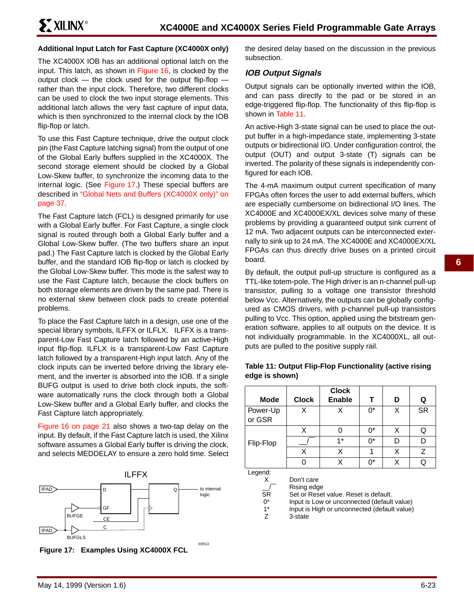#### **Additional Input Latch for Fast Capture (XC4000X only)**

The XC4000X IOB has an additional optional latch on the input. This latch, as shown in Figure 16, is clocked by the output clock — the clock used for the output flip-flop rather than the input clock. Therefore, two different clocks can be used to clock the two input storage elements. This additional latch allows the very fast capture of input data, which is then synchronized to the internal clock by the IOB flip-flop or latch.

To use this Fast Capture technique, drive the output clock pin (the Fast Capture latching signal) from the output of one of the Global Early buffers supplied in the XC4000X. The second storage element should be clocked by a Global Low-Skew buffer, to synchronize the incoming data to the internal logic. (See Figure 17.) These special buffers are described in "Global Nets and Buffers (XC4000X only)" on page 37.

The Fast Capture latch (FCL) is designed primarily for use with a Global Early buffer. For Fast Capture, a single clock signal is routed through both a Global Early buffer and a Global Low-Skew buffer. (The two buffers share an input pad.) The Fast Capture latch is clocked by the Global Early buffer, and the standard IOB flip-flop or latch is clocked by the Global Low-Skew buffer. This mode is the safest way to use the Fast Capture latch, because the clock buffers on both storage elements are driven by the same pad. There is no external skew between clock pads to create potential problems.

To place the Fast Capture latch in a design, use one of the special library symbols, ILFFX or ILFLX. ILFFX is a transparent-Low Fast Capture latch followed by an active-High input flip-flop. ILFLX is a transparent-Low Fast Capture latch followed by a transparent-High input latch. Any of the clock inputs can be inverted before driving the library element, and the inverter is absorbed into the IOB. If a single BUFG output is used to drive both clock inputs, the software automatically runs the clock through both a Global Low-Skew buffer and a Global Early buffer, and clocks the Fast Capture latch appropriately.

Figure 16 on page 21 also shows a two-tap delay on the input. By default, if the Fast Capture latch is used, the Xilinx software assumes a Global Early buffer is driving the clock, and selects MEDDELAY to ensure a zero hold time. Select





the desired delay based on the discussion in the previous subsection.

## **IOB Output Signals**

Output signals can be optionally inverted within the IOB, and can pass directly to the pad or be stored in an edge-triggered flip-flop. The functionality of this flip-flop is shown in Table 11.

An active-High 3-state signal can be used to place the output buffer in a high-impedance state, implementing 3-state outputs or bidirectional I/O. Under configuration control, the output (OUT) and output 3-state (T) signals can be inverted. The polarity of these signals is independently configured for each IOB.

The 4-mA maximum output current specification of many FPGAs often forces the user to add external buffers, which are especially cumbersome on bidirectional I/O lines. The XC4000E and XC4000EX/XL devices solve many of these problems by providing a guaranteed output sink current of 12 mA. Two adjacent outputs can be interconnected externally to sink up to 24 mA. The XC4000E and XC4000EX/XL FPGAs can thus directly drive buses on a printed circuit board.

By default, the output pull-up structure is configured as a TTL-like totem-pole. The High driver is an n-channel pull-up transistor, pulling to a voltage one transistor threshold below Vcc. Alternatively, the outputs can be globally configured as CMOS drivers, with p-channel pull-up transistors pulling to Vcc. This option, applied using the bitstream generation software, applies to all outputs on the device. It is not individually programmable. In the XC4000XL, all outputs are pulled to the positive supply rail.

| Table 11: Output Flip-Flop Functionality (active rising |
|---------------------------------------------------------|
| edge is shown)                                          |
|                                                         |

|                |              | <b>Clock</b>                                 |       |   |           |
|----------------|--------------|----------------------------------------------|-------|---|-----------|
| <b>Mode</b>    | <b>Clock</b> | <b>Enable</b>                                | т     | D | Q         |
| Power-Up       | X            | X                                            | $0^*$ | X | <b>SR</b> |
| or GSR         |              |                                              |       |   |           |
|                | X            | 0                                            | $0^*$ | X | Q         |
| Flip-Flop      |              | $1*$                                         | $0^*$ | D | D         |
|                | X            | X                                            | 1     | X | Z         |
|                | U            | X                                            | n*    | X | Q         |
| Legend:        |              |                                              |       |   |           |
| X              | Don't care   |                                              |       |   |           |
|                | Rising edge  |                                              |       |   |           |
| <b>SR</b>      |              | Set or Reset value. Reset is default.        |       |   |           |
| 0*             |              | Input is Low or unconnected (default value)  |       |   |           |
| $1^*$          |              | Input is High or unconnected (default value) |       |   |           |
| $\overline{z}$ | 3-state      |                                              |       |   |           |
|                |              |                                              |       |   |           |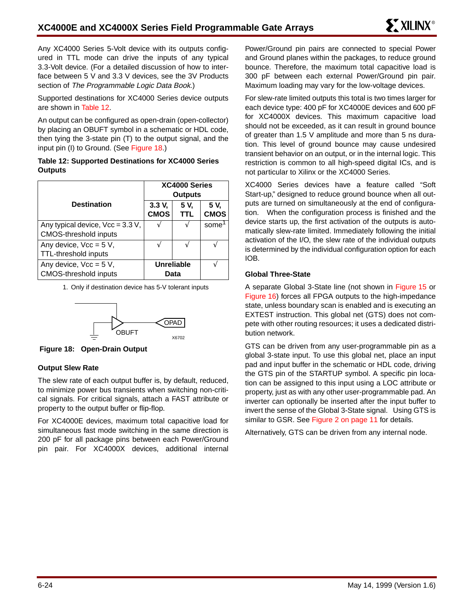Any XC4000 Series 5-Volt device with its outputs configured in TTL mode can drive the inputs of any typical 3.3-Volt device. (For a detailed discussion of how to interface between 5 V and 3.3 V devices, see the 3V Products section of The Programmable Logic Data Book.)

Supported destinations for XC4000 Series device outputs are shown in Table 12.

An output can be configured as open-drain (open-collector) by placing an OBUFT symbol in a schematic or HDL code, then tying the 3-state pin (T) to the output signal, and the input pin (I) to Ground. (See Figure 18.)

#### **Table 12: Supported Destinations for XC4000 Series Outputs**

|                                                   |                       | XC4000 Series<br><b>Outputs</b> |                     |
|---------------------------------------------------|-----------------------|---------------------------------|---------------------|
| <b>Destination</b>                                | 3.3 V,<br><b>CMOS</b> | 5 V.<br>TTL                     | 5 V.<br><b>CMOS</b> |
| Any typical device, $\sqrt{cc} = 3.3 \text{ V}$ , |                       |                                 | some                |
| <b>CMOS-threshold inputs</b>                      |                       |                                 |                     |
| Any device, $\text{Vcc} = 5 \text{ V}$ ,          |                       |                                 |                     |
| <b>TTL-threshold inputs</b>                       |                       |                                 |                     |
| Any device, $\text{Vcc} = 5 \text{ V}$ ,          |                       | Unreliable                      |                     |
| <b>CMOS-threshold inputs</b>                      |                       | Data                            |                     |

1. Only if destination device has 5-V tolerant inputs



**Figure 18: Open-Drain Output**

### **Output Slew Rate**

The slew rate of each output buffer is, by default, reduced, to minimize power bus transients when switching non-critical signals. For critical signals, attach a FAST attribute or property to the output buffer or flip-flop.

For XC4000E devices, maximum total capacitive load for simultaneous fast mode switching in the same direction is 200 pF for all package pins between each Power/Ground pin pair. For XC4000X devices, additional internal Power/Ground pin pairs are connected to special Power and Ground planes within the packages, to reduce ground bounce. Therefore, the maximum total capacitive load is 300 pF between each external Power/Ground pin pair. Maximum loading may vary for the low-voltage devices.

For slew-rate limited outputs this total is two times larger for each device type: 400 pF for XC4000E devices and 600 pF for XC4000X devices. This maximum capacitive load should not be exceeded, as it can result in ground bounce of greater than 1.5 V amplitude and more than 5 ns duration. This level of ground bounce may cause undesired transient behavior on an output, or in the internal logic. This restriction is common to all high-speed digital ICs, and is not particular to Xilinx or the XC4000 Series.

XC4000 Series devices have a feature called "Soft Start-up," designed to reduce ground bounce when all outputs are turned on simultaneously at the end of configuration. When the configuration process is finished and the device starts up, the first activation of the outputs is automatically slew-rate limited. Immediately following the initial activation of the I/O, the slew rate of the individual outputs is determined by the individual configuration option for each IOB.

#### **Global Three-State**

A separate Global 3-State line (not shown in Figure 15 or Figure 16) forces all FPGA outputs to the high-impedance state, unless boundary scan is enabled and is executing an EXTEST instruction. This global net (GTS) does not compete with other routing resources; it uses a dedicated distribution network.

GTS can be driven from any user-programmable pin as a global 3-state input. To use this global net, place an input pad and input buffer in the schematic or HDL code, driving the GTS pin of the STARTUP symbol. A specific pin location can be assigned to this input using a LOC attribute or property, just as with any other user-programmable pad. An inverter can optionally be inserted after the input buffer to invert the sense of the Global 3-State signal. Using GTS is similar to GSR. See Figure 2 on page 11 for details.

Alternatively, GTS can be driven from any internal node.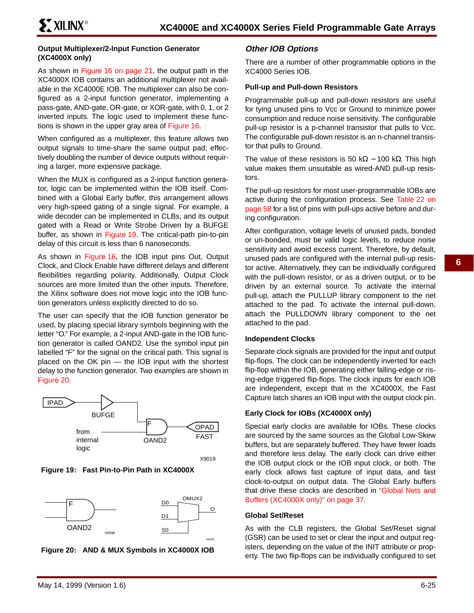#### **Output Multiplexer/2-Input Function Generator (XC4000X only)**

As shown in Figure 16 on page 21, the output path in the XC4000X IOB contains an additional multiplexer not available in the XC4000E IOB. The multiplexer can also be configured as a 2-input function generator, implementing a pass-gate, AND-gate, OR-gate, or XOR-gate, with 0, 1, or 2 inverted inputs. The logic used to implement these functions is shown in the upper gray area of Figure 16.

When configured as a multiplexer, this feature allows two output signals to time-share the same output pad; effectively doubling the number of device outputs without requiring a larger, more expensive package.

When the MUX is configured as a 2-input function generator, logic can be implemented within the IOB itself. Combined with a Global Early buffer, this arrangement allows very high-speed gating of a single signal. For example, a wide decoder can be implemented in CLBs, and its output gated with a Read or Write Strobe Driven by a BUFGE buffer, as shown in Figure 19. The critical-path pin-to-pin delay of this circuit is less than 6 nanoseconds.

As shown in Figure 16, the IOB input pins Out, Output Clock, and Clock Enable have different delays and different flexibilities regarding polarity. Additionally, Output Clock sources are more limited than the other inputs. Therefore, the Xilinx software does not move logic into the IOB function generators unless explicitly directed to do so.

The user can specify that the IOB function generator be used, by placing special library symbols beginning with the letter "O." For example, a 2-input AND-gate in the IOB function generator is called OAND2. Use the symbol input pin labelled "F" for the signal on the critical path. This signal is placed on the OK pin — the IOB input with the shortest delay to the function generator. Two examples are shown in Figure 20.



X9019







## **Other IOB Options**

There are a number of other programmable options in the XC4000 Series IOB.

## **Pull-up and Pull-down Resistors**

Programmable pull-up and pull-down resistors are useful for tying unused pins to Vcc or Ground to minimize power consumption and reduce noise sensitivity. The configurable pull-up resistor is a p-channel transistor that pulls to Vcc. The configurable pull-down resistor is an n-channel transistor that pulls to Ground.

The value of these resistors is 50 k $\Omega$  – 100 k $\Omega$ . This high value makes them unsuitable as wired-AND pull-up resistors.

The pull-up resistors for most user-programmable IOBs are active during the configuration process. See Table 22 on page 58 for a list of pins with pull-ups active before and during configuration.

After configuration, voltage levels of unused pads, bonded or un-bonded, must be valid logic levels, to reduce noise sensitivity and avoid excess current. Therefore, by default, unused pads are configured with the internal pull-up resistor active. Alternatively, they can be individually configured with the pull-down resistor, or as a driven output, or to be driven by an external source. To activate the internal pull-up, attach the PULLUP library component to the net attached to the pad. To activate the internal pull-down, attach the PULLDOWN library component to the net attached to the pad.

#### **Independent Clocks**

Separate clock signals are provided for the input and output flip-flops. The clock can be independently inverted for each flip-flop within the IOB, generating either falling-edge or rising-edge triggered flip-flops. The clock inputs for each IOB are independent, except that in the XC4000X, the Fast Capture latch shares an IOB input with the output clock pin.

### **Early Clock for IOBs (XC4000X only)**

Special early clocks are available for IOBs. These clocks are sourced by the same sources as the Global Low-Skew buffers, but are separately buffered. They have fewer loads and therefore less delay. The early clock can drive either the IOB output clock or the IOB input clock, or both. The early clock allows fast capture of input data, and fast clock-to-output on output data. The Global Early buffers that drive these clocks are described in "Global Nets and Buffers (XC4000X only)" on page 37.

#### **Global Set/Reset**

As with the CLB registers, the Global Set/Reset signal (GSR) can be used to set or clear the input and output registers, depending on the value of the INIT attribute or property. The two flip-flops can be individually configured to set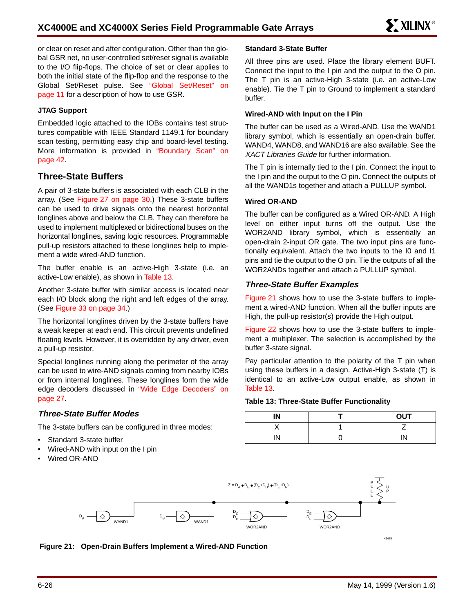or clear on reset and after configuration. Other than the global GSR net, no user-controlled set/reset signal is available to the I/O flip-flops. The choice of set or clear applies to both the initial state of the flip-flop and the response to the Global Set/Reset pulse. See "Global Set/Reset" on page 11 for a description of how to use GSR.

### **JTAG Support**

Embedded logic attached to the IOBs contains test structures compatible with IEEE Standard 1149.1 for boundary scan testing, permitting easy chip and board-level testing. More information is provided in "Boundary Scan" on page 42.

## **Three-State Buffers**

A pair of 3-state buffers is associated with each CLB in the array. (See Figure 27 on page 30.) These 3-state buffers can be used to drive signals onto the nearest horizontal longlines above and below the CLB. They can therefore be used to implement multiplexed or bidirectional buses on the horizontal longlines, saving logic resources. Programmable pull-up resistors attached to these longlines help to implement a wide wired-AND function.

The buffer enable is an active-High 3-state (i.e. an active-Low enable), as shown in Table 13.

Another 3-state buffer with similar access is located near each I/O block along the right and left edges of the array. (See Figure 33 on page 34.)

The horizontal longlines driven by the 3-state buffers have a weak keeper at each end. This circuit prevents undefined floating levels. However, it is overridden by any driver, even a pull-up resistor.

Special longlines running along the perimeter of the array can be used to wire-AND signals coming from nearby IOBs or from internal longlines. These longlines form the wide edge decoders discussed in "Wide Edge Decoders" on page 27.

### **Three-State Buffer Modes**

The 3-state buffers can be configured in three modes:

- Standard 3-state buffer
- Wired-AND with input on the I pin
- Wired OR-AND

#### **Standard 3-State Buffer**

All three pins are used. Place the library element BUFT. Connect the input to the I pin and the output to the O pin. The T pin is an active-High 3-state (i.e. an active-Low enable). Tie the T pin to Ground to implement a standard buffer.

#### **Wired-AND with Input on the I Pin**

The buffer can be used as a Wired-AND. Use the WAND1 library symbol, which is essentially an open-drain buffer. WAND4, WAND8, and WAND16 are also available. See the XACT Libraries Guide for further information.

The T pin is internally tied to the I pin. Connect the input to the I pin and the output to the O pin. Connect the outputs of all the WAND1s together and attach a PULLUP symbol.

#### **Wired OR-AND**

The buffer can be configured as a Wired OR-AND. A High level on either input turns off the output. Use the WOR2AND library symbol, which is essentially an open-drain 2-input OR gate. The two input pins are functionally equivalent. Attach the two inputs to the I0 and I1 pins and tie the output to the O pin. Tie the outputs of all the WOR2ANDs together and attach a PULLUP symbol.

#### **Three-State Buffer Examples**

Figure 21 shows how to use the 3-state buffers to implement a wired-AND function. When all the buffer inputs are High, the pull-up resistor(s) provide the High output.

Figure 22 shows how to use the 3-state buffers to implement a multiplexer. The selection is accomplished by the buffer 3-state signal.

Pay particular attention to the polarity of the T pin when using these buffers in a design. Active-High 3-state (T) is identical to an active-Low output enable, as shown in Table 13.

#### **Table 13: Three-State Buffer Functionality**

| IN | <b>OUT</b> |
|----|------------|
|    |            |
| IN | IN         |



**Figure 21: Open-Drain Buffers Implement a Wired-AND Function**

X6465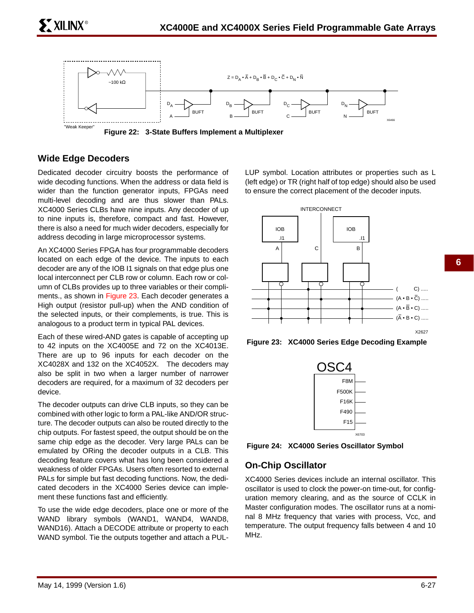

**Wide Edge Decoders**

 $\tilde{\phantom{a}}$  XILINX®

Dedicated decoder circuitry boosts the performance of wide decoding functions. When the address or data field is wider than the function generator inputs, FPGAs need multi-level decoding and are thus slower than PALs. XC4000 Series CLBs have nine inputs. Any decoder of up to nine inputs is, therefore, compact and fast. However, there is also a need for much wider decoders, especially for address decoding in large microprocessor systems.

An XC4000 Series FPGA has four programmable decoders located on each edge of the device. The inputs to each decoder are any of the IOB I1 signals on that edge plus one local interconnect per CLB row or column. Each row or column of CLBs provides up to three variables or their compliments., as shown in Figure 23. Each decoder generates a High output (resistor pull-up) when the AND condition of the selected inputs, or their complements, is true. This is analogous to a product term in typical PAL devices.

Each of these wired-AND gates is capable of accepting up to 42 inputs on the XC4005E and 72 on the XC4013E. There are up to 96 inputs for each decoder on the XC4028X and 132 on the XC4052X. The decoders may also be split in two when a larger number of narrower decoders are required, for a maximum of 32 decoders per device.

The decoder outputs can drive CLB inputs, so they can be combined with other logic to form a PAL-like AND/OR structure. The decoder outputs can also be routed directly to the chip outputs. For fastest speed, the output should be on the same chip edge as the decoder. Very large PALs can be emulated by ORing the decoder outputs in a CLB. This decoding feature covers what has long been considered a weakness of older FPGAs. Users often resorted to external PALs for simple but fast decoding functions. Now, the dedicated decoders in the XC4000 Series device can implement these functions fast and efficiently.

To use the wide edge decoders, place one or more of the WAND library symbols (WAND1, WAND4, WAND8, WAND16). Attach a DECODE attribute or property to each WAND symbol. Tie the outputs together and attach a PUL-

LUP symbol. Location attributes or properties such as L (left edge) or TR (right half of top edge) should also be used to ensure the correct placement of the decoder inputs.



**Figure 23: XC4000 Series Edge Decoding Example**



**Figure 24: XC4000 Series Oscillator Symbol**

## **On-Chip Oscillator**

XC4000 Series devices include an internal oscillator. This oscillator is used to clock the power-on time-out, for configuration memory clearing, and as the source of CCLK in Master configuration modes. The oscillator runs at a nominal 8 MHz frequency that varies with process, Vcc, and temperature. The output frequency falls between 4 and 10 MHz.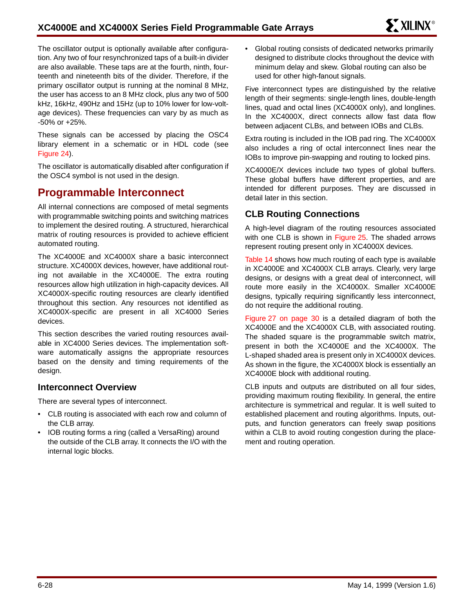The oscillator output is optionally available after configuration. Any two of four resynchronized taps of a built-in divider are also available. These taps are at the fourth, ninth, fourteenth and nineteenth bits of the divider. Therefore, if the primary oscillator output is running at the nominal 8 MHz, the user has access to an 8 MHz clock, plus any two of 500 kHz, 16kHz, 490Hz and 15Hz (up to 10% lower for low-voltage devices). These frequencies can vary by as much as -50% or +25%.

These signals can be accessed by placing the OSC4 library element in a schematic or in HDL code (see Figure 24).

The oscillator is automatically disabled after configuration if the OSC4 symbol is not used in the design.

## **Programmable Interconnect**

All internal connections are composed of metal segments with programmable switching points and switching matrices to implement the desired routing. A structured, hierarchical matrix of routing resources is provided to achieve efficient automated routing.

The XC4000E and XC4000X share a basic interconnect structure. XC4000X devices, however, have additional routing not available in the XC4000E. The extra routing resources allow high utilization in high-capacity devices. All XC4000X-specific routing resources are clearly identified throughout this section. Any resources not identified as XC4000X-specific are present in all XC4000 Series devices.

This section describes the varied routing resources available in XC4000 Series devices. The implementation software automatically assigns the appropriate resources based on the density and timing requirements of the design.

## **Interconnect Overview**

There are several types of interconnect.

- CLB routing is associated with each row and column of the CLB array.
- IOB routing forms a ring (called a VersaRing) around the outside of the CLB array. It connects the I/O with the internal logic blocks.

• Global routing consists of dedicated networks primarily designed to distribute clocks throughout the device with minimum delay and skew. Global routing can also be used for other high-fanout signals.

Five interconnect types are distinguished by the relative length of their segments: single-length lines, double-length lines, quad and octal lines (XC4000X only), and longlines. In the XC4000X, direct connects allow fast data flow between adjacent CLBs, and between IOBs and CLBs.

Extra routing is included in the IOB pad ring. The XC4000X also includes a ring of octal interconnect lines near the IOBs to improve pin-swapping and routing to locked pins.

XC4000E/X devices include two types of global buffers. These global buffers have different properties, and are intended for different purposes. They are discussed in detail later in this section.

## **CLB Routing Connections**

A high-level diagram of the routing resources associated with one CLB is shown in Figure 25. The shaded arrows represent routing present only in XC4000X devices.

Table 14 shows how much routing of each type is available in XC4000E and XC4000X CLB arrays. Clearly, very large designs, or designs with a great deal of interconnect, will route more easily in the XC4000X. Smaller XC4000E designs, typically requiring significantly less interconnect, do not require the additional routing.

Figure 27 on page 30 is a detailed diagram of both the XC4000E and the XC4000X CLB, with associated routing. The shaded square is the programmable switch matrix, present in both the XC4000E and the XC4000X. The L-shaped shaded area is present only in XC4000X devices. As shown in the figure, the XC4000X block is essentially an XC4000E block with additional routing.

CLB inputs and outputs are distributed on all four sides, providing maximum routing flexibility. In general, the entire architecture is symmetrical and regular. It is well suited to established placement and routing algorithms. Inputs, outputs, and function generators can freely swap positions within a CLB to avoid routing congestion during the placement and routing operation.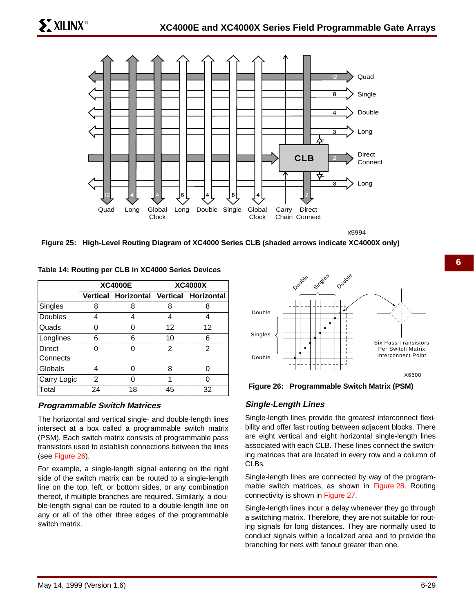

x5994

**Figure 25: High-Level Routing Diagram of XC4000 Series CLB (shaded arrows indicate XC4000X only)**

|                |    | <b>XC4000E</b> |                   | <b>XC4000X</b>                                |
|----------------|----|----------------|-------------------|-----------------------------------------------|
|                |    |                |                   | Vertical   Horizontal   Vertical   Horizontal |
| Singles        | 8  | 8              | 8                 | 8                                             |
| <b>Doubles</b> | 4  | 4              | 4                 | 4                                             |
| Quads          |    | ი              | $12 \overline{ }$ | 12                                            |
| Longlines      | 6  | 6              | 10                | 6                                             |
| Direct         |    |                | 2                 | $\mathfrak{p}$                                |
| Connects       |    |                |                   |                                               |
| Globals        | 4  |                | 8                 | ∩                                             |
| Carry Logic    | 2  |                | 1                 |                                               |
| Total          | 24 | 18             | 45                | 32                                            |

**Table 14: Routing per CLB in XC4000 Series Devices**

### **Programmable Switch Matrices**

The horizontal and vertical single- and double-length lines intersect at a box called a programmable switch matrix (PSM). Each switch matrix consists of programmable pass transistors used to establish connections between the lines (see Figure 26).

For example, a single-length signal entering on the right side of the switch matrix can be routed to a single-length line on the top, left, or bottom sides, or any combination thereof, if multiple branches are required. Similarly, a double-length signal can be routed to a double-length line on any or all of the other three edges of the programmable switch matrix.



**Figure 26: Programmable Switch Matrix (PSM)**

## **Single-Length Lines**

Single-length lines provide the greatest interconnect flexibility and offer fast routing between adjacent blocks. There are eight vertical and eight horizontal single-length lines associated with each CLB. These lines connect the switching matrices that are located in every row and a column of CLBs.

Single-length lines are connected by way of the programmable switch matrices, as shown in Figure 28. Routing connectivity is shown in Figure 27.

Single-length lines incur a delay whenever they go through a switching matrix. Therefore, they are not suitable for routing signals for long distances. They are normally used to conduct signals within a localized area and to provide the branching for nets with fanout greater than one.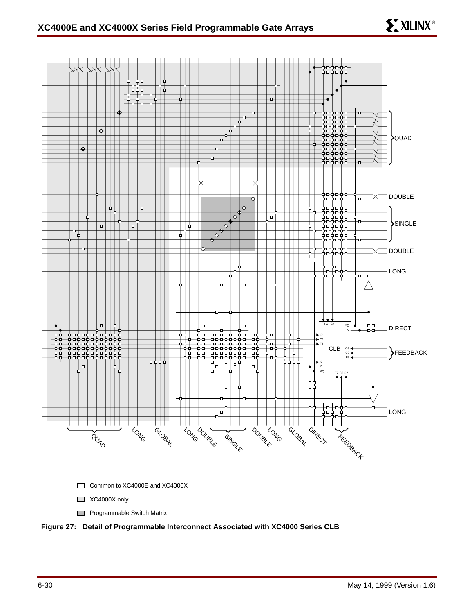



## **Figure 27: Detail of Programmable Interconnect Associated with XC4000 Series CLB**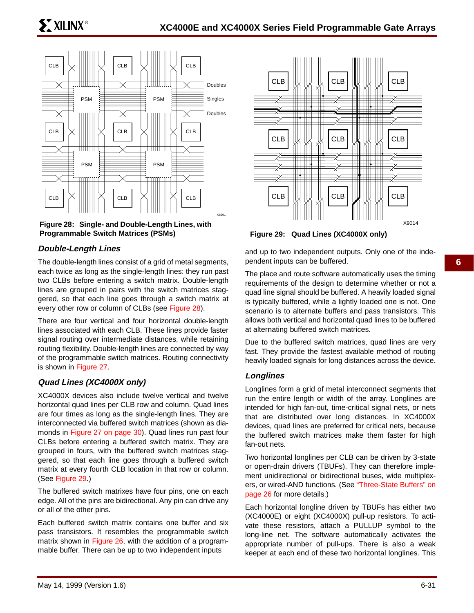

**Figure 28: Single- and Double-Length Lines, with Programmable Switch Matrices (PSMs)**

## **Double-Length Lines**

The double-length lines consist of a grid of metal segments, each twice as long as the single-length lines: they run past two CLBs before entering a switch matrix. Double-length lines are grouped in pairs with the switch matrices staggered, so that each line goes through a switch matrix at every other row or column of CLBs (see Figure 28).

There are four vertical and four horizontal double-length lines associated with each CLB. These lines provide faster signal routing over intermediate distances, while retaining routing flexibility. Double-length lines are connected by way of the programmable switch matrices. Routing connectivity is shown in Figure 27.

### **Quad Lines (XC4000X only)**

XC4000X devices also include twelve vertical and twelve horizontal quad lines per CLB row and column. Quad lines are four times as long as the single-length lines. They are interconnected via buffered switch matrices (shown as diamonds in Figure 27 on page 30). Quad lines run past four CLBs before entering a buffered switch matrix. They are grouped in fours, with the buffered switch matrices staggered, so that each line goes through a buffered switch matrix at every fourth CLB location in that row or column. (See Figure 29.)

The buffered switch matrixes have four pins, one on each edge. All of the pins are bidirectional. Any pin can drive any or all of the other pins.

Each buffered switch matrix contains one buffer and six pass transistors. It resembles the programmable switch matrix shown in Figure 26, with the addition of a programmable buffer. There can be up to two independent inputs



**Figure 29: Quad Lines (XC4000X only)**

and up to two independent outputs. Only one of the independent inputs can be buffered.

The place and route software automatically uses the timing requirements of the design to determine whether or not a quad line signal should be buffered. A heavily loaded signal is typically buffered, while a lightly loaded one is not. One scenario is to alternate buffers and pass transistors. This allows both vertical and horizontal quad lines to be buffered at alternating buffered switch matrices.

Due to the buffered switch matrices, quad lines are very fast. They provide the fastest available method of routing heavily loaded signals for long distances across the device.

### **Longlines**

Longlines form a grid of metal interconnect segments that run the entire length or width of the array. Longlines are intended for high fan-out, time-critical signal nets, or nets that are distributed over long distances. In XC4000X devices, quad lines are preferred for critical nets, because the buffered switch matrices make them faster for high fan-out nets.

Two horizontal longlines per CLB can be driven by 3-state or open-drain drivers (TBUFs). They can therefore implement unidirectional or bidirectional buses, wide multiplexers, or wired-AND functions. (See "Three-State Buffers" on page 26 for more details.)

Each horizontal longline driven by TBUFs has either two (XC4000E) or eight (XC4000X) pull-up resistors. To activate these resistors, attach a PULLUP symbol to the long-line net. The software automatically activates the appropriate number of pull-ups. There is also a weak keeper at each end of these two horizontal longlines. This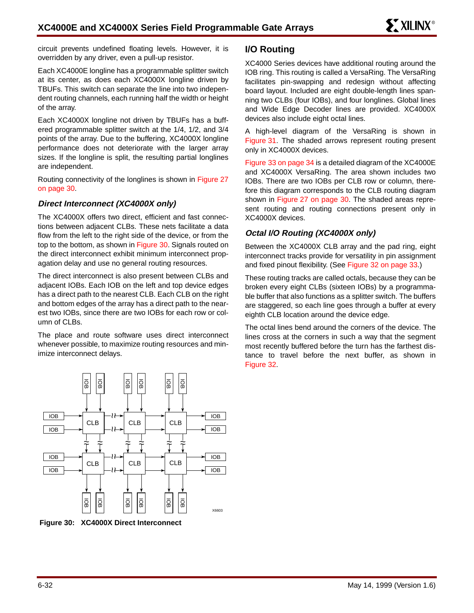circuit prevents undefined floating levels. However, it is overridden by any driver, even a pull-up resistor.

Each XC4000E longline has a programmable splitter switch at its center, as does each XC4000X longline driven by TBUFs. This switch can separate the line into two independent routing channels, each running half the width or height of the array.

Each XC4000X longline not driven by TBUFs has a buffered programmable splitter switch at the 1/4, 1/2, and 3/4 points of the array. Due to the buffering, XC4000X longline performance does not deteriorate with the larger array sizes. If the longline is split, the resulting partial longlines are independent.

Routing connectivity of the longlines is shown in Figure 27 on page 30.

## **Direct Interconnect (XC4000X only)**

The XC4000X offers two direct, efficient and fast connections between adjacent CLBs. These nets facilitate a data flow from the left to the right side of the device, or from the top to the bottom, as shown in Figure 30. Signals routed on the direct interconnect exhibit minimum interconnect propagation delay and use no general routing resources.

The direct interconnect is also present between CLBs and adjacent IOBs. Each IOB on the left and top device edges has a direct path to the nearest CLB. Each CLB on the right and bottom edges of the array has a direct path to the nearest two IOBs, since there are two IOBs for each row or column of CLBs.

The place and route software uses direct interconnect whenever possible, to maximize routing resources and minimize interconnect delays.



**Figure 30: XC4000X Direct Interconnect**

## **I/O Routing**

XC4000 Series devices have additional routing around the IOB ring. This routing is called a VersaRing. The VersaRing facilitates pin-swapping and redesign without affecting board layout. Included are eight double-length lines spanning two CLBs (four IOBs), and four longlines. Global lines and Wide Edge Decoder lines are provided. XC4000X devices also include eight octal lines.

A high-level diagram of the VersaRing is shown in Figure 31. The shaded arrows represent routing present only in XC4000X devices.

Figure 33 on page 34 is a detailed diagram of the XC4000E and XC4000X VersaRing. The area shown includes two IOBs. There are two IOBs per CLB row or column, therefore this diagram corresponds to the CLB routing diagram shown in Figure 27 on page 30. The shaded areas represent routing and routing connections present only in XC4000X devices.

## **Octal I/O Routing (XC4000X only)**

Between the XC4000X CLB array and the pad ring, eight interconnect tracks provide for versatility in pin assignment and fixed pinout flexibility. (See Figure 32 on page 33.)

These routing tracks are called octals, because they can be broken every eight CLBs (sixteen IOBs) by a programmable buffer that also functions as a splitter switch. The buffers are staggered, so each line goes through a buffer at every eighth CLB location around the device edge.

The octal lines bend around the corners of the device. The lines cross at the corners in such a way that the segment most recently buffered before the turn has the farthest distance to travel before the next buffer, as shown in Figure 32.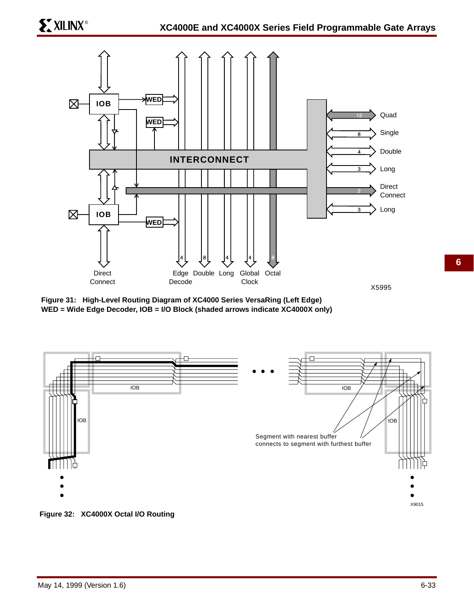

**Figure 31: High-Level Routing Diagram of XC4000 Series VersaRing (Left Edge) WED = Wide Edge Decoder, IOB = I/O Block (shaded arrows indicate XC4000X only)**



**Figure 32: XC4000X Octal I/O Routing**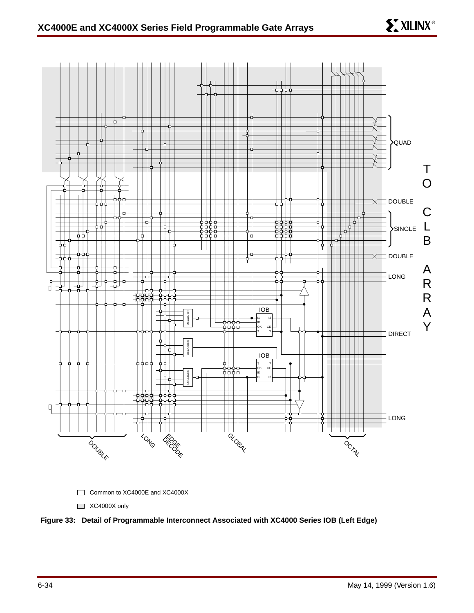**EXILINX®** 



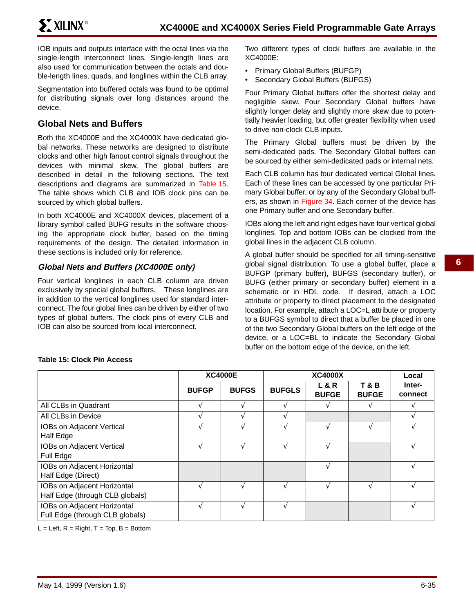IOB inputs and outputs interface with the octal lines via the single-length interconnect lines. Single-length lines are also used for communication between the octals and double-length lines, quads, and longlines within the CLB array.

Segmentation into buffered octals was found to be optimal for distributing signals over long distances around the device.

## **Global Nets and Buffers**

Both the XC4000E and the XC4000X have dedicated global networks. These networks are designed to distribute clocks and other high fanout control signals throughout the devices with minimal skew. The global buffers are described in detail in the following sections. The text descriptions and diagrams are summarized in Table 15. The table shows which CLB and IOB clock pins can be sourced by which global buffers.

In both XC4000E and XC4000X devices, placement of a library symbol called BUFG results in the software choosing the appropriate clock buffer, based on the timing requirements of the design. The detailed information in these sections is included only for reference.

## **Global Nets and Buffers (XC4000E only)**

Four vertical longlines in each CLB column are driven exclusively by special global buffers. These longlines are in addition to the vertical longlines used for standard interconnect. The four global lines can be driven by either of two types of global buffers. The clock pins of every CLB and IOB can also be sourced from local interconnect.

Two different types of clock buffers are available in the XC4000E:

- Primary Global Buffers (BUFGP)
- Secondary Global Buffers (BUFGS)

Four Primary Global buffers offer the shortest delay and negligible skew. Four Secondary Global buffers have slightly longer delay and slightly more skew due to potentially heavier loading, but offer greater flexibility when used to drive non-clock CLB inputs.

The Primary Global buffers must be driven by the semi-dedicated pads. The Secondary Global buffers can be sourced by either semi-dedicated pads or internal nets.

Each CLB column has four dedicated vertical Global lines. Each of these lines can be accessed by one particular Primary Global buffer, or by any of the Secondary Global buffers, as shown in Figure 34. Each corner of the device has one Primary buffer and one Secondary buffer.

IOBs along the left and right edges have four vertical global longlines. Top and bottom IOBs can be clocked from the global lines in the adjacent CLB column.

A global buffer should be specified for all timing-sensitive global signal distribution. To use a global buffer, place a BUFGP (primary buffer), BUFGS (secondary buffer), or BUFG (either primary or secondary buffer) element in a schematic or in HDL code. If desired, attach a LOC attribute or property to direct placement to the designated location. For example, attach a LOC=L attribute or property to a BUFGS symbol to direct that a buffer be placed in one of the two Secondary Global buffers on the left edge of the device, or a LOC=BL to indicate the Secondary Global buffer on the bottom edge of the device, on the left.

|                                                                |                          | <b>XC4000E</b> |                 | Local                          |                                |                   |
|----------------------------------------------------------------|--------------------------|----------------|-----------------|--------------------------------|--------------------------------|-------------------|
|                                                                | <b>BUFGP</b>             | <b>BUFGS</b>   | <b>BUFGLS</b>   | <b>L&amp;R</b><br><b>BUFGE</b> | <b>T&amp;B</b><br><b>BUFGE</b> | Inter-<br>connect |
| All CLBs in Quadrant                                           |                          |                |                 |                                |                                |                   |
| All CLBs in Device                                             | $\overline{\phantom{a}}$ |                | $\triangleleft$ |                                |                                |                   |
| IOBs on Adjacent Vertical<br>Half Edge                         |                          |                |                 |                                |                                |                   |
| IOBs on Adjacent Vertical<br>Full Edge                         |                          |                |                 |                                |                                |                   |
| IOBs on Adjacent Horizontal<br>Half Edge (Direct)              |                          |                |                 |                                |                                |                   |
| IOBs on Adjacent Horizontal<br>Half Edge (through CLB globals) |                          |                |                 |                                |                                |                   |
| IOBs on Adjacent Horizontal<br>Full Edge (through CLB globals) | $\mathbf{\hat{}}$        |                | ٦               |                                |                                |                   |

### **Table 15: Clock Pin Access**

 $L = Left$ ,  $R = Right$ ,  $T = Top$ ,  $B = Bottom$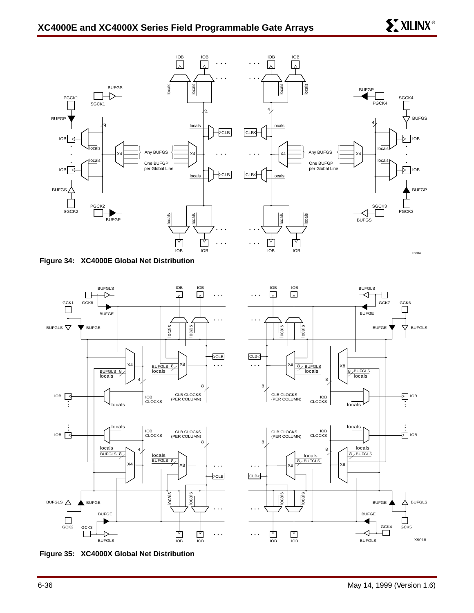

**Figure 34: XC4000E Global Net Distribution**



**Figure 35: XC4000X Global Net Distribution**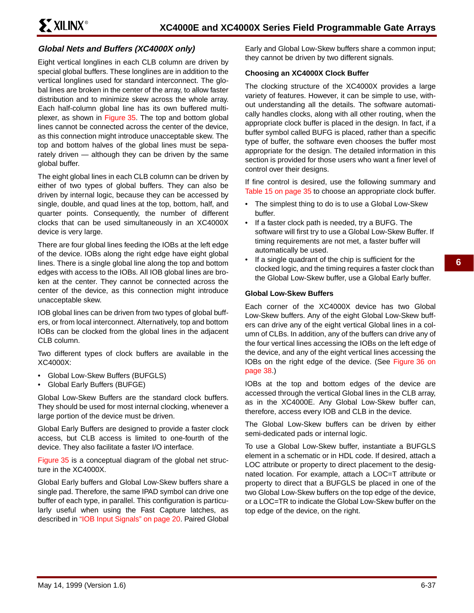## **Global Nets and Buffers (XC4000X only)**

Eight vertical longlines in each CLB column are driven by special global buffers. These longlines are in addition to the vertical longlines used for standard interconnect. The global lines are broken in the center of the array, to allow faster distribution and to minimize skew across the whole array. Each half-column global line has its own buffered multiplexer, as shown in Figure 35. The top and bottom global lines cannot be connected across the center of the device, as this connection might introduce unacceptable skew. The top and bottom halves of the global lines must be separately driven — although they can be driven by the same global buffer.

The eight global lines in each CLB column can be driven by either of two types of global buffers. They can also be driven by internal logic, because they can be accessed by single, double, and quad lines at the top, bottom, half, and quarter points. Consequently, the number of different clocks that can be used simultaneously in an XC4000X device is very large.

There are four global lines feeding the IOBs at the left edge of the device. IOBs along the right edge have eight global lines. There is a single global line along the top and bottom edges with access to the IOBs. All IOB global lines are broken at the center. They cannot be connected across the center of the device, as this connection might introduce unacceptable skew.

IOB global lines can be driven from two types of global buffers, or from local interconnect. Alternatively, top and bottom IOBs can be clocked from the global lines in the adjacent CLB column.

Two different types of clock buffers are available in the XC4000X:

- Global Low-Skew Buffers (BUFGLS)
- Global Early Buffers (BUFGE)

Global Low-Skew Buffers are the standard clock buffers. They should be used for most internal clocking, whenever a large portion of the device must be driven.

Global Early Buffers are designed to provide a faster clock access, but CLB access is limited to one-fourth of the device. They also facilitate a faster I/O interface.

Figure 35 is a conceptual diagram of the global net structure in the XC4000X.

Global Early buffers and Global Low-Skew buffers share a single pad. Therefore, the same IPAD symbol can drive one buffer of each type, in parallel. This configuration is particularly useful when using the Fast Capture latches, as described in "IOB Input Signals" on page 20. Paired Global

Early and Global Low-Skew buffers share a common input; they cannot be driven by two different signals.

#### **Choosing an XC4000X Clock Buffer**

The clocking structure of the XC4000X provides a large variety of features. However, it can be simple to use, without understanding all the details. The software automatically handles clocks, along with all other routing, when the appropriate clock buffer is placed in the design. In fact, if a buffer symbol called BUFG is placed, rather than a specific type of buffer, the software even chooses the buffer most appropriate for the design. The detailed information in this section is provided for those users who want a finer level of control over their designs.

If fine control is desired, use the following summary and Table 15 on page 35 to choose an appropriate clock buffer.

- The simplest thing to do is to use a Global Low-Skew buffer.
- If a faster clock path is needed, try a BUFG. The software will first try to use a Global Low-Skew Buffer. If timing requirements are not met, a faster buffer will automatically be used.
- If a single quadrant of the chip is sufficient for the clocked logic, and the timing requires a faster clock than the Global Low-Skew buffer, use a Global Early buffer.

#### **Global Low-Skew Buffers**

Each corner of the XC4000X device has two Global Low-Skew buffers. Any of the eight Global Low-Skew buffers can drive any of the eight vertical Global lines in a column of CLBs. In addition, any of the buffers can drive any of the four vertical lines accessing the IOBs on the left edge of the device, and any of the eight vertical lines accessing the IOBs on the right edge of the device. (See Figure 36 on page 38.)

IOBs at the top and bottom edges of the device are accessed through the vertical Global lines in the CLB array, as in the XC4000E. Any Global Low-Skew buffer can, therefore, access every IOB and CLB in the device.

The Global Low-Skew buffers can be driven by either semi-dedicated pads or internal logic.

To use a Global Low-Skew buffer, instantiate a BUFGLS element in a schematic or in HDL code. If desired, attach a LOC attribute or property to direct placement to the designated location. For example, attach a LOC=T attribute or property to direct that a BUFGLS be placed in one of the two Global Low-Skew buffers on the top edge of the device, or a LOC=TR to indicate the Global Low-Skew buffer on the top edge of the device, on the right.

**6**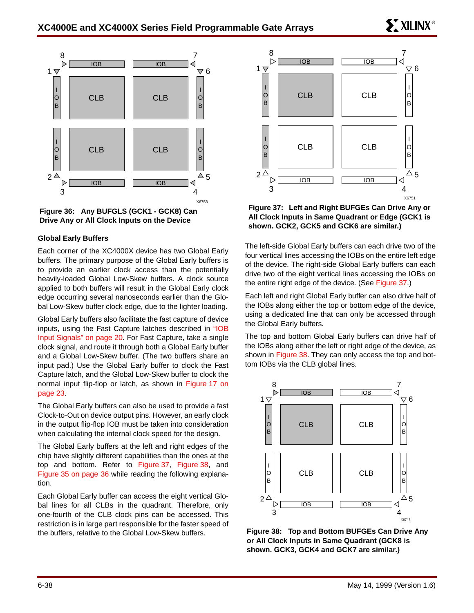

**Figure 36: Any BUFGLS (GCK1 - GCK8) Can Drive Any or All Clock Inputs on the Device**

#### **Global Early Buffers**

Each corner of the XC4000X device has two Global Early buffers. The primary purpose of the Global Early buffers is to provide an earlier clock access than the potentially heavily-loaded Global Low-Skew buffers. A clock source applied to both buffers will result in the Global Early clock edge occurring several nanoseconds earlier than the Global Low-Skew buffer clock edge, due to the lighter loading.

Global Early buffers also facilitate the fast capture of device inputs, using the Fast Capture latches described in "IOB Input Signals" on page 20. For Fast Capture, take a single clock signal, and route it through both a Global Early buffer and a Global Low-Skew buffer. (The two buffers share an input pad.) Use the Global Early buffer to clock the Fast Capture latch, and the Global Low-Skew buffer to clock the normal input flip-flop or latch, as shown in Figure 17 on page 23.

The Global Early buffers can also be used to provide a fast Clock-to-Out on device output pins. However, an early clock in the output flip-flop IOB must be taken into consideration when calculating the internal clock speed for the design.

The Global Early buffers at the left and right edges of the chip have slightly different capabilities than the ones at the top and bottom. Refer to Figure 37, Figure 38, and Figure 35 on page 36 while reading the following explanation.

Each Global Early buffer can access the eight vertical Global lines for all CLBs in the quadrant. Therefore, only one-fourth of the CLB clock pins can be accessed. This restriction is in large part responsible for the faster speed of the buffers, relative to the Global Low-Skew buffers.



**Figure 37: Left and Right BUFGEs Can Drive Any or All Clock Inputs in Same Quadrant or Edge (GCK1 is shown. GCK2, GCK5 and GCK6 are similar.)**

The left-side Global Early buffers can each drive two of the four vertical lines accessing the IOBs on the entire left edge of the device. The right-side Global Early buffers can each drive two of the eight vertical lines accessing the IOBs on the entire right edge of the device. (See Figure 37.)

Each left and right Global Early buffer can also drive half of the IOBs along either the top or bottom edge of the device, using a dedicated line that can only be accessed through the Global Early buffers.

The top and bottom Global Early buffers can drive half of the IOBs along either the left or right edge of the device, as shown in Figure 38. They can only access the top and bottom IOBs via the CLB global lines.



**Figure 38: Top and Bottom BUFGEs Can Drive Any or All Clock Inputs in Same Quadrant (GCK8 is shown. GCK3, GCK4 and GCK7 are similar.)**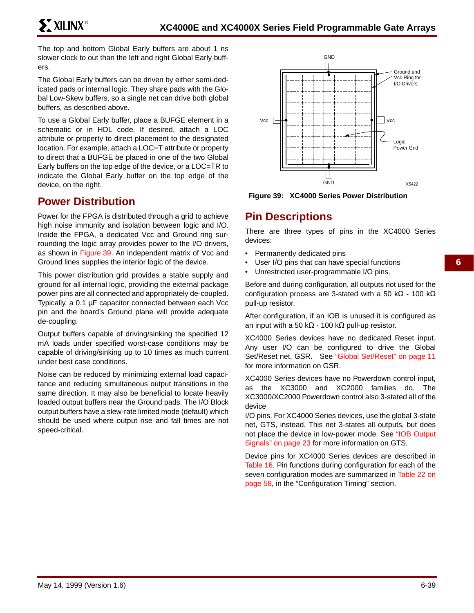The top and bottom Global Early buffers are about 1 ns slower clock to out than the left and right Global Early buffers.

The Global Early buffers can be driven by either semi-dedicated pads or internal logic. They share pads with the Global Low-Skew buffers, so a single net can drive both global buffers, as described above.

To use a Global Early buffer, place a BUFGE element in a schematic or in HDL code. If desired, attach a LOC attribute or property to direct placement to the designated location. For example, attach a LOC=T attribute or property to direct that a BUFGE be placed in one of the two Global Early buffers on the top edge of the device, or a LOC=TR to indicate the Global Early buffer on the top edge of the device, on the right.

## **Power Distribution**

Power for the FPGA is distributed through a grid to achieve high noise immunity and isolation between logic and I/O. Inside the FPGA, a dedicated Vcc and Ground ring surrounding the logic array provides power to the I/O drivers, as shown in Figure 39. An independent matrix of Vcc and Ground lines supplies the interior logic of the device.

This power distribution grid provides a stable supply and ground for all internal logic, providing the external package power pins are all connected and appropriately de-coupled. Typically, a 0.1 µF capacitor connected between each Vcc pin and the board's Ground plane will provide adequate de-coupling.

Output buffers capable of driving/sinking the specified 12 mA loads under specified worst-case conditions may be capable of driving/sinking up to 10 times as much current under best case conditions.

Noise can be reduced by minimizing external load capacitance and reducing simultaneous output transitions in the same direction. It may also be beneficial to locate heavily loaded output buffers near the Ground pads. The I/O Block output buffers have a slew-rate limited mode (default) which should be used where output rise and fall times are not speed-critical.



**Figure 39: XC4000 Series Power Distribution**

## **Pin Descriptions**

There are three types of pins in the XC4000 Series devices:

- Permanently dedicated pins
- User I/O pins that can have special functions
- Unrestricted user-programmable I/O pins.

Before and during configuration, all outputs not used for the configuration process are 3-stated with a 50 kΩ - 100 kΩ pull-up resistor.

After configuration, if an IOB is unused it is configured as an input with a 50 kΩ - 100 kΩ pull-up resistor.

XC4000 Series devices have no dedicated Reset input. Any user I/O can be configured to drive the Global Set/Reset net, GSR. See "Global Set/Reset" on page 11 for more information on GSR.

XC4000 Series devices have no Powerdown control input, as the XC3000 and XC2000 families do. The XC3000/XC2000 Powerdown control also 3-stated all of the device

I/O pins. For XC4000 Series devices, use the global 3-state net, GTS, instead. This net 3-states all outputs, but does not place the device in low-power mode. See "IOB Output Signals" on page 23 for more information on GTS.

Device pins for XC4000 Series devices are described in Table 16. Pin functions during configuration for each of the seven configuration modes are summarized in Table 22 on page 58, in the "Configuration Timing" section.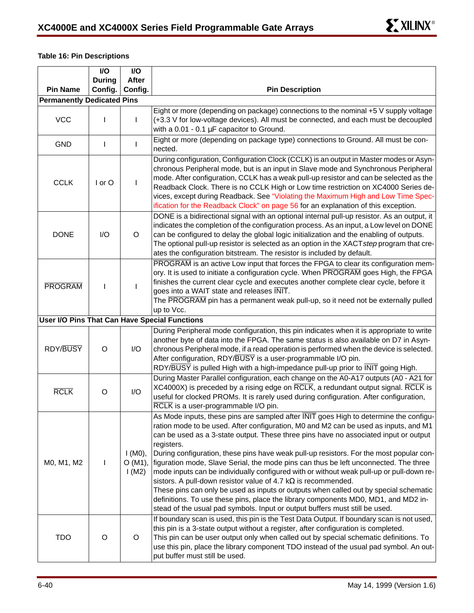### **Table 16: Pin Descriptions**

|                                   | I/O           | I/O                             |                                                                                                                                                                                                                                                                                                                                                                                                                                                                                                                                                                                                                                                                                                                                                                                                                                                                                                          |  |  |
|-----------------------------------|---------------|---------------------------------|----------------------------------------------------------------------------------------------------------------------------------------------------------------------------------------------------------------------------------------------------------------------------------------------------------------------------------------------------------------------------------------------------------------------------------------------------------------------------------------------------------------------------------------------------------------------------------------------------------------------------------------------------------------------------------------------------------------------------------------------------------------------------------------------------------------------------------------------------------------------------------------------------------|--|--|
|                                   | <b>During</b> | <b>After</b>                    |                                                                                                                                                                                                                                                                                                                                                                                                                                                                                                                                                                                                                                                                                                                                                                                                                                                                                                          |  |  |
| <b>Pin Name</b>                   | Config.       | Config.                         | <b>Pin Description</b>                                                                                                                                                                                                                                                                                                                                                                                                                                                                                                                                                                                                                                                                                                                                                                                                                                                                                   |  |  |
| <b>Permanently Dedicated Pins</b> |               |                                 |                                                                                                                                                                                                                                                                                                                                                                                                                                                                                                                                                                                                                                                                                                                                                                                                                                                                                                          |  |  |
| <b>VCC</b>                        |               |                                 | Eight or more (depending on package) connections to the nominal +5 V supply voltage<br>(+3.3 V for low-voltage devices). All must be connected, and each must be decoupled<br>with a $0.01 - 0.1 \mu F$ capacitor to Ground.                                                                                                                                                                                                                                                                                                                                                                                                                                                                                                                                                                                                                                                                             |  |  |
| <b>GND</b>                        | $\mathbf{I}$  |                                 | Eight or more (depending on package type) connections to Ground. All must be con-<br>nected.                                                                                                                                                                                                                                                                                                                                                                                                                                                                                                                                                                                                                                                                                                                                                                                                             |  |  |
| <b>CCLK</b>                       | I or O        | $\mathbf{I}$                    | During configuration, Configuration Clock (CCLK) is an output in Master modes or Asyn-<br>chronous Peripheral mode, but is an input in Slave mode and Synchronous Peripheral<br>mode. After configuration, CCLK has a weak pull-up resistor and can be selected as the<br>Readback Clock. There is no CCLK High or Low time restriction on XC4000 Series de-<br>vices, except during Readback. See "Violating the Maximum High and Low Time Spec-<br>ification for the Readback Clock" on page 56 for an explanation of this exception.                                                                                                                                                                                                                                                                                                                                                                  |  |  |
| <b>DONE</b>                       | I/O           | O                               | DONE is a bidirectional signal with an optional internal pull-up resistor. As an output, it<br>indicates the completion of the configuration process. As an input, a Low level on DONE<br>can be configured to delay the global logic initialization and the enabling of outputs.<br>The optional pull-up resistor is selected as an option in the XACTstep program that cre-<br>ates the configuration bitstream. The resistor is included by default.                                                                                                                                                                                                                                                                                                                                                                                                                                                  |  |  |
| <b>PROGRAM</b>                    | T             |                                 | PROGRAM is an active Low input that forces the FPGA to clear its configuration mem-<br>ory. It is used to initiate a configuration cycle. When PROGRAM goes High, the FPGA<br>finishes the current clear cycle and executes another complete clear cycle, before it<br>goes into a WAIT state and releases INIT.<br>The PROGRAM pin has a permanent weak pull-up, so it need not be externally pulled<br>up to Vcc.                                                                                                                                                                                                                                                                                                                                                                                                                                                                                      |  |  |
|                                   |               |                                 | User I/O Pins That Can Have Special Functions                                                                                                                                                                                                                                                                                                                                                                                                                                                                                                                                                                                                                                                                                                                                                                                                                                                            |  |  |
| <b>RDY/BUSY</b>                   | O             | 1/O                             | During Peripheral mode configuration, this pin indicates when it is appropriate to write<br>another byte of data into the FPGA. The same status is also available on D7 in Asyn-<br>chronous Peripheral mode, if a read operation is performed when the device is selected.<br>After configuration, RDY/BUSY is a user-programmable I/O pin.<br>RDY/BUSY is pulled High with a high-impedance pull-up prior to INIT going High.                                                                                                                                                                                                                                                                                                                                                                                                                                                                          |  |  |
| <b>RCLK</b>                       | O             | I/O                             | During Master Parallel configuration, each change on the A0-A17 outputs (A0 - A21 for<br>XC4000X) is preceded by a rising edge on RCLK, a redundant output signal. RCLK is<br>useful for clocked PROMs. It is rarely used during configuration. After configuration,<br>RCLK is a user-programmable I/O pin.                                                                                                                                                                                                                                                                                                                                                                                                                                                                                                                                                                                             |  |  |
| M0, M1, M2                        |               | $1(M0)$ ,<br>$O(M1)$ ,<br>1(M2) | As Mode inputs, these pins are sampled after INIT goes High to determine the configu-<br>ration mode to be used. After configuration, M0 and M2 can be used as inputs, and M1<br>can be used as a 3-state output. These three pins have no associated input or output<br>registers.<br>During configuration, these pins have weak pull-up resistors. For the most popular con-<br>figuration mode, Slave Serial, the mode pins can thus be left unconnected. The three<br>mode inputs can be individually configured with or without weak pull-up or pull-down re-<br>sistors. A pull-down resistor value of 4.7 $k\Omega$ is recommended.<br>These pins can only be used as inputs or outputs when called out by special schematic<br>definitions. To use these pins, place the library components MD0, MD1, and MD2 in-<br>stead of the usual pad symbols. Input or output buffers must still be used. |  |  |
| <b>TDO</b>                        | O             | O                               | If boundary scan is used, this pin is the Test Data Output. If boundary scan is not used,<br>this pin is a 3-state output without a register, after configuration is completed.<br>This pin can be user output only when called out by special schematic definitions. To<br>use this pin, place the library component TDO instead of the usual pad symbol. An out-<br>put buffer must still be used.                                                                                                                                                                                                                                                                                                                                                                                                                                                                                                     |  |  |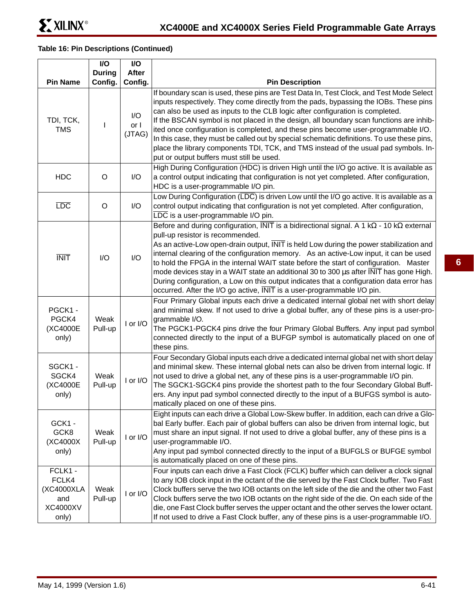$\Box$ 

## **Table 16: Pin Descriptions (Continued)**

 $\overline{\phantom{a}}$ 

|                                                                   | I/O<br><b>During</b> | I/O<br>After          |                                                                                                                                                                                                                                                                                                                                                                                                                                                                                                                                                                                                                                                                                                                     |  |  |  |  |
|-------------------------------------------------------------------|----------------------|-----------------------|---------------------------------------------------------------------------------------------------------------------------------------------------------------------------------------------------------------------------------------------------------------------------------------------------------------------------------------------------------------------------------------------------------------------------------------------------------------------------------------------------------------------------------------------------------------------------------------------------------------------------------------------------------------------------------------------------------------------|--|--|--|--|
| <b>Pin Name</b>                                                   | Config.              | Config.               | <b>Pin Description</b>                                                                                                                                                                                                                                                                                                                                                                                                                                                                                                                                                                                                                                                                                              |  |  |  |  |
| TDI, TCK,<br><b>TMS</b>                                           |                      | I/O<br>or I<br>(JTAG) | If boundary scan is used, these pins are Test Data In, Test Clock, and Test Mode Select<br>inputs respectively. They come directly from the pads, bypassing the IOBs. These pins<br>can also be used as inputs to the CLB logic after configuration is completed.<br>If the BSCAN symbol is not placed in the design, all boundary scan functions are inhib-<br>ited once configuration is completed, and these pins become user-programmable I/O.<br>In this case, they must be called out by special schematic definitions. To use these pins,<br>place the library components TDI, TCK, and TMS instead of the usual pad symbols. In-<br>put or output buffers must still be used.                               |  |  |  |  |
| <b>HDC</b>                                                        | O                    | I/O                   | High During Configuration (HDC) is driven High until the I/O go active. It is available as<br>a control output indicating that configuration is not yet completed. After configuration,<br>HDC is a user-programmable I/O pin.                                                                                                                                                                                                                                                                                                                                                                                                                                                                                      |  |  |  |  |
| <b>LDC</b>                                                        | O                    | I/O                   | Low During Configuration (LDC) is driven Low until the I/O go active. It is available as a<br>control output indicating that configuration is not yet completed. After configuration,<br>LDC is a user-programmable I/O pin.                                                                                                                                                                                                                                                                                                                                                                                                                                                                                        |  |  |  |  |
| <b>INIT</b>                                                       | I/O                  | I/O                   | Before and during configuration, $\overline{INIT}$ is a bidirectional signal. A 1 k $\Omega$ - 10 k $\Omega$ external<br>pull-up resistor is recommended.<br>As an active-Low open-drain output, $\overline{NIT}$ is held Low during the power stabilization and<br>internal clearing of the configuration memory. As an active-Low input, it can be used<br>to hold the FPGA in the internal WAIT state before the start of configuration. Master<br>mode devices stay in a WAIT state an additional 30 to 300 µs after INIT has gone High.<br>During configuration, a Low on this output indicates that a configuration data error has<br>occurred. After the I/O go active, INIT is a user-programmable I/O pin. |  |  |  |  |
| PGCK1-<br>PGCK4<br>(XC4000E<br>only)                              | Weak<br>Pull-up      | I or I/O              | Four Primary Global inputs each drive a dedicated internal global net with short delay<br>and minimal skew. If not used to drive a global buffer, any of these pins is a user-pro-<br>grammable I/O.<br>The PGCK1-PGCK4 pins drive the four Primary Global Buffers. Any input pad symbol<br>connected directly to the input of a BUFGP symbol is automatically placed on one of<br>these pins.                                                                                                                                                                                                                                                                                                                      |  |  |  |  |
| SGCK1-<br>SGCK4<br>(XC4000E<br>only)                              | Weak<br>Pull-up      | I or I/O              | Four Secondary Global inputs each drive a dedicated internal global net with short delay<br>and minimal skew. These internal global nets can also be driven from internal logic. If<br>not used to drive a global net, any of these pins is a user-programmable I/O pin.<br>The SGCK1-SGCK4 pins provide the shortest path to the four Secondary Global Buff-<br>ers. Any input pad symbol connected directly to the input of a BUFGS symbol is auto-<br>matically placed on one of these pins.                                                                                                                                                                                                                     |  |  |  |  |
| GCK1 -<br>GCK8<br>(XC4000X<br>only)                               | Weak<br>Pull-up      | I or I/O              | Eight inputs can each drive a Global Low-Skew buffer. In addition, each can drive a Glo-<br>bal Early buffer. Each pair of global buffers can also be driven from internal logic, but<br>must share an input signal. If not used to drive a global buffer, any of these pins is a<br>user-programmable I/O.<br>Any input pad symbol connected directly to the input of a BUFGLS or BUFGE symbol<br>is automatically placed on one of these pins.                                                                                                                                                                                                                                                                    |  |  |  |  |
| FCLK1 -<br>FCLK4<br>(XC4000XLA<br>and<br><b>XC4000XV</b><br>only) | Weak<br>Pull-up      | I or I/O              | Four inputs can each drive a Fast Clock (FCLK) buffer which can deliver a clock signal<br>to any IOB clock input in the octant of the die served by the Fast Clock buffer. Two Fast<br>Clock buffers serve the two IOB octants on the left side of the die and the other two Fast<br>Clock buffers serve the two IOB octants on the right side of the die. On each side of the<br>die, one Fast Clock buffer serves the upper octant and the other serves the lower octant.<br>If not used to drive a Fast Clock buffer, any of these pins is a user-programmable I/O.                                                                                                                                              |  |  |  |  |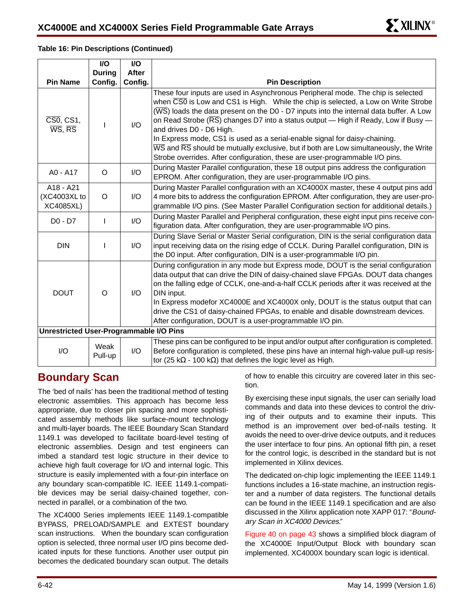| <b>Pin Name</b>                                                            | <b>During</b><br>Config. | <b>After</b><br>Config. | <b>Pin Description</b>                                                                                                                                                                                                                                                                                                                                                                                                                                                                                                                                                                                                                                                                                                          |
|----------------------------------------------------------------------------|--------------------------|-------------------------|---------------------------------------------------------------------------------------------------------------------------------------------------------------------------------------------------------------------------------------------------------------------------------------------------------------------------------------------------------------------------------------------------------------------------------------------------------------------------------------------------------------------------------------------------------------------------------------------------------------------------------------------------------------------------------------------------------------------------------|
|                                                                            |                          |                         |                                                                                                                                                                                                                                                                                                                                                                                                                                                                                                                                                                                                                                                                                                                                 |
| $\overline{CS0}$ , CS1,<br>$\overline{\text{WS}}$ , $\overline{\text{RS}}$ |                          | I/O                     | These four inputs are used in Asynchronous Peripheral mode. The chip is selected<br>when $\overline{CS0}$ is Low and CS1 is High. While the chip is selected, a Low on Write Strobe<br>$(\overline{\text{WS}})$ loads the data present on the D0 - D7 inputs into the internal data buffer. A Low<br>on Read Strobe $(\overline{RS})$ changes D7 into a status output — High if Ready, Low if Busy —<br>and drives D0 - D6 High.<br>In Express mode, CS1 is used as a serial-enable signal for daisy-chaining.<br>$\overline{\text{WS}}$ and $\overline{\text{RS}}$ should be mutually exclusive, but if both are Low simultaneously, the Write<br>Strobe overrides. After configuration, these are user-programmable I/O pins. |
| A0 - A17                                                                   | O                        | 1/O                     | During Master Parallel configuration, these 18 output pins address the configuration<br>EPROM. After configuration, they are user-programmable I/O pins.                                                                                                                                                                                                                                                                                                                                                                                                                                                                                                                                                                        |
| A18 - A21<br>(XC4003XL to<br><b>XC4085XL)</b>                              | O                        | $\mathsf{IO}$           | During Master Parallel configuration with an XC4000X master, these 4 output pins add<br>4 more bits to address the configuration EPROM. After configuration, they are user-pro-<br>grammable I/O pins. (See Master Parallel Configuration section for additional details.)                                                                                                                                                                                                                                                                                                                                                                                                                                                      |
| D0 - D7                                                                    |                          | 1/O                     | During Master Parallel and Peripheral configuration, these eight input pins receive con-<br>figuration data. After configuration, they are user-programmable I/O pins.                                                                                                                                                                                                                                                                                                                                                                                                                                                                                                                                                          |
| <b>DIN</b>                                                                 |                          | 1/O                     | During Slave Serial or Master Serial configuration, DIN is the serial configuration data<br>input receiving data on the rising edge of CCLK. During Parallel configuration, DIN is<br>the D0 input. After configuration, DIN is a user-programmable I/O pin.                                                                                                                                                                                                                                                                                                                                                                                                                                                                    |
| <b>DOUT</b>                                                                | O                        | $\mathsf{IO}$           | During configuration in any mode but Express mode, DOUT is the serial configuration<br>data output that can drive the DIN of daisy-chained slave FPGAs. DOUT data changes<br>on the falling edge of CCLK, one-and-a-half CCLK periods after it was received at the<br>DIN input.<br>In Express modefor XC4000E and XC4000X only, DOUT is the status output that can<br>drive the CS1 of daisy-chained FPGAs, to enable and disable downstream devices.<br>After configuration, DOUT is a user-programmable I/O pin.                                                                                                                                                                                                             |
| <b>Unrestricted User-Programmable I/O Pins</b>                             |                          |                         |                                                                                                                                                                                                                                                                                                                                                                                                                                                                                                                                                                                                                                                                                                                                 |
| I/O                                                                        | Weak<br>Pull-up          | I/O                     | These pins can be configured to be input and/or output after configuration is completed.<br>Before configuration is completed, these pins have an internal high-value pull-up resis-<br>tor (25 k $\Omega$ - 100 k $\Omega$ ) that defines the logic level as High.                                                                                                                                                                                                                                                                                                                                                                                                                                                             |

## **Table 16: Pin Descriptions (Continued) I/O**

**I/O**

 $\mathbb{R}^n$ 

## **Boundary Scan**

The 'bed of nails' has been the traditional method of testing electronic assemblies. This approach has become less appropriate, due to closer pin spacing and more sophisticated assembly methods like surface-mount technology and multi-layer boards. The IEEE Boundary Scan Standard 1149.1 was developed to facilitate board-level testing of electronic assemblies. Design and test engineers can imbed a standard test logic structure in their device to achieve high fault coverage for I/O and internal logic. This structure is easily implemented with a four-pin interface on any boundary scan-compatible IC. IEEE 1149.1-compatible devices may be serial daisy-chained together, connected in parallel, or a combination of the two.

The XC4000 Series implements IEEE 1149.1-compatible BYPASS, PRELOAD/SAMPLE and EXTEST boundary scan instructions. When the boundary scan configuration option is selected, three normal user I/O pins become dedicated inputs for these functions. Another user output pin becomes the dedicated boundary scan output. The details

of how to enable this circuitry are covered later in this section.

By exercising these input signals, the user can serially load commands and data into these devices to control the driving of their outputs and to examine their inputs. This method is an improvement over bed-of-nails testing. It avoids the need to over-drive device outputs, and it reduces the user interface to four pins. An optional fifth pin, a reset for the control logic, is described in the standard but is not implemented in Xilinx devices.

The dedicated on-chip logic implementing the IEEE 1149.1 functions includes a 16-state machine, an instruction register and a number of data registers. The functional details can be found in the IEEE 1149.1 specification and are also discussed in the Xilinx application note XAPP 017: "Boundary Scan in XC4000 Devices."

Figure 40 on page 43 shows a simplified block diagram of the XC4000E Input/Output Block with boundary scan implemented. XC4000X boundary scan logic is identical.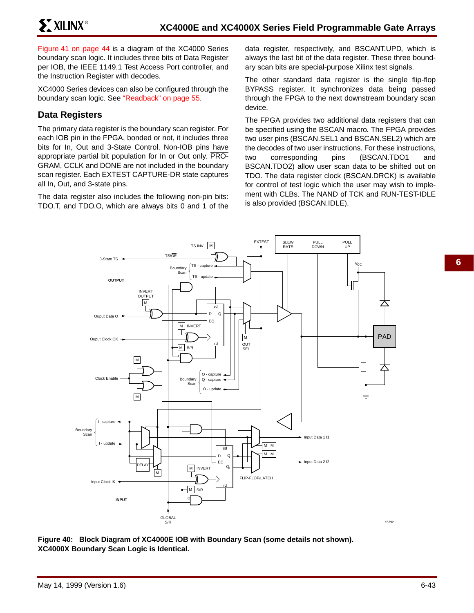**XXILINX®** 

Figure 41 on page 44 is a diagram of the XC4000 Series boundary scan logic. It includes three bits of Data Register per IOB, the IEEE 1149.1 Test Access Port controller, and the Instruction Register with decodes.

XC4000 Series devices can also be configured through the boundary scan logic. See "Readback" on page 55.

## **Data Registers**

The primary data register is the boundary scan register. For each IOB pin in the FPGA, bonded or not, it includes three bits for In, Out and 3-State Control. Non-IOB pins have appropriate partial bit population for In or Out only. PRO-GRAM, CCLK and DONE are not included in the boundary scan register. Each EXTEST CAPTURE-DR state captures all In, Out, and 3-state pins.

The data register also includes the following non-pin bits: TDO.T, and TDO.O, which are always bits 0 and 1 of the data register, respectively, and BSCANT.UPD, which is always the last bit of the data register. These three boundary scan bits are special-purpose Xilinx test signals.

The other standard data register is the single flip-flop BYPASS register. It synchronizes data being passed through the FPGA to the next downstream boundary scan device.

The FPGA provides two additional data registers that can be specified using the BSCAN macro. The FPGA provides two user pins (BSCAN.SEL1 and BSCAN.SEL2) which are the decodes of two user instructions. For these instructions, two corresponding pins (BSCAN.TDO1 and BSCAN.TDO2) allow user scan data to be shifted out on TDO. The data register clock (BSCAN.DRCK) is available for control of test logic which the user may wish to implement with CLBs. The NAND of TCK and RUN-TEST-IDLE is also provided (BSCAN.IDLE).



**Figure 40: Block Diagram of XC4000E IOB with Boundary Scan (some details not shown). XC4000X Boundary Scan Logic is Identical.**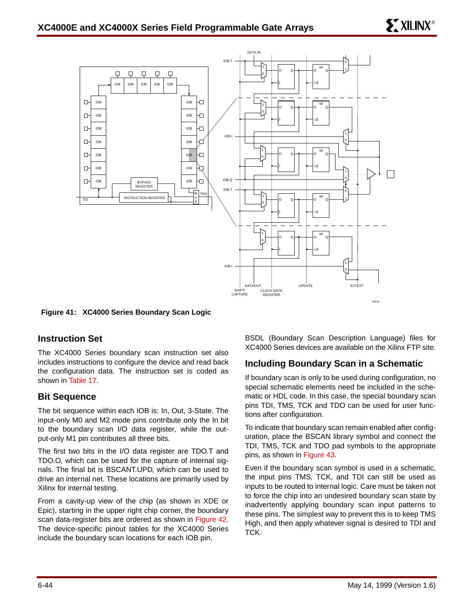

**Figure 41: XC4000 Series Boundary Scan Logic**

## **Instruction Set**

The XC4000 Series boundary scan instruction set also includes instructions to configure the device and read back the configuration data. The instruction set is coded as shown in Table 17.

## **Bit Sequence**

The bit sequence within each IOB is: In, Out, 3-State. The input-only M0 and M2 mode pins contribute only the In bit to the boundary scan I/O data register, while the output-only M1 pin contributes all three bits.

The first two bits in the I/O data register are TDO.T and TDO.O, which can be used for the capture of internal signals. The final bit is BSCANT.UPD, which can be used to drive an internal net. These locations are primarily used by Xilinx for internal testing.

From a cavity-up view of the chip (as shown in XDE or Epic), starting in the upper right chip corner, the boundary scan data-register bits are ordered as shown in Figure 42. The device-specific pinout tables for the XC4000 Series include the boundary scan locations for each IOB pin.

BSDL (Boundary Scan Description Language) files for XC4000 Series devices are available on the Xilinx FTP site.

## **Including Boundary Scan in a Schematic**

If boundary scan is only to be used during configuration, no special schematic elements need be included in the schematic or HDL code. In this case, the special boundary scan pins TDI, TMS, TCK and TDO can be used for user functions after configuration.

To indicate that boundary scan remain enabled after configuration, place the BSCAN library symbol and connect the TDI, TMS, TCK and TDO pad symbols to the appropriate pins, as shown in Figure 43.

Even if the boundary scan symbol is used in a schematic, the input pins TMS, TCK, and TDI can still be used as inputs to be routed to internal logic. Care must be taken not to force the chip into an undesired boundary scan state by inadvertently applying boundary scan input patterns to these pins. The simplest way to prevent this is to keep TMS High, and then apply whatever signal is desired to TDI and TCK.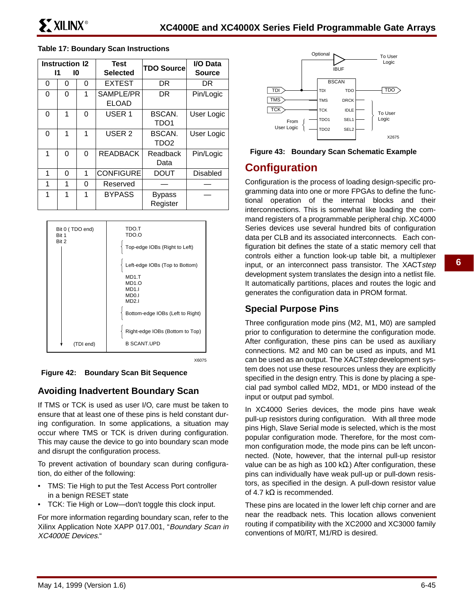|   | <b>Instruction 12</b><br>11<br>10 |   | <b>Test</b><br>Selected   | <b>TDO Source</b>          | I/O Data<br>Source |
|---|-----------------------------------|---|---------------------------|----------------------------|--------------------|
| 0 | 0                                 | 0 | <b>EXTEST</b>             | <b>DR</b>                  | DR                 |
| 0 | 0                                 | 1 | SAMPLE/PR<br><b>ELOAD</b> | DR                         | Pin/Logic          |
| 0 | 1                                 | 0 | USER <sub>1</sub>         | BSCAN.<br>TDO <sub>1</sub> | User Logic         |
| 0 | 1                                 | 1 | USER <sub>2</sub>         | BSCAN.<br>TDO <sub>2</sub> | User Logic         |
| 1 | 0                                 | 0 | <b>READBACK</b>           | Readback<br>Data           | Pin/Logic          |
| 1 | 0                                 | 1 | <b>CONFIGURE</b>          | <b>DOUT</b>                | <b>Disabled</b>    |
| 1 | 1                                 | 0 | Reserved                  |                            |                    |
| 1 | 1                                 | 1 | <b>BYPASS</b>             | <b>Bypass</b><br>Register  |                    |

#### **Table 17: Boundary Scan Instructions**



X6075

**Figure 42: Boundary Scan Bit Sequence**

## **Avoiding Inadvertent Boundary Scan**

If TMS or TCK is used as user I/O, care must be taken to ensure that at least one of these pins is held constant during configuration. In some applications, a situation may occur where TMS or TCK is driven during configuration. This may cause the device to go into boundary scan mode and disrupt the configuration process.

To prevent activation of boundary scan during configuration, do either of the following:

- TMS: Tie High to put the Test Access Port controller in a benign RESET state
- TCK: Tie High or Low—don't toggle this clock input.

For more information regarding boundary scan, refer to the Xilinx Application Note XAPP 017.001, "Boundary Scan in XC4000E Devices."



**Figure 43: Boundary Scan Schematic Example**

## **Configuration**

Configuration is the process of loading design-specific programming data into one or more FPGAs to define the functional operation of the internal blocks and their interconnections. This is somewhat like loading the command registers of a programmable peripheral chip. XC4000 Series devices use several hundred bits of configuration data per CLB and its associated interconnects. Each configuration bit defines the state of a static memory cell that controls either a function look-up table bit, a multiplexer input, or an interconnect pass transistor. The XACTstep development system translates the design into a netlist file. It automatically partitions, places and routes the logic and generates the configuration data in PROM format.

## **Special Purpose Pins**

Three configuration mode pins (M2, M1, M0) are sampled prior to configuration to determine the configuration mode. After configuration, these pins can be used as auxiliary connections. M2 and M0 can be used as inputs, and M1 can be used as an output. The XACTstep development system does not use these resources unless they are explicitly specified in the design entry. This is done by placing a special pad symbol called MD2, MD1, or MD0 instead of the input or output pad symbol.

In XC4000 Series devices, the mode pins have weak pull-up resistors during configuration. With all three mode pins High, Slave Serial mode is selected, which is the most popular configuration mode. Therefore, for the most common configuration mode, the mode pins can be left unconnected. (Note, however, that the internal pull-up resistor value can be as high as 100 kΩ.) After configuration, these pins can individually have weak pull-up or pull-down resistors, as specified in the design. A pull-down resistor value of 4.7 k $\Omega$  is recommended.

These pins are located in the lower left chip corner and are near the readback nets. This location allows convenient routing if compatibility with the XC2000 and XC3000 family conventions of M0/RT, M1/RD is desired.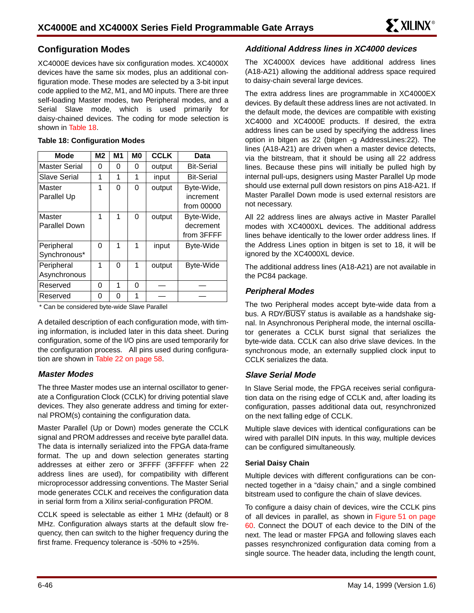## **Configuration Modes**

XC4000E devices have six configuration modes. XC4000X devices have the same six modes, plus an additional configuration mode. These modes are selected by a 3-bit input code applied to the M2, M1, and M0 inputs. There are three self-loading Master modes, two Peripheral modes, and a Serial Slave mode, which is used primarily for daisy-chained devices. The coding for mode selection is shown in Table 18.

| <b>Mode</b>          | M2 | M1 | M <sub>0</sub> | <b>CCLK</b> | <b>Data</b>       |
|----------------------|----|----|----------------|-------------|-------------------|
| <b>Master Serial</b> | 0  | 0  | 0              | output      | <b>Bit-Serial</b> |
| Slave Serial         | 1  | 1  | 1              | input       | <b>Bit-Serial</b> |
| Master               | 1  | 0  | 0              | output      | Byte-Wide,        |
| Parallel Up          |    |    |                |             | increment         |
|                      |    |    |                |             | from 00000        |
| Master               | 1  | 1  | 0              | output      | Byte-Wide,        |
| <b>Parallel Down</b> |    |    |                |             | decrement         |
|                      |    |    |                |             | from 3FFFF        |
| Peripheral           | 0  | 1  | 1              | input       | <b>Byte-Wide</b>  |
| Synchronous*         |    |    |                |             |                   |
| Peripheral           | 1  | 0  | 1              | output      | <b>Byte-Wide</b>  |
| Asynchronous         |    |    |                |             |                   |
| Reserved             | 0  | 1  | 0              |             |                   |
| Reserved             | 0  | 0  | 1              |             |                   |

#### **Table 18: Configuration Modes**

\* Can be considered byte-wide Slave Parallel

A detailed description of each configuration mode, with timing information, is included later in this data sheet. During configuration, some of the I/O pins are used temporarily for the configuration process. All pins used during configuration are shown in Table 22 on page 58.

### **Master Modes**

The three Master modes use an internal oscillator to generate a Configuration Clock (CCLK) for driving potential slave devices. They also generate address and timing for external PROM(s) containing the configuration data.

Master Parallel (Up or Down) modes generate the CCLK signal and PROM addresses and receive byte parallel data. The data is internally serialized into the FPGA data-frame format. The up and down selection generates starting addresses at either zero or 3FFFF (3FFFFF when 22 address lines are used), for compatibility with different microprocessor addressing conventions. The Master Serial mode generates CCLK and receives the configuration data in serial form from a Xilinx serial-configuration PROM.

CCLK speed is selectable as either 1 MHz (default) or 8 MHz. Configuration always starts at the default slow frequency, then can switch to the higher frequency during the first frame. Frequency tolerance is -50% to +25%.

## **Additional Address lines in XC4000 devices**

The XC4000X devices have additional address lines (A18-A21) allowing the additional address space required to daisy-chain several large devices.

The extra address lines are programmable in XC4000EX devices. By default these address lines are not activated. In the default mode, the devices are compatible with existing XC4000 and XC4000E products. If desired, the extra address lines can be used by specifying the address lines option in bitgen as 22 (bitgen -g AddressLines:22). The lines (A18-A21) are driven when a master device detects, via the bitstream, that it should be using all 22 address lines. Because these pins will initially be pulled high by internal pull-ups, designers using Master Parallel Up mode should use external pull down resistors on pins A18-A21. If Master Parallel Down mode is used external resistors are not necessary.

All 22 address lines are always active in Master Parallel modes with XC4000XL devices. The additional address lines behave identically to the lower order address lines. If the Address Lines option in bitgen is set to 18, it will be ignored by the XC4000XL device.

The additional address lines (A18-A21) are not available in the PC84 package.

### **Peripheral Modes**

The two Peripheral modes accept byte-wide data from a bus. A RDY/BUSY status is available as a handshake signal. In Asynchronous Peripheral mode, the internal oscillator generates a CCLK burst signal that serializes the byte-wide data. CCLK can also drive slave devices. In the synchronous mode, an externally supplied clock input to CCLK serializes the data.

### **Slave Serial Mode**

In Slave Serial mode, the FPGA receives serial configuration data on the rising edge of CCLK and, after loading its configuration, passes additional data out, resynchronized on the next falling edge of CCLK.

Multiple slave devices with identical configurations can be wired with parallel DIN inputs. In this way, multiple devices can be configured simultaneously.

#### **Serial Daisy Chain**

Multiple devices with different configurations can be connected together in a "daisy chain," and a single combined bitstream used to configure the chain of slave devices.

To configure a daisy chain of devices, wire the CCLK pins of all devices in parallel, as shown in Figure 51 on page 60. Connect the DOUT of each device to the DIN of the next. The lead or master FPGA and following slaves each passes resynchronized configuration data coming from a single source. The header data, including the length count,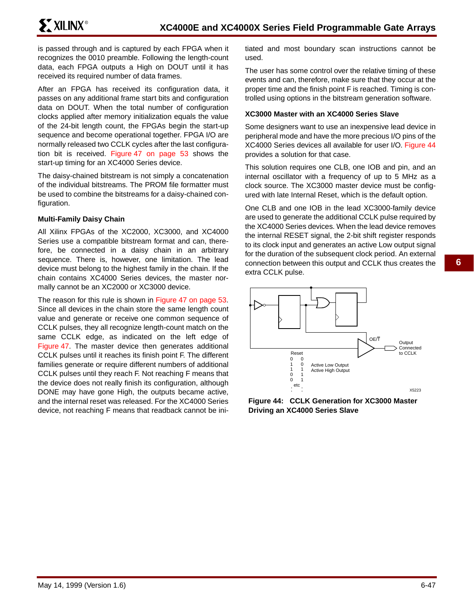is passed through and is captured by each FPGA when it recognizes the 0010 preamble. Following the length-count data, each FPGA outputs a High on DOUT until it has received its required number of data frames.

After an FPGA has received its configuration data, it passes on any additional frame start bits and configuration data on DOUT. When the total number of configuration clocks applied after memory initialization equals the value of the 24-bit length count, the FPGAs begin the start-up sequence and become operational together. FPGA I/O are normally released two CCLK cycles after the last configuration bit is received. Figure 47 on page 53 shows the start-up timing for an XC4000 Series device.

The daisy-chained bitstream is not simply a concatenation of the individual bitstreams. The PROM file formatter must be used to combine the bitstreams for a daisy-chained configuration.

#### **Multi-Family Daisy Chain**

All Xilinx FPGAs of the XC2000, XC3000, and XC4000 Series use a compatible bitstream format and can, therefore, be connected in a daisy chain in an arbitrary sequence. There is, however, one limitation. The lead device must belong to the highest family in the chain. If the chain contains XC4000 Series devices, the master normally cannot be an XC2000 or XC3000 device.

The reason for this rule is shown in Figure 47 on page 53. Since all devices in the chain store the same length count value and generate or receive one common sequence of CCLK pulses, they all recognize length-count match on the same CCLK edge, as indicated on the left edge of Figure 47. The master device then generates additional CCLK pulses until it reaches its finish point F. The different families generate or require different numbers of additional CCLK pulses until they reach F. Not reaching F means that the device does not really finish its configuration, although DONE may have gone High, the outputs became active, and the internal reset was released. For the XC4000 Series device, not reaching F means that readback cannot be initiated and most boundary scan instructions cannot be used.

The user has some control over the relative timing of these events and can, therefore, make sure that they occur at the proper time and the finish point F is reached. Timing is controlled using options in the bitstream generation software.

#### **XC3000 Master with an XC4000 Series Slave**

Some designers want to use an inexpensive lead device in peripheral mode and have the more precious I/O pins of the XC4000 Series devices all available for user I/O. Figure 44 provides a solution for that case.

This solution requires one CLB, one IOB and pin, and an internal oscillator with a frequency of up to 5 MHz as a clock source. The XC3000 master device must be configured with late Internal Reset, which is the default option.

One CLB and one IOB in the lead XC3000-family device are used to generate the additional CCLK pulse required by the XC4000 Series devices. When the lead device removes the internal RESET signal, the 2-bit shift register responds to its clock input and generates an active Low output signal for the duration of the subsequent clock period. An external connection between this output and CCLK thus creates the extra CCLK pulse.



**Figure 44: CCLK Generation for XC3000 Master Driving an XC4000 Series Slave**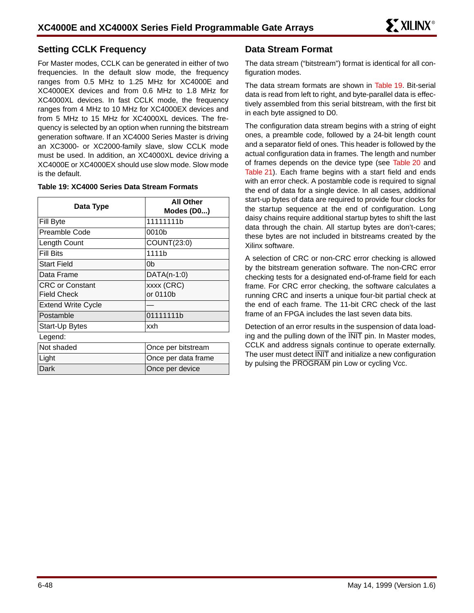## **Setting CCLK Frequency**

For Master modes, CCLK can be generated in either of two frequencies. In the default slow mode, the frequency ranges from 0.5 MHz to 1.25 MHz for XC4000E and XC4000EX devices and from 0.6 MHz to 1.8 MHz for XC4000XL devices. In fast CCLK mode, the frequency ranges from 4 MHz to 10 MHz for XC4000EX devices and from 5 MHz to 15 MHz for XC4000XL devices. The frequency is selected by an option when running the bitstream generation software. If an XC4000 Series Master is driving an XC3000- or XC2000-family slave, slow CCLK mode must be used. In addition, an XC4000XL device driving a XC4000E or XC4000EX should use slow mode. Slow mode is the default.

| Data Type                 | <b>All Other</b><br>Modes (D0) |
|---------------------------|--------------------------------|
| Fill Byte                 | 11111111b                      |
| Preamble Code             | 0010b                          |
| Length Count              | COUNT(23:0)                    |
| Fill Bits                 | 1111 <sub>b</sub>              |
| <b>Start Field</b>        | 0 <sub>b</sub>                 |
| Data Frame                | $DATA(n-1:0)$                  |
| <b>CRC or Constant</b>    | xxxx (CRC)                     |
| <b>Field Check</b>        | or 0110b                       |
| <b>Extend Write Cycle</b> |                                |
| Postamble                 | 01111111b                      |
| Start-Up Bytes            | xxh                            |
| Legend:                   |                                |
| Not shaded                | Once per bitstream             |
| Light                     | Once per data frame            |
| Dark                      | Once per device                |

#### **Table 19: XC4000 Series Data Stream Formats**

## **Data Stream Format**

The data stream ("bitstream") format is identical for all configuration modes.

The data stream formats are shown in Table 19. Bit-serial data is read from left to right, and byte-parallel data is effectively assembled from this serial bitstream, with the first bit in each byte assigned to D0.

The configuration data stream begins with a string of eight ones, a preamble code, followed by a 24-bit length count and a separator field of ones. This header is followed by the actual configuration data in frames. The length and number of frames depends on the device type (see Table 20 and Table 21). Each frame begins with a start field and ends with an error check. A postamble code is required to signal the end of data for a single device. In all cases, additional start-up bytes of data are required to provide four clocks for the startup sequence at the end of configuration. Long daisy chains require additional startup bytes to shift the last data through the chain. All startup bytes are don't-cares; these bytes are not included in bitstreams created by the Xilinx software.

A selection of CRC or non-CRC error checking is allowed by the bitstream generation software. The non-CRC error checking tests for a designated end-of-frame field for each frame. For CRC error checking, the software calculates a running CRC and inserts a unique four-bit partial check at the end of each frame. The 11-bit CRC check of the last frame of an FPGA includes the last seven data bits.

Detection of an error results in the suspension of data loading and the pulling down of the INIT pin. In Master modes, CCLK and address signals continue to operate externally. The user must detect  $\overline{\text{INIT}}$  and initialize a new configuration by pulsing the PROGRAM pin Low or cycling Vcc.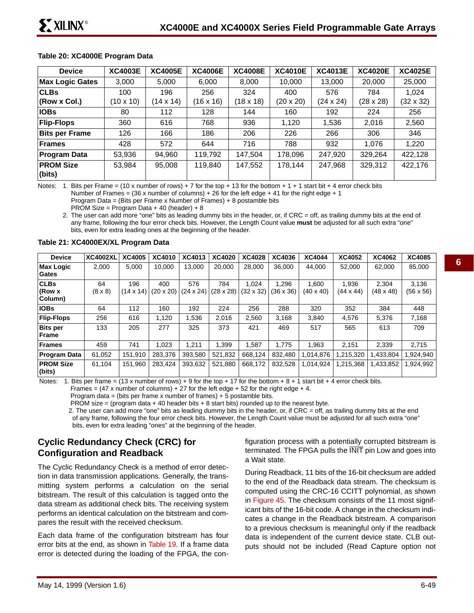#### **Table 20: XC4000E Program Data**

| <b>Device</b>          | <b>XC4003E</b>   | <b>XC4005E</b> | <b>XC4006E</b> | <b>XC4008E</b> | <b>XC4010E</b>   | <b>XC4013E</b>   | <b>XC4020E</b>   | <b>XC4025E</b>   |
|------------------------|------------------|----------------|----------------|----------------|------------------|------------------|------------------|------------------|
| <b>Max Logic Gates</b> | 3,000            | 5,000          | 6,000          | 8,000          | 10,000           | 13,000           | 20,000           | 25,000           |
| <b>CLBs</b>            | 100              | 196            | 256            | 324            | 400              | 576              | 784              | 1,024            |
| (Row x Col.)           | $(10 \times 10)$ | (14 x 14)      | (16 x 16)      | (18 x 18)      | $(20 \times 20)$ | $(24 \times 24)$ | $(28 \times 28)$ | $(32 \times 32)$ |
| <b>IOBs</b>            | 80               | 112            | 128            | 144            | 160              | 192              | 224              | 256              |
| <b>Flip-Flops</b>      | 360              | 616            | 768            | 936            | 1,120            | 1,536            | 2,016            | 2,560            |
| <b>Bits per Frame</b>  | 126              | 166            | 186            | 206            | 226              | 266              | 306              | 346              |
| <b>Frames</b>          | 428              | 572            | 644            | 716            | 788              | 932              | 1.076            | 1,220            |
| <b>Program Data</b>    | 53,936           | 94,960         | 119,792        | 147,504        | 178,096          | 247,920          | 329,264          | 422,128          |
| <b>PROM Size</b>       | 53,984           | 95,008         | 119.840        | 147,552        | 178,144          | 247,968          | 329,312          | 422,176          |
| (bits)                 |                  |                |                |                |                  |                  |                  |                  |

Notes: 1. Bits per Frame = (10 x number of rows) + 7 for the top + 13 for the bottom + 1 + 1 start bit + 4 error check bits Number of Frames =  $(36 \times$  number of columns) + 26 for the left edge + 41 for the right edge + 1

Program Data = (Bits per Frame x Number of Frames) + 8 postamble bits

PROM Size = Program Data + 40 (header) + 8

2. The user can add more "one" bits as leading dummy bits in the header, or, if CRC = off, as trailing dummy bits at the end of any frame, following the four error check bits. However, the Length Count value **must** be adjusted for all such extra "one" bits, even for extra leading ones at the beginning of the header.

#### **Table 21: XC4000EX/XL Program Data**

| <b>Device</b>                         | <b>XC4002XL</b>      | XC4005                  | XC4010                  | XC4013                  | <b>XC4020</b>           | <b>XC4028</b>             | XC4036                    | <b>XC4044</b>             | <b>XC4052</b>             | <b>XC4062</b>             | <b>XC4085</b>             |
|---------------------------------------|----------------------|-------------------------|-------------------------|-------------------------|-------------------------|---------------------------|---------------------------|---------------------------|---------------------------|---------------------------|---------------------------|
| <b>Max Logic</b><br>Gates             | 2.000                | 5.000                   | 10.000                  | 13.000                  | 20.000                  | 28,000                    | 36,000                    | 44.000                    | 52.000                    | 62,000                    | 85,000                    |
| <b>CLBs</b><br>$ $ (Row x<br> Column) | 64<br>$(8 \times 8)$ | 196<br>$(14 \times 14)$ | 400<br>$(20 \times 20)$ | 576<br>$(24 \times 24)$ | 784<br>$(28 \times 28)$ | 1.024<br>$(32 \times 32)$ | 1.296<br>$(36 \times 36)$ | 1.600<br>$(40 \times 40)$ | 1.936<br>$(44 \times 44)$ | 2.304<br>$(48 \times 48)$ | 3,136<br>$(56 \times 56)$ |
| <b>IOBs</b>                           | 64                   | 112                     | 160                     | 192                     | 224                     | 256                       | 288                       | 320                       | 352                       | 384                       | 448                       |
| <b>Flip-Flops</b>                     | 256                  | 616                     | 1.120                   | 1,536                   | 2,016                   | 2,560                     | 3.168                     | 3.840                     | 4,576                     | 5.376                     | 7,168                     |
| <b>Bits per</b><br>Frame              | 133                  | 205                     | 277                     | 325                     | 373                     | 421                       | 469                       | 517                       | 565                       | 613                       | 709                       |
| Frames                                | 459                  | 741                     | 1.023                   | 1.211                   | 1.399                   | 1.587                     | 1.775                     | 1,963                     | 2,151                     | 2,339                     | 2,715                     |
| <b>Program Data</b>                   | 61,052               | 151.910                 | 283.376                 | 393.580                 | 521,832                 | 668.124                   | 832.480                   | 1,014,876                 | 1,215,320                 | 433,804                   | 1,924,940                 |
| <b>PROM Size</b><br>(bits)            | 61.104               | 151,960                 | 283.424                 | 393,632                 | 521,880                 | 668.172                   | 832,528                   | 1,014,924                 | 1,215,368                 | 1,433,852                 | 1,924,992                 |

Notes: 1. Bits per frame =  $(13 \times$  number of rows) + 9 for the top + 17 for the bottom + 8 + 1 start bit + 4 error check bits.

Frames =  $(47 \times$  number of columns) + 27 for the left edge + 52 for the right edge + 4.

Program data = (bits per frame x number of frames)  $+5$  postamble bits.

PROM size = (program data  $+40$  header bits  $+8$  start bits) rounded up to the nearest byte.

2. The user can add more "one" bits as leading dummy bits in the header, or, if CRC = off, as trailing dummy bits at the end

of any frame, following the four error check bits. However, the Length Count value must be adjusted for all such extra "one" bits, even for extra leading "ones" at the beginning of the header.

## **Cyclic Redundancy Check (CRC) for Configuration and Readback**

The Cyclic Redundancy Check is a method of error detection in data transmission applications. Generally, the transmitting system performs a calculation on the serial bitstream. The result of this calculation is tagged onto the data stream as additional check bits. The receiving system performs an identical calculation on the bitstream and compares the result with the received checksum.

Each data frame of the configuration bitstream has four error bits at the end, as shown in Table 19. If a frame data error is detected during the loading of the FPGA, the configuration process with a potentially corrupted bitstream is terminated. The FPGA pulls the INIT pin Low and goes into a Wait state.

During Readback, 11 bits of the 16-bit checksum are added to the end of the Readback data stream. The checksum is computed using the CRC-16 CCITT polynomial, as shown in Figure 45. The checksum consists of the 11 most significant bits of the 16-bit code. A change in the checksum indicates a change in the Readback bitstream. A comparison to a previous checksum is meaningful only if the readback data is independent of the current device state. CLB outputs should not be included (Read Capture option not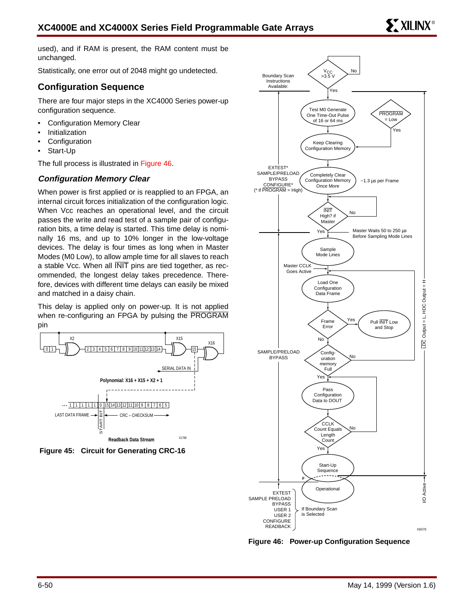used), and if RAM is present, the RAM content must be unchanged.

Statistically, one error out of 2048 might go undetected.

## **Configuration Sequence**

There are four major steps in the XC4000 Series power-up configuration sequence.

- Configuration Memory Clear
- **Initialization**
- **Configuration**
- Start-Up

The full process is illustrated in Figure 46.

## **Configuration Memory Clear**

When power is first applied or is reapplied to an FPGA, an internal circuit forces initialization of the configuration logic. When Vcc reaches an operational level, and the circuit passes the write and read test of a sample pair of configuration bits, a time delay is started. This time delay is nominally 16 ms, and up to 10% longer in the low-voltage devices. The delay is four times as long when in Master Modes (M0 Low), to allow ample time for all slaves to reach a stable Vcc. When all INIT pins are tied together, as recommended, the longest delay takes precedence. Therefore, devices with different time delays can easily be mixed and matched in a daisy chain.

This delay is applied only on power-up. It is not applied when re-configuring an FPGA by pulsing the PROGRAM pin







**Figure 46: Power-up Configuration Sequence**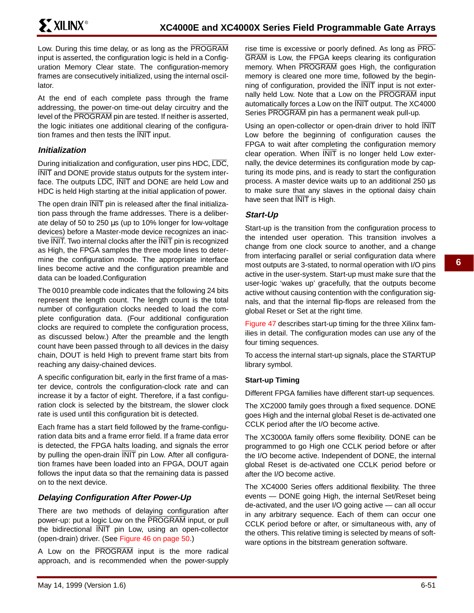Low. During this time delay, or as long as the PROGRAM input is asserted, the configuration logic is held in a Configuration Memory Clear state. The configuration-memory frames are consecutively initialized, using the internal oscillator.

At the end of each complete pass through the frame addressing, the power-on time-out delay circuitry and the level of the PROGRAM pin are tested. If neither is asserted, the logic initiates one additional clearing of the configuration frames and then tests the INIT input.

## **Initialization**

During initialization and configuration, user pins HDC, LDC, INIT and DONE provide status outputs for the system interface. The outputs LDC, INIT and DONE are held Low and HDC is held High starting at the initial application of power.

The open drain INIT pin is released after the final initialization pass through the frame addresses. There is a deliberate delay of 50 to 250 µs (up to 10% longer for low-voltage devices) before a Master-mode device recognizes an inactive INIT. Two internal clocks after the INIT pin is recognized as High, the FPGA samples the three mode lines to determine the configuration mode. The appropriate interface lines become active and the configuration preamble and data can be loaded.Configuration

The 0010 preamble code indicates that the following 24 bits represent the length count. The length count is the total number of configuration clocks needed to load the complete configuration data. (Four additional configuration clocks are required to complete the configuration process, as discussed below.) After the preamble and the length count have been passed through to all devices in the daisy chain, DOUT is held High to prevent frame start bits from reaching any daisy-chained devices.

A specific configuration bit, early in the first frame of a master device, controls the configuration-clock rate and can increase it by a factor of eight. Therefore, if a fast configuration clock is selected by the bitstream, the slower clock rate is used until this configuration bit is detected.

Each frame has a start field followed by the frame-configuration data bits and a frame error field. If a frame data error is detected, the FPGA halts loading, and signals the error by pulling the open-drain INIT pin Low. After all configuration frames have been loaded into an FPGA, DOUT again follows the input data so that the remaining data is passed on to the next device.

## **Delaying Configuration After Power-Up**

There are two methods of delaying configuration after power-up: put a logic Low on the PROGRAM input, or pull the bidirectional INIT pin Low, using an open-collector (open-drain) driver. (See Figure 46 on page 50.)

A Low on the PROGRAM input is the more radical approach, and is recommended when the power-supply rise time is excessive or poorly defined. As long as PRO-GRAM is Low, the FPGA keeps clearing its configuration memory. When PROGRAM goes High, the configuration memory is cleared one more time, followed by the beginning of configuration, provided the INIT input is not externally held Low. Note that a Low on the PROGRAM input automatically forces a Low on the INIT output. The XC4000 Series PROGRAM pin has a permanent weak pull-up.

Using an open-collector or open-drain driver to hold INIT Low before the beginning of configuration causes the FPGA to wait after completing the configuration memory clear operation. When INIT is no longer held Low externally, the device determines its configuration mode by capturing its mode pins, and is ready to start the configuration process. A master device waits up to an additional 250 µs to make sure that any slaves in the optional daisy chain have seen that  $\overline{\text{NIT}}$  is High.

## **Start-Up**

Start-up is the transition from the configuration process to the intended user operation. This transition involves a change from one clock source to another, and a change from interfacing parallel or serial configuration data where most outputs are 3-stated, to normal operation with I/O pins active in the user-system. Start-up must make sure that the user-logic 'wakes up' gracefully, that the outputs become active without causing contention with the configuration signals, and that the internal flip-flops are released from the global Reset or Set at the right time.

Figure 47 describes start-up timing for the three Xilinx families in detail. The configuration modes can use any of the four timing sequences.

To access the internal start-up signals, place the STARTUP library symbol.

### **Start-up Timing**

Different FPGA families have different start-up sequences.

The XC2000 family goes through a fixed sequence. DONE goes High and the internal global Reset is de-activated one CCLK period after the I/O become active.

The XC3000A family offers some flexibility. DONE can be programmed to go High one CCLK period before or after the I/O become active. Independent of DONE, the internal global Reset is de-activated one CCLK period before or after the I/O become active.

The XC4000 Series offers additional flexibility. The three events — DONE going High, the internal Set/Reset being de-activated, and the user I/O going active — can all occur in any arbitrary sequence. Each of them can occur one CCLK period before or after, or simultaneous with, any of the others. This relative timing is selected by means of software options in the bitstream generation software.

**6**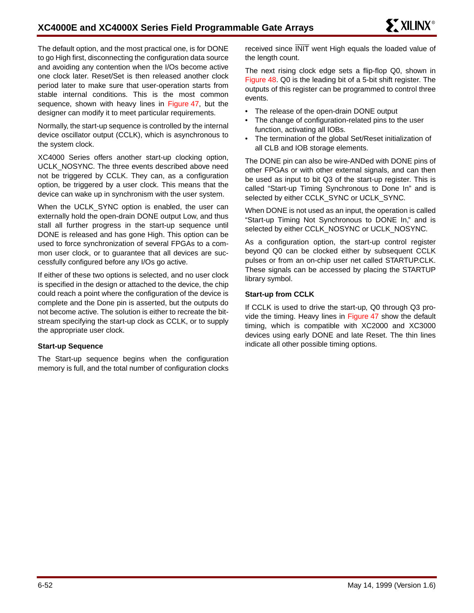The default option, and the most practical one, is for DONE to go High first, disconnecting the configuration data source and avoiding any contention when the I/Os become active one clock later. Reset/Set is then released another clock period later to make sure that user-operation starts from stable internal conditions. This is the most common sequence, shown with heavy lines in Figure 47, but the designer can modify it to meet particular requirements.

Normally, the start-up sequence is controlled by the internal device oscillator output (CCLK), which is asynchronous to the system clock.

XC4000 Series offers another start-up clocking option, UCLK\_NOSYNC. The three events described above need not be triggered by CCLK. They can, as a configuration option, be triggered by a user clock. This means that the device can wake up in synchronism with the user system.

When the UCLK\_SYNC option is enabled, the user can externally hold the open-drain DONE output Low, and thus stall all further progress in the start-up sequence until DONE is released and has gone High. This option can be used to force synchronization of several FPGAs to a common user clock, or to guarantee that all devices are successfully configured before any I/Os go active.

If either of these two options is selected, and no user clock is specified in the design or attached to the device, the chip could reach a point where the configuration of the device is complete and the Done pin is asserted, but the outputs do not become active. The solution is either to recreate the bitstream specifying the start-up clock as CCLK, or to supply the appropriate user clock.

#### **Start-up Sequence**

The Start-up sequence begins when the configuration memory is full, and the total number of configuration clocks received since INIT went High equals the loaded value of the length count.

The next rising clock edge sets a flip-flop Q0, shown in Figure 48. Q0 is the leading bit of a 5-bit shift register. The outputs of this register can be programmed to control three events.

- The release of the open-drain DONE output
- The change of configuration-related pins to the user function, activating all IOBs.
- The termination of the global Set/Reset initialization of all CLB and IOB storage elements.

The DONE pin can also be wire-ANDed with DONE pins of other FPGAs or with other external signals, and can then be used as input to bit Q3 of the start-up register. This is called "Start-up Timing Synchronous to Done In" and is selected by either CCLK\_SYNC or UCLK\_SYNC.

When DONE is not used as an input, the operation is called "Start-up Timing Not Synchronous to DONE In," and is selected by either CCLK\_NOSYNC or UCLK\_NOSYNC.

As a configuration option, the start-up control register beyond Q0 can be clocked either by subsequent CCLK pulses or from an on-chip user net called STARTUP.CLK. These signals can be accessed by placing the STARTUP library symbol.

#### **Start-up from CCLK**

If CCLK is used to drive the start-up, Q0 through Q3 provide the timing. Heavy lines in Figure 47 show the default timing, which is compatible with XC2000 and XC3000 devices using early DONE and late Reset. The thin lines indicate all other possible timing options.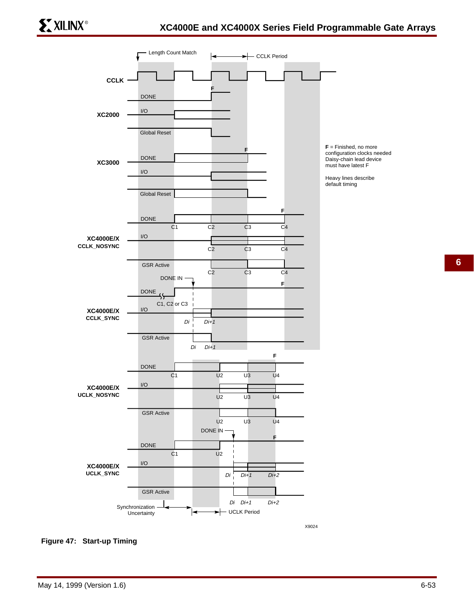

**F** = Finished, no more configuration clocks needed Daisy-chain lead device must have latest F

Heavy lines describe default timing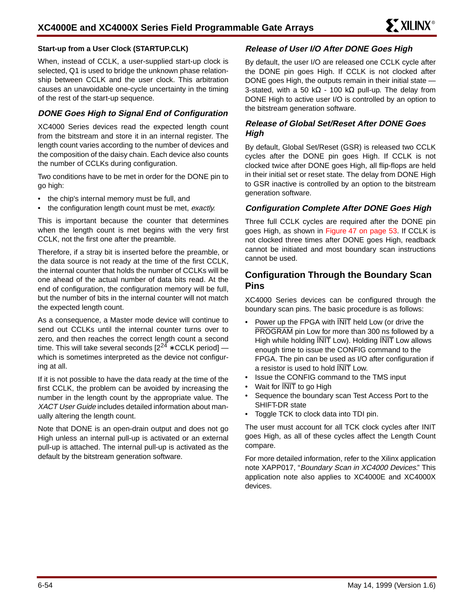#### **Start-up from a User Clock (STARTUP.CLK)**

When, instead of CCLK, a user-supplied start-up clock is selected, Q1 is used to bridge the unknown phase relationship between CCLK and the user clock. This arbitration causes an unavoidable one-cycle uncertainty in the timing of the rest of the start-up sequence.

### **DONE Goes High to Signal End of Configuration**

XC4000 Series devices read the expected length count from the bitstream and store it in an internal register. The length count varies according to the number of devices and the composition of the daisy chain. Each device also counts the number of CCLKs during configuration.

Two conditions have to be met in order for the DONE pin to go high:

- the chip's internal memory must be full, and
- the configuration length count must be met, exactly.

This is important because the counter that determines when the length count is met begins with the very first CCLK, not the first one after the preamble.

Therefore, if a stray bit is inserted before the preamble, or the data source is not ready at the time of the first CCLK, the internal counter that holds the number of CCLKs will be one ahead of the actual number of data bits read. At the end of configuration, the configuration memory will be full, but the number of bits in the internal counter will not match the expected length count.

As a consequence, a Master mode device will continue to send out CCLKs until the internal counter turns over to zero, and then reaches the correct length count a second time. This will take several seconds  $[2^{24} * CCLK$  period] which is sometimes interpreted as the device not configuring at all.

If it is not possible to have the data ready at the time of the first CCLK, the problem can be avoided by increasing the number in the length count by the appropriate value. The XACT User Guide includes detailed information about manually altering the length count.

Note that DONE is an open-drain output and does not go High unless an internal pull-up is activated or an external pull-up is attached. The internal pull-up is activated as the default by the bitstream generation software.

## **Release of User I/O After DONE Goes High**

By default, the user I/O are released one CCLK cycle after the DONE pin goes High. If CCLK is not clocked after DONE goes High, the outputs remain in their initial state — 3-stated, with a 50 k $\Omega$  - 100 k $\Omega$  pull-up. The delay from DONE High to active user I/O is controlled by an option to the bitstream generation software.

## **Release of Global Set/Reset After DONE Goes High**

By default, Global Set/Reset (GSR) is released two CCLK cycles after the DONE pin goes High. If CCLK is not clocked twice after DONE goes High, all flip-flops are held in their initial set or reset state. The delay from DONE High to GSR inactive is controlled by an option to the bitstream generation software.

#### **Configuration Complete After DONE Goes High**

Three full CCLK cycles are required after the DONE pin goes High, as shown in Figure 47 on page 53. If CCLK is not clocked three times after DONE goes High, readback cannot be initiated and most boundary scan instructions cannot be used.

## **Configuration Through the Boundary Scan Pins**

XC4000 Series devices can be configured through the boundary scan pins. The basic procedure is as follows:

- Power up the FPGA with  $\overline{\text{INIT}}$  held Low (or drive the PROGRAM pin Low for more than 300 ns followed by a High while holding INIT Low). Holding INIT Low allows enough time to issue the CONFIG command to the FPGA. The pin can be used as I/O after configuration if a resistor is used to hold INIT Low.
- Issue the CONFIG command to the TMS input
- Wait for  $\overline{\text{NIT}}$  to go High
- Sequence the boundary scan Test Access Port to the SHIFT-DR state
- Toggle TCK to clock data into TDI pin.

The user must account for all TCK clock cycles after INIT goes High, as all of these cycles affect the Length Count compare.

For more detailed information, refer to the Xilinx application note XAPP017, "Boundary Scan in XC4000 Devices." This application note also applies to XC4000E and XC4000X devices.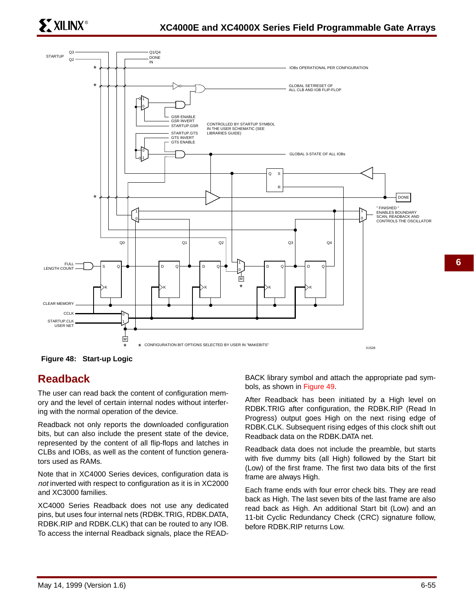



**Figure 48: Start-up Logic**

## **Readback**

The user can read back the content of configuration memory and the level of certain internal nodes without interfering with the normal operation of the device.

Readback not only reports the downloaded configuration bits, but can also include the present state of the device, represented by the content of all flip-flops and latches in CLBs and IOBs, as well as the content of function generators used as RAMs.

Note that in XC4000 Series devices, configuration data is not inverted with respect to configuration as it is in XC2000 and XC3000 families.

XC4000 Series Readback does not use any dedicated pins, but uses four internal nets (RDBK.TRIG, RDBK.DATA, RDBK.RIP and RDBK.CLK) that can be routed to any IOB. To access the internal Readback signals, place the READ-

BACK library symbol and attach the appropriate pad symbols, as shown in Figure 49.

After Readback has been initiated by a High level on RDBK.TRIG after configuration, the RDBK.RIP (Read In Progress) output goes High on the next rising edge of RDBK.CLK. Subsequent rising edges of this clock shift out Readback data on the RDBK.DATA net.

Readback data does not include the preamble, but starts with five dummy bits (all High) followed by the Start bit (Low) of the first frame. The first two data bits of the first frame are always High.

Each frame ends with four error check bits. They are read back as High. The last seven bits of the last frame are also read back as High. An additional Start bit (Low) and an 11-bit Cyclic Redundancy Check (CRC) signature follow, before RDBK.RIP returns Low.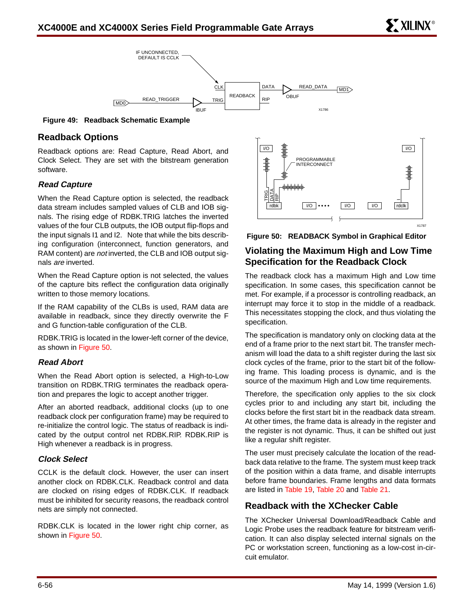

**Figure 49: Readback Schematic Example**

## **Readback Options**

Readback options are: Read Capture, Read Abort, and Clock Select. They are set with the bitstream generation software.

### **Read Capture**

When the Read Capture option is selected, the readback data stream includes sampled values of CLB and IOB signals. The rising edge of RDBK.TRIG latches the inverted values of the four CLB outputs, the IOB output flip-flops and the input signals I1 and I2. Note that while the bits describing configuration (interconnect, function generators, and RAM content) are not inverted, the CLB and IOB output signals are inverted.

When the Read Capture option is not selected, the values of the capture bits reflect the configuration data originally written to those memory locations.

If the RAM capability of the CLBs is used, RAM data are available in readback, since they directly overwrite the F and G function-table configuration of the CLB.

RDBK.TRIG is located in the lower-left corner of the device, as shown in Figure 50.

### **Read Abort**

When the Read Abort option is selected, a High-to-Low transition on RDBK.TRIG terminates the readback operation and prepares the logic to accept another trigger.

After an aborted readback, additional clocks (up to one readback clock per configuration frame) may be required to re-initialize the control logic. The status of readback is indicated by the output control net RDBK.RIP. RDBK.RIP is High whenever a readback is in progress.

### **Clock Select**

CCLK is the default clock. However, the user can insert another clock on RDBK.CLK. Readback control and data are clocked on rising edges of RDBK.CLK. If readback must be inhibited for security reasons, the readback control nets are simply not connected.

RDBK.CLK is located in the lower right chip corner, as shown in Figure 50.



**Figure 50: READBACK Symbol in Graphical Editor**

## **Violating the Maximum High and Low Time Specification for the Readback Clock**

The readback clock has a maximum High and Low time specification. In some cases, this specification cannot be met. For example, if a processor is controlling readback, an interrupt may force it to stop in the middle of a readback. This necessitates stopping the clock, and thus violating the specification.

The specification is mandatory only on clocking data at the end of a frame prior to the next start bit. The transfer mechanism will load the data to a shift register during the last six clock cycles of the frame, prior to the start bit of the following frame. This loading process is dynamic, and is the source of the maximum High and Low time requirements.

Therefore, the specification only applies to the six clock cycles prior to and including any start bit, including the clocks before the first start bit in the readback data stream. At other times, the frame data is already in the register and the register is not dynamic. Thus, it can be shifted out just like a regular shift register.

The user must precisely calculate the location of the readback data relative to the frame. The system must keep track of the position within a data frame, and disable interrupts before frame boundaries. Frame lengths and data formats are listed in Table 19, Table 20 and Table 21.

## **Readback with the XChecker Cable**

The XChecker Universal Download/Readback Cable and Logic Probe uses the readback feature for bitstream verification. It can also display selected internal signals on the PC or workstation screen, functioning as a low-cost in-circuit emulator.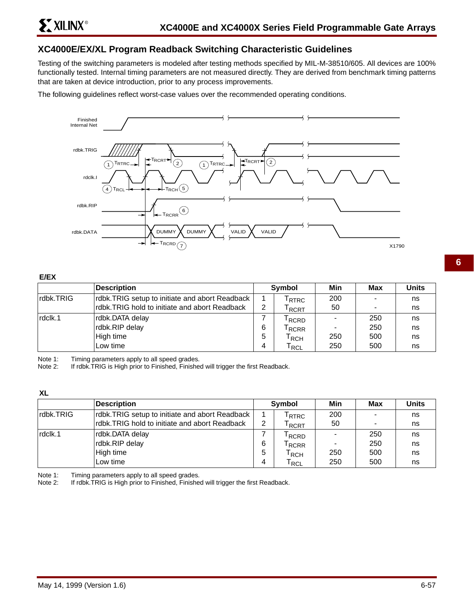## **XC4000E/EX/XL Program Readback Switching Characteristic Guidelines**

Testing of the switching parameters is modeled after testing methods specified by MIL-M-38510/605. All devices are 100% functionally tested. Internal timing parameters are not measured directly. They are derived from benchmark timing patterns that are taken at device introduction, prior to any process improvements.

The following guidelines reflect worst-case values over the recommended operating conditions.



#### **E/EX**

|           | <b>Description</b>                             |   | Symbol                       | Min             | <b>Max</b> | <b>Units</b> |
|-----------|------------------------------------------------|---|------------------------------|-----------------|------------|--------------|
| rdbk.TRIG | rdbk.TRIG setup to initiate and abort Readback |   | <sup>I</sup> RTRC            | 200             |            | ns           |
|           | rdbk.TRIG hold to initiate and abort Readback  | ົ | $\mathsf{r}_{\mathsf{RCRT}}$ | 50              |            | ns           |
| rdclk.1   | rdbk.DATA delay                                |   | <sup>I</sup> RCRD            |                 | 250        | ns           |
|           | rdbk.RIP delay                                 | 6 | $\mathsf{F}_{\mathsf{RCRR}}$ | $\qquad \qquad$ | 250        | ns           |
|           | High time                                      | 5 | l RCH                        | 250             | 500        | ns           |
|           | Low time                                       | 4 | $\mathsf{r}_\mathsf{RCL}$    | 250             | 500        | ns           |

Note 1: Timing parameters apply to all speed grades.<br>Note 2: If rdbk.TRIG is High prior to Finished, Finishe

If rdbk.TRIG is High prior to Finished, Finished will trigger the first Readback.

#### **XL**

|            | Description                                    |   | Symbol                      | Min | Max                      | <b>Units</b> |
|------------|------------------------------------------------|---|-----------------------------|-----|--------------------------|--------------|
| Irdbk.TRIG | rdbk.TRIG setup to initiate and abort Readback |   | <sup>I</sup> RTRC           | 200 |                          | ns           |
|            | rdbk.TRIG hold to initiate and abort Readback  | 2 | l RCRT                      | 50  | $\overline{\phantom{0}}$ | ns           |
| rdclk.1    | rdbk.DATA delay                                |   | <sup>I</sup> RCRD           |     | 250                      | ns           |
|            | rdbk.RIP delay                                 | 6 | <sup>I</sup> RCRR           |     | 250                      | ns           |
|            | High time                                      | 5 | $\mathsf{r}_{\mathsf{RCH}}$ | 250 | 500                      | ns           |
|            | Low time                                       | 4 | T <sub>RCL</sub>            | 250 | 500                      | ns           |

Note 1: Timing parameters apply to all speed grades.<br>Note 2: If rdbk.TRIG is High prior to Finished, Finishe

If rdbk.TRIG is High prior to Finished, Finished will trigger the first Readback.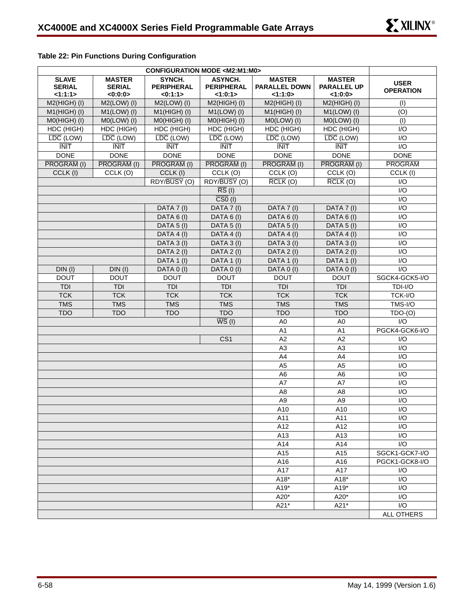| <b>Table 22: Pin Functions During Configuration</b> |  |
|-----------------------------------------------------|--|
|-----------------------------------------------------|--|

| <b>SLAVE</b><br><b>SERIAL</b><br><1:1:1> | <b>MASTER</b><br><b>SERIAL</b><br><0:0:0> | SYNCH.<br><b>PERIPHERAL</b><br>< 0:1:1> | <b>ASYNCH.</b><br><b>PERIPHERAL</b><br><1:0:1> | <b>MASTER</b><br><b>PARALLEL DOWN</b><br>1:1:0> | <b>MASTER</b><br><b>PARALLEL UP</b><br><1:0:0> | <b>USER</b><br><b>OPERATION</b> |
|------------------------------------------|-------------------------------------------|-----------------------------------------|------------------------------------------------|-------------------------------------------------|------------------------------------------------|---------------------------------|
| $M2(HIGH)$ (I)                           | $M2(LOW)$ (I)                             | $M2(LOW)$ (I)                           | $M2(HIGH)$ (I)                                 | $M2(HIGH)$ (I)                                  | $M2(HIGH)$ (I)                                 | (1)                             |
| $M1(HIGH)$ (I)                           | $M1(LOW)$ (I)                             | $M1(HIGH)$ (I)                          | $M1(LOW)$ (I)                                  | $M1(HIGH)$ (I)                                  | $M1(LOW)$ (I)                                  | (O)                             |
| M0(HIGH) (I)                             | M0(LOW) (I)                               | M0(HIGH) (I)                            | $MO(HIGH)$ (I)                                 | $MO(LOW)$ (I)                                   | M0(LOW) (I)                                    | (1)                             |
| HDC (HIGH)                               | HDC (HIGH)                                | HDC (HIGH)                              | HDC (HIGH)                                     | HDC (HIGH)                                      | HDC (HIGH)                                     | 1/O                             |
| LDC (LOW)                                | $\overline{LDC}$ (LOW)                    | $\overline{LDC}$ (LOW)                  | $\overline{LDC}$ (LOW)                         | $\overline{\text{LDC}}$ (LOW)                   | $\overline{\text{LDC}}$ (LOW)                  | I/O                             |
| <b>INIT</b>                              | <b>INIT</b>                               | <b>INIT</b>                             | <b>INIT</b>                                    | <b>INIT</b>                                     | <b>INIT</b>                                    | I/O                             |
| <b>DONE</b>                              | <b>DONE</b>                               | <b>DONE</b>                             | <b>DONE</b>                                    | <b>DONE</b>                                     | <b>DONE</b>                                    | <b>DONE</b>                     |
| PROGRAM (I)                              | PROGRAM (I)                               | PROGRAM (I)                             | <b>PROGRAM (I)</b>                             | PROGRAM (I)                                     | <b>PROGRAM (I)</b>                             | <b>PROGRAM</b>                  |
| CCLK (I)                                 | CCLK (O)                                  | CCLK (I)                                | CCLK (O)                                       | CCLK (O)                                        | CCLK (O)                                       | CCLK (I)                        |
|                                          |                                           | RDY/BUSY (O)                            | RDY/BUSY (O)                                   | $\overline{RCLK}$ (O)                           | $\overline{RCLK}$ (O)                          | I/O                             |
|                                          |                                           |                                         | $\overline{\text{RS}}$ (I)                     |                                                 |                                                | $\mathsf{I}/\mathsf{O}$         |
|                                          |                                           |                                         | $\overline{CS0}$ (I)                           |                                                 |                                                | $\mathsf{I}/\mathsf{O}$         |
|                                          |                                           | DATA 7 (I)                              | DATA 7 (I)                                     | DATA 7 (I)                                      | DATA 7 (I)                                     | 1/O                             |
|                                          |                                           | DATA 6 (I)                              | DATA 6 (I)                                     | DATA 6 (I)                                      | DATA 6 (I)                                     | 1/O                             |
|                                          |                                           | DATA 5 (I)                              | DATA 5 (I)                                     | DATA 5 (I)                                      | DATA 5 (I)                                     | 1/O                             |
|                                          |                                           | DATA 4 (I)                              | DATA 4 (I)                                     | DATA 4 (I)                                      | DATA 4 (I)                                     | 1/O                             |
|                                          |                                           | DATA 3 (I)                              | DATA 3 (I)                                     | DATA 3 (I)                                      | DATA 3 (I)                                     | 1/O                             |
|                                          |                                           | DATA 2 (I)                              | DATA 2 (I)                                     | DATA 2 (I)                                      | DATA 2 (I)                                     | 1/O                             |
|                                          |                                           | DATA 1 (I)                              | DATA 1 (I)                                     | DATA 1 (I)                                      | DATA 1 (I)                                     | $\mathsf{I}/\mathsf{O}$         |
| DIN(I)                                   | $DIN$ $(I)$                               | DATA 0 (I)                              | DATA 0 (I)                                     | DATA 0 (I)                                      | DATA 0 (I)                                     | I/O                             |
| <b>DOUT</b>                              | <b>DOUT</b>                               | <b>DOUT</b>                             | <b>DOUT</b>                                    | <b>DOUT</b>                                     | <b>DOUT</b>                                    | SGCK4-GCK5-I/O                  |
| <b>TDI</b>                               | <b>TDI</b>                                | <b>TDI</b>                              | TDI                                            | TDI                                             | TDI                                            | TDI-I/O                         |
| <b>TCK</b>                               | <b>TCK</b>                                | <b>TCK</b>                              | <b>TCK</b>                                     | <b>TCK</b>                                      | <b>TCK</b>                                     | TCK-I/O                         |
| <b>TMS</b>                               | <b>TMS</b>                                | <b>TMS</b>                              | <b>TMS</b>                                     | <b>TMS</b>                                      | <b>TMS</b>                                     | TMS-I/O                         |
| <b>TDO</b>                               | <b>TDO</b>                                | <b>TDO</b>                              | <b>TDO</b>                                     | <b>TDO</b>                                      | <b>TDO</b>                                     | $TDO-(O)$                       |
|                                          |                                           |                                         | $\overline{WS}$ (I)                            | A <sub>0</sub>                                  | A <sub>0</sub>                                 | 1/O                             |
|                                          |                                           |                                         |                                                | A1                                              | A <sub>1</sub>                                 | PGCK4-GCK6-I/O                  |
|                                          |                                           |                                         | CS <sub>1</sub>                                | A2                                              | A2                                             | $\mathsf{I}/\mathsf{O}$         |
|                                          |                                           |                                         |                                                | A <sub>3</sub>                                  | A <sub>3</sub>                                 | $\mathsf{I}/\mathsf{O}$         |
|                                          |                                           |                                         |                                                | A4                                              | A4                                             | 1/O                             |
|                                          |                                           |                                         |                                                | A <sub>5</sub>                                  | A <sub>5</sub>                                 | 1/O                             |
|                                          |                                           |                                         |                                                | A <sub>6</sub>                                  | A <sub>6</sub>                                 | $\mathsf{I}/\mathsf{O}$         |
|                                          |                                           |                                         |                                                | A7                                              | A7                                             | $\mathsf{I}/\mathsf{O}$         |
|                                          |                                           |                                         |                                                | A <sub>8</sub>                                  | A <sub>8</sub>                                 | I/O                             |
|                                          |                                           |                                         |                                                | A <sub>9</sub>                                  | A <sub>9</sub>                                 | 1/O                             |
|                                          |                                           |                                         |                                                | A10                                             | A10                                            | I/O                             |
|                                          |                                           |                                         |                                                | A11                                             | A11                                            | 1/O                             |
|                                          |                                           |                                         |                                                | A12                                             | A12                                            | 1/O                             |
|                                          |                                           |                                         |                                                | A13                                             | A13                                            | I/O                             |
|                                          |                                           |                                         |                                                | A14                                             | A14                                            | I/O                             |
|                                          |                                           |                                         |                                                | A15                                             | A15                                            | SGCK1-GCK7-I/O                  |
|                                          |                                           |                                         |                                                | A16                                             | A16                                            | PGCK1-GCK8-I/O                  |
|                                          |                                           |                                         |                                                | A17                                             | A17                                            | 1/O                             |
|                                          |                                           |                                         |                                                | A18*                                            | A18*                                           | I/O                             |
|                                          |                                           |                                         |                                                | A19*                                            | A19*                                           | I/O                             |
|                                          |                                           |                                         |                                                | A20*                                            | A20*                                           | $\overline{1/O}$                |
|                                          |                                           |                                         |                                                | A21*                                            | A21*                                           | I/O                             |
|                                          |                                           |                                         |                                                |                                                 |                                                | ALL OTHERS                      |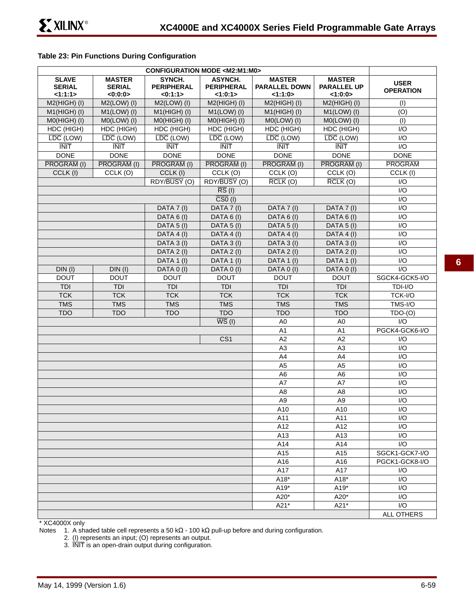### **Table 23: Pin Functions During Configuration**

| <b>SLAVE</b><br><b>SERIAL</b><br>1:1:1> | <b>MASTER</b><br><b>SERIAL</b><br><0:0:0> | SYNCH.<br><b>PERIPHERAL</b><br>< 0:1:1> | ASYNCH.<br><b>PERIPHERAL</b><br><1:0:1> | <b>MASTER</b><br><b>PARALLEL DOWN</b><br><1:1:0> | <b>MASTER</b><br><b>PARALLEL UP</b><br><1:0:0 | <b>USER</b><br><b>OPERATION</b> |
|-----------------------------------------|-------------------------------------------|-----------------------------------------|-----------------------------------------|--------------------------------------------------|-----------------------------------------------|---------------------------------|
| M2(HIGH) (I)                            | $M2(LOW)$ (I)                             | $M2(LOW)$ (I)                           | $M2(HIGH)$ (I)                          | $M2(HIGH)$ (I)                                   | $M2(HIGH)$ (I)                                | (1)                             |
| $M1(HIGH)$ (I)                          | $M1(LOW)$ (I)                             | $M1(HIGH)$ (I)                          | $M1(LOW)$ (I)                           | $M1(HIGH)$ (I)                                   | $M1(LOW)$ (I)                                 | (O)                             |
| $MO(HIGH)$ (I)                          | $MO(LOW)$ (I)                             | $MO(HIGH)$ (I)                          | M0(HIGH) (I)                            | $MO(LOW)$ (I)                                    | $MO(LOW)$ (I)                                 | (1)                             |
| HDC (HIGH)                              | HDC (HIGH)                                | HDC (HIGH)                              | HDC (HIGH)                              | HDC (HIGH)                                       | HDC (HIGH)                                    | 1/O                             |
| $\overline{\text{LDC}}$ (LOW)           | $\overline{\text{LDC}}$ (LOW)             | $\overline{LDC}$ (LOW)                  | $\overline{LDC}$ (LOW)                  | $\overline{LDC}$ (LOW)                           | $\overline{\text{LDC}}$ (LOW)                 | 1/O                             |
| $\overline{\text{INT}}$                 | $\overline{\text{INIT}}$                  | $\overline{\text{INIT}}$                | $\overline{\text{INIT}}$                | <b>INIT</b>                                      | <b>INIT</b>                                   | I/O                             |
| <b>DONE</b>                             | <b>DONE</b>                               | <b>DONE</b>                             | <b>DONE</b>                             | <b>DONE</b>                                      | <b>DONE</b>                                   | <b>DONE</b>                     |
| PROGRAM (I)                             | PROGRAM (I)                               | PROGRAM (I)                             | <b>PROGRAM (I)</b>                      | PROGRAM (I)                                      | PROGRAM (I)                                   | <b>PROGRAM</b>                  |
| CCLK (I)                                | CCLK (O)                                  | CCLK (I)                                | CCLK (O)                                | CCLK (O)                                         | CCLK (O)                                      | CCLK (I)                        |
|                                         |                                           | RDY/BUSY (O)                            | RDY/BUSY (O)                            | $\overline{RCLK}$ (O)                            | $\overline{RCLK}$ (O)                         | 1/O                             |
|                                         |                                           |                                         | $\overline{\text{RS}}$ (I)              |                                                  |                                               | I/O                             |
|                                         |                                           |                                         | $\overline{CS0}$ (I)                    |                                                  |                                               | I/O                             |
|                                         |                                           | DATA 7 (I)                              | DATA 7 (I)                              | DATA 7 (I)                                       | DATA 7 (I)                                    | I/O                             |
|                                         |                                           | DATA 6 (I)                              | DATA 6 (I)                              | DATA 6 (I)                                       | DATA 6 (I)                                    | 1/O                             |
|                                         |                                           | <b>DATA 5 (I)</b>                       | <b>DATA 5 (I)</b>                       | DATA 5 (I)                                       | DATA 5 (I)                                    | I/O                             |
|                                         |                                           | DATA 4 (I)                              | DATA 4 (I)                              | DATA 4 (I)                                       | DATA 4 (I)                                    | I/O                             |
|                                         |                                           | DATA 3 (I)                              | DATA $3(1)$                             | DATA 3 (I)                                       | DATA 3 (I)                                    | 1/O                             |
|                                         |                                           | DATA 2 (I)                              | DATA 2 (I)                              | DATA 2 (I)                                       | DATA 2 (I)                                    | 1/O                             |
|                                         |                                           | DATA 1 (I)                              | $\overline{DATA 1}$ (I)                 | DATA 1 (I)                                       | DATA 1 (I)                                    | I/O                             |
| $DIN$ (I)                               | $DIN$ (I)                                 | DATA 0 (I)                              | DATA 0 (I)                              | DATA 0 (I)                                       | DATA 0 (I)                                    | $\overline{1/O}$                |
| <b>DOUT</b>                             | <b>DOUT</b>                               | <b>DOUT</b>                             | <b>DOUT</b>                             | <b>DOUT</b>                                      | <b>DOUT</b>                                   | SGCK4-GCK5-I/O                  |
| TDI                                     | <b>TDI</b>                                | TDI                                     | TDI                                     | <b>TDI</b>                                       | <b>TDI</b>                                    | TDI-I/O                         |
| <b>TCK</b>                              | <b>TCK</b>                                | <b>TCK</b>                              | <b>TCK</b>                              | <b>TCK</b>                                       | <b>TCK</b>                                    | TCK-I/O                         |
| <b>TMS</b>                              | <b>TMS</b>                                | <b>TMS</b>                              | <b>TMS</b>                              | <b>TMS</b>                                       | <b>TMS</b>                                    | TMS-I/O                         |
| <b>TDO</b>                              | <b>TDO</b>                                | <b>TDO</b>                              | <b>TDO</b>                              | <b>TDO</b>                                       | <b>TDO</b>                                    | $TDO-(O)$                       |
|                                         |                                           |                                         | $\overline{WS}$ (I)                     | A <sub>0</sub>                                   | A <sub>0</sub>                                | I/O                             |
|                                         |                                           |                                         |                                         | A <sub>1</sub>                                   | A <sub>1</sub>                                | PGCK4-GCK6-I/O                  |
|                                         |                                           |                                         | CS <sub>1</sub>                         | A2                                               | A2                                            | I/O                             |
|                                         |                                           |                                         |                                         | A <sub>3</sub>                                   | A <sub>3</sub>                                | 1/O                             |
|                                         |                                           |                                         |                                         | A4                                               | A4                                            | I/O                             |
|                                         |                                           |                                         |                                         | A <sub>5</sub>                                   | A <sub>5</sub>                                | 1/O                             |
|                                         |                                           |                                         |                                         | A <sub>6</sub>                                   | A <sub>6</sub>                                | I/O                             |
|                                         |                                           |                                         |                                         | A7                                               | A7                                            | I/O                             |
|                                         |                                           |                                         |                                         | A <sub>8</sub>                                   | A <sub>8</sub>                                | 1/O                             |
|                                         |                                           |                                         |                                         | A <sub>9</sub>                                   | A <sub>9</sub>                                | I/O                             |
|                                         |                                           |                                         |                                         | A10                                              | A10                                           | I/O                             |
|                                         |                                           |                                         |                                         | A11                                              | A11                                           | I/O                             |
|                                         |                                           |                                         |                                         | A12                                              | A12                                           | 1/O                             |
|                                         |                                           |                                         |                                         | A13                                              | A13                                           | $\overline{1/O}$                |
|                                         |                                           |                                         |                                         | A14                                              | A14                                           | I/O                             |
|                                         |                                           |                                         |                                         | A15                                              | A15                                           | SGCK1-GCK7-I/O                  |
|                                         |                                           |                                         |                                         | A16                                              | A16                                           | PGCK1-GCK8-I/O                  |
|                                         |                                           |                                         |                                         | A17                                              | A17                                           | I/O                             |
|                                         |                                           |                                         |                                         | $A18*$                                           | A18*                                          | I/O                             |
|                                         |                                           |                                         |                                         | A19*                                             | A19*                                          | I/O                             |
|                                         |                                           |                                         |                                         | A20*                                             | A20*                                          | 1/O                             |
|                                         |                                           |                                         |                                         | A21*                                             | A21*                                          | I/O                             |
|                                         |                                           |                                         |                                         |                                                  |                                               | ALL OTHERS                      |

\* XC4000X only

Notes 1. A shaded table cell represents a 50 kΩ - 100 kΩ pull-up before and during configuration.

2. (I) represents an input; (O) represents an output.

3. INIT is an open-drain output during configuration.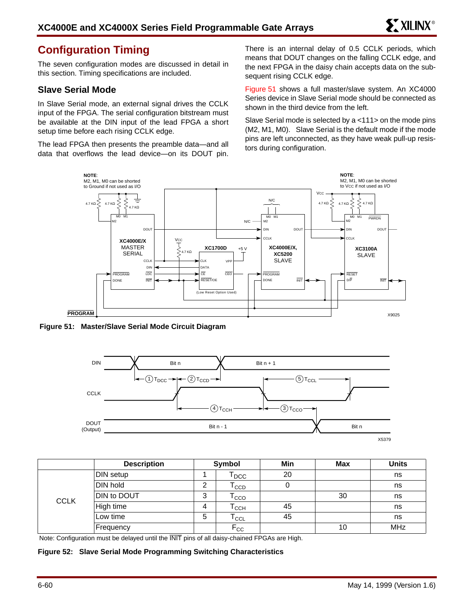## **Configuration Timing**

The seven configuration modes are discussed in detail in this section. Timing specifications are included.

## **Slave Serial Mode**

In Slave Serial mode, an external signal drives the CCLK input of the FPGA. The serial configuration bitstream must be available at the DIN input of the lead FPGA a short setup time before each rising CCLK edge.

The lead FPGA then presents the preamble data—and all data that overflows the lead device—on its DOUT pin. There is an internal delay of 0.5 CCLK periods, which means that DOUT changes on the falling CCLK edge, and the next FPGA in the daisy chain accepts data on the subsequent rising CCLK edge.

Figure 51 shows a full master/slave system. An XC4000 Series device in Slave Serial mode should be connected as shown in the third device from the left.

Slave Serial mode is selected by a <111> on the mode pins (M2, M1, M0). Slave Serial is the default mode if the mode pins are left unconnected, as they have weak pull-up resistors during configuration.



**Figure 51: Master/Slave Serial Mode Circuit Diagram**



|             | <b>Description</b> |   | Symbol                      | Min | <b>Max</b> | <b>Units</b> |
|-------------|--------------------|---|-----------------------------|-----|------------|--------------|
| <b>CCLK</b> | DIN setup          |   | l DCC.                      | 20  |            | ns           |
|             | DIN hold           | ົ | $\mathsf{T}_{\texttt{CCD}}$ | υ   |            | ns           |
|             | DIN to DOUT        | 3 | cco                         |     | 30         | ns           |
|             | High time          | 4 | Т $_{\rm CCH}$              | 45  |            | ns           |
|             | Low time           | 5 | $\mathsf{T}_{\mathsf{CCL}}$ | 45  |            | ns           |
|             | Frequency          |   | $F_{CC}$                    |     | 10         | <b>MHz</b>   |

Note: Configuration must be delayed until the INIT pins of all daisy-chained FPGAs are High.

**Figure 52: Slave Serial Mode Programming Switching Characteristics**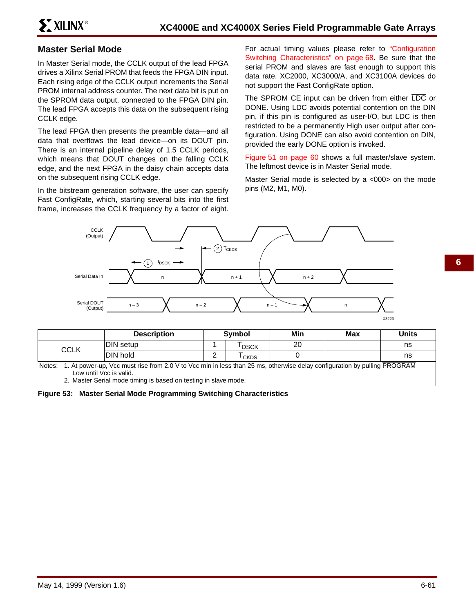## **Master Serial Mode**

In Master Serial mode, the CCLK output of the lead FPGA drives a Xilinx Serial PROM that feeds the FPGA DIN input. Each rising edge of the CCLK output increments the Serial PROM internal address counter. The next data bit is put on the SPROM data output, connected to the FPGA DIN pin. The lead FPGA accepts this data on the subsequent rising CCLK edge.

The lead FPGA then presents the preamble data—and all data that overflows the lead device—on its DOUT pin. There is an internal pipeline delay of 1.5 CCLK periods, which means that DOUT changes on the falling CCLK edge, and the next FPGA in the daisy chain accepts data on the subsequent rising CCLK edge.

In the bitstream generation software, the user can specify Fast ConfigRate, which, starting several bits into the first frame, increases the CCLK frequency by a factor of eight.

For actual timing values please refer to "Configuration Switching Characteristics" on page 68. Be sure that the serial PROM and slaves are fast enough to support this data rate. XC2000, XC3000/A, and XC3100A devices do not support the Fast ConfigRate option.

The SPROM CE input can be driven from either LDC or DONE. Using LDC avoids potential contention on the DIN pin, if this pin is configured as user- $I/O$ , but  $\overline{LDC}$  is then restricted to be a permanently High user output after configuration. Using DONE can also avoid contention on DIN, provided the early DONE option is invoked.

Figure 51 on page 60 shows a full master/slave system. The leftmost device is in Master Serial mode.

Master Serial mode is selected by a <000> on the mode pins (M2, M1, M0).



|      | <b>Description</b> |   | <b>Symbol</b> | Min | <b>Max</b> | <b>Units</b> |
|------|--------------------|---|---------------|-----|------------|--------------|
| CCLK | DIN setup          |   | <b>DSCK</b>   | 20  |            | ns           |
|      | DIN hold           | - | <b>CKDS</b>   |     |            | ns           |

Notes: 1. At power-up, Vcc must rise from 2.0 V to Vcc min in less than 25 ms, otherwise delay configuration by pulling PROGRAM Low until Vcc is valid.

2. Master Serial mode timing is based on testing in slave mode.

**Figure 53: Master Serial Mode Programming Switching Characteristics**

**6**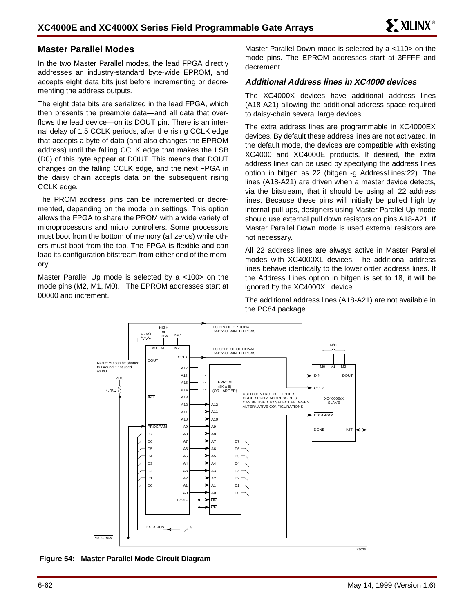## **Master Parallel Modes**

In the two Master Parallel modes, the lead FPGA directly addresses an industry-standard byte-wide EPROM, and accepts eight data bits just before incrementing or decrementing the address outputs.

The eight data bits are serialized in the lead FPGA, which then presents the preamble data—and all data that overflows the lead device—on its DOUT pin. There is an internal delay of 1.5 CCLK periods, after the rising CCLK edge that accepts a byte of data (and also changes the EPROM address) until the falling CCLK edge that makes the LSB (D0) of this byte appear at DOUT. This means that DOUT changes on the falling CCLK edge, and the next FPGA in the daisy chain accepts data on the subsequent rising CCLK edge.

The PROM address pins can be incremented or decremented, depending on the mode pin settings. This option allows the FPGA to share the PROM with a wide variety of microprocessors and micro controllers. Some processors must boot from the bottom of memory (all zeros) while others must boot from the top. The FPGA is flexible and can load its configuration bitstream from either end of the memory.

Master Parallel Up mode is selected by a <100> on the mode pins (M2, M1, M0). The EPROM addresses start at 00000 and increment.

Master Parallel Down mode is selected by a <110> on the mode pins. The EPROM addresses start at 3FFFF and decrement.

#### **Additional Address lines in XC4000 devices**

The XC4000X devices have additional address lines (A18-A21) allowing the additional address space required to daisy-chain several large devices.

The extra address lines are programmable in XC4000EX devices. By default these address lines are not activated. In the default mode, the devices are compatible with existing XC4000 and XC4000E products. If desired, the extra address lines can be used by specifying the address lines option in bitgen as 22 (bitgen -g AddressLines:22). The lines (A18-A21) are driven when a master device detects, via the bitstream, that it should be using all 22 address lines. Because these pins will initially be pulled high by internal pull-ups, designers using Master Parallel Up mode should use external pull down resistors on pins A18-A21. If Master Parallel Down mode is used external resistors are not necessary.

All 22 address lines are always active in Master Parallel modes with XC4000XL devices. The additional address lines behave identically to the lower order address lines. If the Address Lines option in bitgen is set to 18, it will be ignored by the XC4000XL device.

The additional address lines (A18-A21) are not available in the PC84 package.



**Figure 54: Master Parallel Mode Circuit Diagram**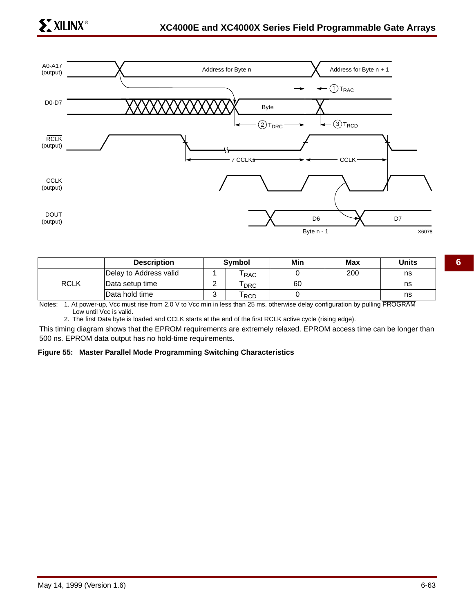

|             | <b>Description</b>     | Symbol     | Min | Max | Units |
|-------------|------------------------|------------|-----|-----|-------|
|             | Delay to Address valid | <b>RAC</b> |     | 200 | ns    |
| <b>RCLK</b> | Data setup time        | <b>DRC</b> | 60  |     | ns    |
|             | Data hold time         | <b>RCD</b> |     |     | ns    |

Notes: 1. At power-up, Vcc must rise from 2.0 V to Vcc min in less than 25 ms, otherwise delay configuration by pulling PROGRAM Low until Vcc is valid.

2. The first Data byte is loaded and CCLK starts at the end of the first RCLK active cycle (rising edge).

This timing diagram shows that the EPROM requirements are extremely relaxed. EPROM access time can be longer than 500 ns. EPROM data output has no hold-time requirements.

#### **Figure 55: Master Parallel Mode Programming Switching Characteristics**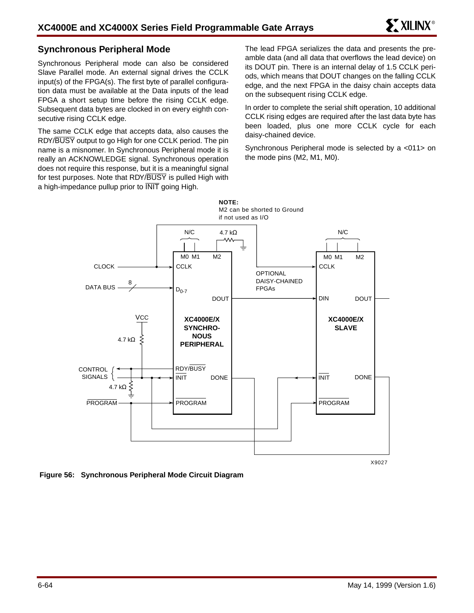## **Synchronous Peripheral Mode**

Synchronous Peripheral mode can also be considered Slave Parallel mode. An external signal drives the CCLK input(s) of the FPGA(s). The first byte of parallel configuration data must be available at the Data inputs of the lead FPGA a short setup time before the rising CCLK edge. Subsequent data bytes are clocked in on every eighth consecutive rising CCLK edge.

The same CCLK edge that accepts data, also causes the RDY/BUSY output to go High for one CCLK period. The pin name is a misnomer. In Synchronous Peripheral mode it is really an ACKNOWLEDGE signal. Synchronous operation does not require this response, but it is a meaningful signal for test purposes. Note that RDY/BUSY is pulled High with a high-impedance pullup prior to INIT going High.

The lead FPGA serializes the data and presents the preamble data (and all data that overflows the lead device) on its DOUT pin. There is an internal delay of 1.5 CCLK periods, which means that DOUT changes on the falling CCLK edge, and the next FPGA in the daisy chain accepts data on the subsequent rising CCLK edge.

In order to complete the serial shift operation, 10 additional CCLK rising edges are required after the last data byte has been loaded, plus one more CCLK cycle for each daisy-chained device.

Synchronous Peripheral mode is selected by a <011> on the mode pins (M2, M1, M0).



**Figure 56: Synchronous Peripheral Mode Circuit Diagram**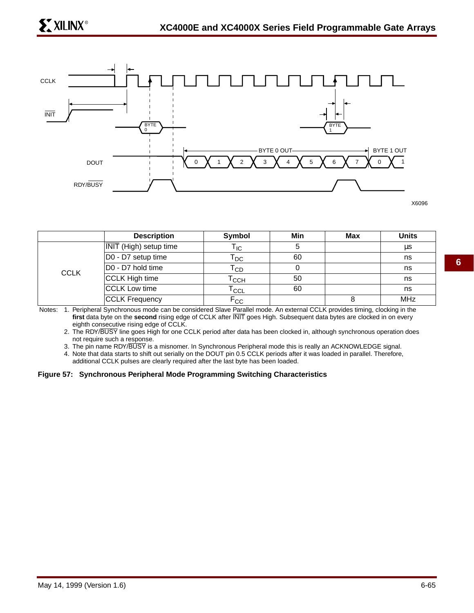

X6096

|             | <b>Description</b>            | Symbol                     | Min | Max | <b>Units</b> |
|-------------|-------------------------------|----------------------------|-----|-----|--------------|
|             | <b>INIT</b> (High) setup time | l IC.                      |     |     | μs           |
|             | D0 - D7 setup time            | <b>DC</b>                  | 60  |     | ns           |
| <b>CCLK</b> | D0 - D7 hold time             | $\mathsf{T}_{\mathsf{CD}}$ |     |     | ns           |
|             | CCLK High time                | <b>CCH</b>                 | 50  |     | ns           |
|             | CCLK Low time                 | $\overline{\text{ccl}}$    | 60  |     | ns           |
|             | <b>CCLK Frequency</b>         | $\mathsf{F}_{\texttt{CC}}$ |     |     | <b>MHz</b>   |

Notes: 1. Peripheral Synchronous mode can be considered Slave Parallel mode. An external CCLK provides timing, clocking in the **first** data byte on the **second** rising edge of CCLK after INIT goes High. Subsequent data bytes are clocked in on every eighth consecutive rising edge of CCLK.

2. The RDY/BUSY line goes High for one CCLK period after data has been clocked in, although synchronous operation does not require such a response.

3. The pin name RDY/BUSY is a misnomer. In Synchronous Peripheral mode this is really an ACKNOWLEDGE signal.

4. Note that data starts to shift out serially on the DOUT pin 0.5 CCLK periods after it was loaded in parallel. Therefore, additional CCLK pulses are clearly required after the last byte has been loaded.

#### **Figure 57: Synchronous Peripheral Mode Programming Switching Characteristics**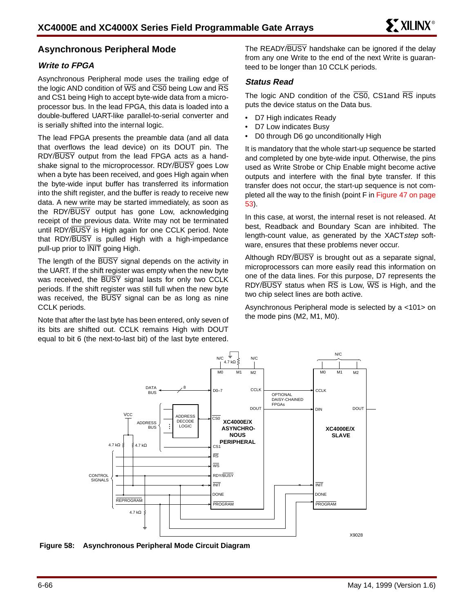## **Asynchronous Peripheral Mode**

## **Write to FPGA**

Asynchronous Peripheral mode uses the trailing edge of the logic AND condition of  $\overline{WS}$  and  $\overline{CS0}$  being Low and  $\overline{RS}$ and CS1 being High to accept byte-wide data from a microprocessor bus. In the lead FPGA, this data is loaded into a double-buffered UART-like parallel-to-serial converter and is serially shifted into the internal logic.

The lead FPGA presents the preamble data (and all data that overflows the lead device) on its DOUT pin. The RDY/BUSY output from the lead FPGA acts as a handshake signal to the microprocessor. RDY/BUSY goes Low when a byte has been received, and goes High again when the byte-wide input buffer has transferred its information into the shift register, and the buffer is ready to receive new data. A new write may be started immediately, as soon as the RDY/BUSY output has gone Low, acknowledging receipt of the previous data. Write may not be terminated until RDY/BUSY is High again for one CCLK period. Note that RDY/BUSY is pulled High with a high-impedance pull-up prior to INIT going High.

The length of the BUSY signal depends on the activity in the UART. If the shift register was empty when the new byte was received, the BUSY signal lasts for only two CCLK periods. If the shift register was still full when the new byte was received, the BUSY signal can be as long as nine CCLK periods.

Note that after the last byte has been entered, only seven of its bits are shifted out. CCLK remains High with DOUT equal to bit 6 (the next-to-last bit) of the last byte entered. The READY/BUSY handshake can be ignored if the delay from any one Write to the end of the next Write is guaranteed to be longer than 10 CCLK periods.

### **Status Read**

The logic AND condition of the CS0, CS1and RS inputs puts the device status on the Data bus.

- D7 High indicates Ready
- D7 Low indicates Busy
- D0 through D6 go unconditionally High

It is mandatory that the whole start-up sequence be started and completed by one byte-wide input. Otherwise, the pins used as Write Strobe or Chip Enable might become active outputs and interfere with the final byte transfer. If this transfer does not occur, the start-up sequence is not completed all the way to the finish (point F in Figure 47 on page 53).

In this case, at worst, the internal reset is not released. At best, Readback and Boundary Scan are inhibited. The length-count value, as generated by the XACTstep software, ensures that these problems never occur.

Although RDY/BUSY is brought out as a separate signal, microprocessors can more easily read this information on one of the data lines. For this purpose, D7 represents the RDY/BUSY status when RS is Low, WS is High, and the two chip select lines are both active.

Asynchronous Peripheral mode is selected by a <101> on the mode pins (M2, M1, M0).



**Figure 58: Asynchronous Peripheral Mode Circuit Diagram**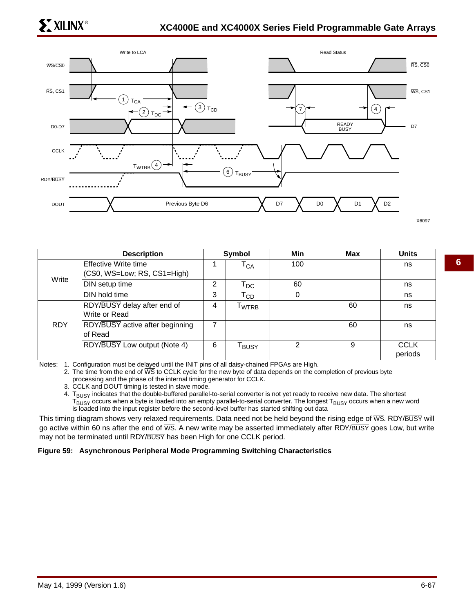

|            | <b>Description</b>                                                                         |   | Symbol                       | Min | <b>Max</b> | <b>Units</b>           |
|------------|--------------------------------------------------------------------------------------------|---|------------------------------|-----|------------|------------------------|
|            | Effective Write time<br>$(\overline{CS0}, \overline{WS}$ =Low; $\overline{RS}$ , CS1=High) |   | $\mathsf{T}_{\mathsf{CA}}$   | 100 |            | ns                     |
| Write      | DIN setup time                                                                             | 2 | $\mathsf{T}_{\mathsf{DC}}$   | 60  |            | ns                     |
|            | DIN hold time                                                                              | 3 | $\mathsf{T}_{\mathsf{CD}}$   |     |            | ns                     |
|            | RDY/BUSY delay after end of<br>Write or Read                                               | 4 | $\mathsf{T}_{\mathsf{WTRB}}$ |     | 60         | ns                     |
| <b>RDY</b> | <b>RDY/BUSY</b> active after beginning<br>of Read                                          | 7 |                              |     | 60         | ns                     |
|            | RDY/BUSY Low output (Note 4)                                                               | 6 | $\mathsf{T}_{\mathsf{BUSY}}$ | っ   | 9          | <b>CCLK</b><br>periods |

Notes: 1. Configuration must be delayed until the INIT pins of all daisy-chained FPGAs are High.

2. The time from the end of WS to CCLK cycle for the new byte of data depends on the completion of previous byte processing and the phase of the internal timing generator for CCLK.

3. CCLK and DOUT timing is tested in slave mode.

4. T<sub>BUSY</sub> indicates that the double-buffered parallel-to-serial converter is not yet ready to receive new data. The shortest  $T_{\text{BUS}}$  occurs when a byte is loaded into an empty parallel-to-serial converter. The longest  $T_{\text{BUS}}$  occurs when a new word is loaded into the input register before the second-level buffer has started shifting out data

This timing diagram shows very relaxed requirements. Data need not be held beyond the rising edge of WS. RDY/BUSY will go active within 60 ns after the end of  $\overline{WS}$ . A new write may be asserted immediately after RDY/BUSY goes Low, but write may not be terminated until RDY/BUSY has been High for one CCLK period.

#### **Figure 59: Asynchronous Peripheral Mode Programming Switching Characteristics**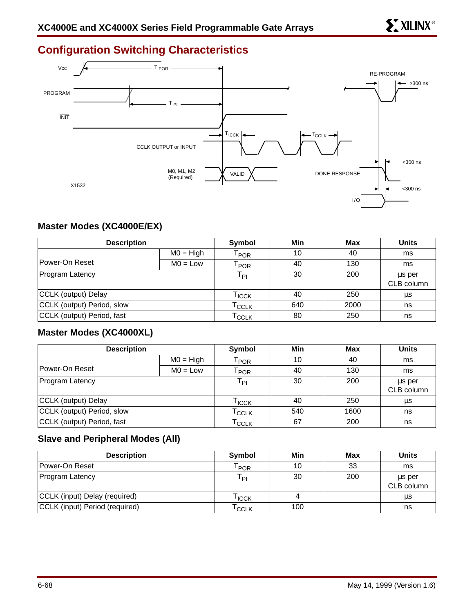# **Configuration Switching Characteristics**



## **Master Modes (XC4000E/EX)**

| <b>Description</b>         |             | Symbol                      | Min | Max  | <b>Units</b> |
|----------------------------|-------------|-----------------------------|-----|------|--------------|
|                            | $MO = High$ | $\mathsf{T}_{\mathsf{POR}}$ | 10  | 40   | ms           |
| Power-On Reset             | $MO = Low$  | $\mathsf{T}_{\mathsf{POR}}$ | 40  | 130  | ms           |
| Program Latency            |             | $T_{\sf PI}$                | 30  | 200  | us per       |
|                            |             |                             |     |      | CLB column   |
| CCLK (output) Delay        |             | Гісск                       | 40  | 250  | μs           |
| CCLK (output) Period, slow |             | I CCLK                      | 640 | 2000 | ns           |
| CCLK (output) Period, fast |             | I CCLK                      | 80  | 250  | ns           |

## **Master Modes (XC4000XL)**

| <b>Description</b>         |             | Symbol                       | Min | Max  | <b>Units</b> |
|----------------------------|-------------|------------------------------|-----|------|--------------|
|                            | $MO = High$ | $\mathsf{T}_{\mathsf{POR}}$  | 10  | 40   | ms           |
| Power-On Reset             | $MO = Low$  | $\mathsf{r}_\mathsf{POR}$    | 40  | 130  | ms           |
| Program Latency            |             | $T_{\mathsf{PI}}$            | 30  | 200  | us per       |
|                            |             |                              |     |      | CLB column   |
| CCLK (output) Delay        |             | $\mathsf{T}_{\mathsf{ICCK}}$ | 40  | 250  | μs           |
| CCLK (output) Period, slow |             | $\mathsf{T}_{\mathsf{CCLK}}$ | 540 | 1600 | ns           |
| CCLK (output) Period, fast |             | $\mathsf{T}_{\mathsf{CCLK}}$ | 67  | 200  | ns           |

## **Slave and Peripheral Modes (All)**

| <b>Description</b>             | <b>Symbol</b>   | Min | Max | <b>Units</b>         |
|--------------------------------|-----------------|-----|-----|----------------------|
| <b>Power-On Reset</b>          | POR             | 10  | 33  | ms                   |
| <b>Program Latency</b>         | T <sub>PI</sub> | 30  | 200 | us per<br>CLB column |
| CCLK (input) Delay (required)  | <b>ICCK</b>     | 4   |     | μs                   |
| CCLK (input) Period (required) | <b>CCLK</b>     | 100 |     | ns                   |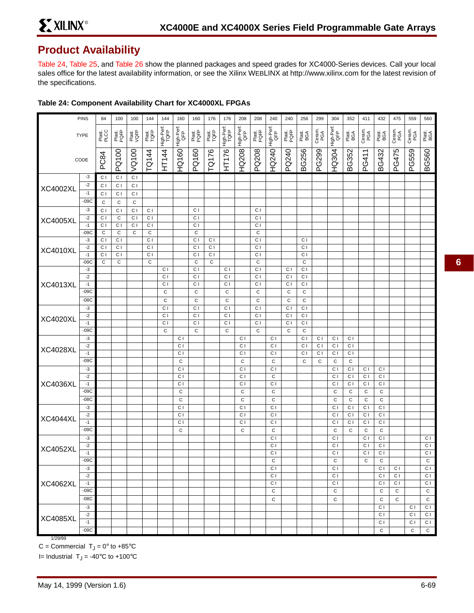## **Product Availability**

Table 24, Table 25, and Table 26 show the planned packages and speed grades for XC4000-Series devices. Call your local sales office for the latest availability information, or see the Xilinx WEBLINX at http://www.xilinx.com for the latest revision of the specifications.

|                 | <b>PINS</b>    | 84                               | 100                           | 100            | 144                           | 144                | 160                              | 160                           | 176                            | 176                | 208                              | 208                           | 240                              | 240            | 256                           | 299            | 304                              | 352                   | 411                   | 432                              | 475                              | 559            | 560           |
|-----------------|----------------|----------------------------------|-------------------------------|----------------|-------------------------------|--------------------|----------------------------------|-------------------------------|--------------------------------|--------------------|----------------------------------|-------------------------------|----------------------------------|----------------|-------------------------------|----------------|----------------------------------|-----------------------|-----------------------|----------------------------------|----------------------------------|----------------|---------------|
|                 | <b>TYPE</b>    | Plast.<br>PLCC                   | Plast.<br>PQFP                | Plast.<br>VQFP | Plast.<br>TQFP                | High-Perf.<br>TQFP | High-Perf.<br>QFP                | Plast.<br>PQFP                | Plast.<br>TQFP                 | High-Perf.<br>TQFP | High-Perf.<br>QFP                | Plast.<br>PQFP                | High-Perf.<br>QFP                | Plast.<br>PQFP | Plast.<br>BGA                 | Ceram.<br>PGA  | High-Perf.                       | Plast.<br>BGA         | Ceram.<br>PGA         | Plast.<br>BGA                    | Ceram.<br>PGA                    | Ceram.<br>PGA  | Plast.<br>BGA |
|                 | CODE           | PC84                             | PQ100                         | VQ100          | TQ144                         | <b>HT144</b>       | <b>HQ160</b>                     | PQ160                         | TQ176                          | HT176              | HQ208                            | PQ208                         | HQ240                            | PQ240          | <b>BG256</b>                  | PG299          | <b>HQ304</b>                     | BG352                 | PG411                 | BG432                            | PG475                            | PG559          | <b>BG560</b>  |
|                 |                |                                  |                               |                |                               |                    |                                  |                               |                                |                    |                                  |                               |                                  |                |                               |                |                                  |                       |                       |                                  |                                  |                |               |
|                 | $-3$<br>$-2$   | C <sub>1</sub>                   | C <sub>1</sub>                | C <sub>1</sub> |                               |                    |                                  |                               |                                |                    |                                  |                               |                                  |                |                               |                |                                  |                       |                       |                                  |                                  |                |               |
| <b>XC4002XL</b> | $-1$           | C <sub>1</sub><br>C <sub>1</sub> | C I<br>C <sub>1</sub>         | C I<br>C I     |                               |                    |                                  |                               |                                |                    |                                  |                               |                                  |                |                               |                |                                  |                       |                       |                                  |                                  |                |               |
|                 | $-09C$         | $\mathsf C$                      | С                             | $\mathbf C$    |                               |                    |                                  |                               |                                |                    |                                  |                               |                                  |                |                               |                |                                  |                       |                       |                                  |                                  |                |               |
|                 | $-3$           | C <sub>1</sub>                   | C <sub>1</sub>                | C <sub>1</sub> | C I                           |                    |                                  | C <sub>1</sub>                |                                |                    |                                  | C I                           |                                  |                |                               |                |                                  |                       |                       |                                  |                                  |                |               |
|                 | $-2$           | $\overline{C}$                   | $\mathbf C$                   | C I            | C <sub>1</sub>                |                    |                                  | C I                           |                                |                    |                                  | C <sub>1</sub>                |                                  |                |                               |                |                                  |                       |                       |                                  |                                  |                |               |
| <b>XC4005XL</b> | $-1$           | C <sub>1</sub>                   | C <sub>1</sub>                | C I            | C I                           |                    |                                  | C <sub>1</sub>                |                                |                    |                                  | C <sub>1</sub>                |                                  |                |                               |                |                                  |                       |                       |                                  |                                  |                |               |
|                 | $-09C$         | $\mathbf C$                      | C                             | C              | C                             |                    |                                  | C                             |                                |                    |                                  | C                             |                                  |                |                               |                |                                  |                       |                       |                                  |                                  |                |               |
|                 | $-3$           | C <sub>1</sub>                   | C <sub>1</sub>                |                | C <sub>1</sub>                |                    |                                  | C <sub>1</sub>                | C <sub>1</sub>                 |                    |                                  | C <sub>1</sub>                |                                  |                | C I                           |                |                                  |                       |                       |                                  |                                  |                |               |
| <b>XC4010XL</b> | $-2$           | C <sub>1</sub>                   | C <sub>1</sub>                |                | C <sub>1</sub>                |                    |                                  | C I                           | $\overline{C}$                 |                    |                                  | C <sub>1</sub>                |                                  |                | C <sub>1</sub>                |                |                                  |                       |                       |                                  |                                  |                |               |
|                 | $-1$<br>$-09C$ | C I<br>$\mathbf C$               | C <sub>1</sub><br>$\mathbf C$ |                | C <sub>1</sub><br>$\mathbf C$ |                    |                                  | C <sub>1</sub><br>$\mathbf C$ | C <sub>1</sub><br>$\mathsf{C}$ |                    |                                  | C <sub>1</sub><br>$\mathbf C$ |                                  |                | C <sub>1</sub><br>$\mathbf C$ |                |                                  |                       |                       |                                  |                                  |                |               |
|                 | $-3$           |                                  |                               |                |                               | C <sub>1</sub>     |                                  | C <sub>1</sub>                |                                | C I                |                                  | C <sub>1</sub>                |                                  | C <sub>1</sub> | C I                           |                |                                  |                       |                       |                                  |                                  |                |               |
|                 | $-2$           |                                  |                               |                |                               | C <sub>1</sub>     |                                  | C <sub>1</sub>                |                                | C I                |                                  | C <sub>1</sub>                |                                  | C <sub>1</sub> | C I                           |                |                                  |                       |                       |                                  |                                  |                |               |
| <b>XC4013XL</b> | $-1$           |                                  |                               |                |                               | $\overline{C}$     |                                  | $\overline{C}$                |                                | C <sub>1</sub>     |                                  | C <sub>1</sub>                |                                  | C <sub>1</sub> | СI                            |                |                                  |                       |                       |                                  |                                  |                |               |
|                 | $-09C$         |                                  |                               |                |                               | $\mathsf C$        |                                  | $\mathbf C$                   |                                | $\mathsf{C}$       |                                  | C                             |                                  | C              | $\mathsf C$                   |                |                                  |                       |                       |                                  |                                  |                |               |
|                 | $-08C$         |                                  |                               |                |                               | $\mathsf C$        |                                  | $\mathbf C$                   |                                | $\mathbf C$        |                                  | $\mathbf C$                   |                                  | $\mathsf C$    | $\mathsf C$                   |                |                                  |                       |                       |                                  |                                  |                |               |
|                 | $-3$           |                                  |                               |                |                               | C <sub>1</sub>     |                                  | C <sub>1</sub>                |                                | C <sub>1</sub>     |                                  | C <sub>1</sub>                |                                  | C <sub>1</sub> | C I                           |                |                                  |                       |                       |                                  |                                  |                |               |
| <b>XC4020XL</b> | $-2$           |                                  |                               |                |                               | C <sub>1</sub>     |                                  | C <sub>1</sub>                |                                | C I                |                                  | C <sub>1</sub>                |                                  | C <sub>1</sub> | C I                           |                |                                  |                       |                       |                                  |                                  |                |               |
|                 | $-1$<br>$-09C$ |                                  |                               |                |                               | C <sub>1</sub>     |                                  | C <sub>1</sub>                |                                | C I                |                                  | C <sub>1</sub>                |                                  | C <sub>1</sub> | C I                           |                |                                  |                       |                       |                                  |                                  |                |               |
|                 | $-3$           |                                  |                               |                |                               | $\mathsf C$        | C <sub>1</sub>                   | $\mathbf C$                   |                                | $\mathbf C$        | C <sub>1</sub>                   | C                             | C <sub>1</sub>                   | C              | C<br>C <sub>1</sub>           | C <sub>1</sub> | C <sub>1</sub>                   | C I                   |                       |                                  |                                  |                |               |
|                 | $-2$           |                                  |                               |                |                               |                    | C <sub>1</sub>                   |                               |                                |                    | C <sub>1</sub>                   |                               | C <sub>1</sub>                   |                | C <sub>1</sub>                | C <sub>1</sub> | C <sub>1</sub>                   | C <sub>1</sub>        |                       |                                  |                                  |                |               |
| <b>XC4028XL</b> | $-1$           |                                  |                               |                |                               |                    | C <sub>1</sub>                   |                               |                                |                    | C <sub>1</sub>                   |                               | C <sub>1</sub>                   |                | C <sub>1</sub>                | C I            | C <sub>1</sub>                   | C I                   |                       |                                  |                                  |                |               |
|                 | $-09C$         |                                  |                               |                |                               |                    | $\mathbf C$                      |                               |                                |                    | $\mathsf{C}$                     |                               | $\mathsf C$                      |                | C                             | С              | $\mathsf C$                      | C                     |                       |                                  |                                  |                |               |
|                 | $-3$           |                                  |                               |                |                               |                    | $\overline{c}$                   |                               |                                |                    | C <sub>1</sub>                   |                               | C <sub>1</sub>                   |                |                               |                | C <sub>1</sub>                   | C <sub>1</sub>        | $\overline{c}$        | C <sub>1</sub>                   |                                  |                |               |
|                 | $-2$           |                                  |                               |                |                               |                    | C <sub>1</sub>                   |                               |                                |                    | C <sub>1</sub>                   |                               | $\mathbf C$                      |                |                               |                | C <sub>1</sub>                   | C I                   | C <sub>1</sub>        | C <sub>1</sub>                   |                                  |                |               |
| <b>XC4036XL</b> | $-1$           |                                  |                               |                |                               |                    | C <sub>1</sub>                   |                               |                                |                    | C <sub>1</sub>                   |                               | $\overline{c}$                   |                |                               |                | C <sub>1</sub>                   | C <sub>1</sub>        | C I                   | C <sub>1</sub>                   |                                  |                |               |
|                 | $-09C$         |                                  |                               |                |                               |                    | $\mathbf C$                      |                               |                                |                    | $\mathsf{C}$                     |                               | $\mathbf C$                      |                |                               |                | C                                | C                     | C                     | $\mathbf C$                      |                                  |                |               |
|                 | $-08C$         |                                  |                               |                |                               |                    | $\mathsf C$                      |                               |                                |                    | $\mathsf{C}$                     |                               | $\mathbf C$                      |                |                               |                | C                                | $\mathbf C$           | $\mathbf C$           | $\mathbf C$                      |                                  |                |               |
|                 | $-3$<br>$-2$   |                                  |                               |                |                               |                    | C <sub>1</sub><br>C <sub>1</sub> |                               |                                |                    | C <sub>1</sub><br>C <sub>1</sub> |                               | C <sub>1</sub><br>C <sub>1</sub> |                |                               |                | C <sub>1</sub><br>C <sub>1</sub> | C <sub>1</sub><br>C I | C <sub>1</sub><br>C I | C <sub>1</sub><br>C <sub>1</sub> |                                  |                |               |
| <b>XC4044XL</b> | $-1$           |                                  |                               |                |                               |                    | C <sub>1</sub>                   |                               |                                |                    | C <sub>1</sub>                   |                               | C <sub>1</sub>                   |                |                               |                | C I                              | C <sub>1</sub>        | $\overline{C}$        | C <sub>1</sub>                   |                                  |                |               |
|                 | $-09C$         |                                  |                               |                |                               |                    | $\mathsf C$                      |                               |                                |                    | $\mathbf C$                      |                               | $\mathsf C$                      |                |                               |                | $\mathbf C$                      | C                     | $\mathbf C$           | $\mathbf C$                      |                                  |                |               |
|                 | $-3$           |                                  |                               |                |                               |                    |                                  |                               |                                |                    |                                  |                               | C <sub>1</sub>                   |                |                               |                | C <sub>1</sub>                   |                       | C <sub>1</sub>        | C <sub>1</sub>                   |                                  |                | C I           |
| <b>XC4052XL</b> | $-2$           |                                  |                               |                |                               |                    |                                  |                               |                                |                    |                                  |                               | C <sub>1</sub>                   |                |                               |                | C <sub>1</sub>                   |                       | C I                   | C <sub>1</sub>                   |                                  |                | C I           |
|                 | $-1$           |                                  |                               |                |                               |                    |                                  |                               |                                |                    |                                  |                               | C <sub>1</sub>                   |                |                               |                | C I                              |                       | C <sub>1</sub>        | C <sub>1</sub>                   |                                  |                | C I           |
|                 | $-09C$         |                                  |                               |                |                               |                    |                                  |                               |                                |                    |                                  |                               | С                                |                |                               |                | С                                |                       | С                     | С                                |                                  |                | С             |
|                 | $-3$<br>$-2$   |                                  |                               |                |                               |                    |                                  |                               |                                |                    |                                  |                               | C <sub>1</sub><br>C <sub>1</sub> |                |                               |                | C <sub>1</sub><br>C <sub>1</sub> |                       |                       | C I<br>C <sub>1</sub>            | C <sub>1</sub><br>C <sub>1</sub> |                | C I<br>C I    |
| <b>XC4062XL</b> | $-1$           |                                  |                               |                |                               |                    |                                  |                               |                                |                    |                                  |                               | C <sub>1</sub>                   |                |                               |                | C <sub>1</sub>                   |                       |                       | C <sub>1</sub>                   | C <sub>1</sub>                   |                | C I           |
|                 | $-09C$         |                                  |                               |                |                               |                    |                                  |                               |                                |                    |                                  |                               | $\mathbf C$                      |                |                               |                | $\mathsf C$                      |                       |                       | $\mathbf C$                      | $\mathsf{C}$                     |                | C             |
|                 | $-08C$         |                                  |                               |                |                               |                    |                                  |                               |                                |                    |                                  |                               | $\mathbf C$                      |                |                               |                | $\mathbf C$                      |                       |                       | $\mathbf C$                      | $\mathbf C$                      |                | $\mathbf C$   |
|                 | $-3$           |                                  |                               |                |                               |                    |                                  |                               |                                |                    |                                  |                               |                                  |                |                               |                |                                  |                       |                       | C <sub>1</sub>                   |                                  | C I            | C I           |
| <b>XC4085XL</b> | $-2$           |                                  |                               |                |                               |                    |                                  |                               |                                |                    |                                  |                               |                                  |                |                               |                |                                  |                       |                       | C <sub>1</sub>                   |                                  | C <sub>1</sub> | C I           |
|                 | $-1$           |                                  |                               |                |                               |                    |                                  |                               |                                |                    |                                  |                               |                                  |                |                               |                |                                  |                       |                       | C <sub>1</sub>                   |                                  | C <sub>1</sub> | СI            |
|                 | $-09C$         |                                  |                               |                |                               |                    |                                  |                               |                                |                    |                                  |                               |                                  |                |                               |                |                                  |                       |                       | $\mathbf C$                      |                                  | C              | C             |
| 1/29/99         |                |                                  |                               |                |                               |                    |                                  |                               |                                |                    |                                  |                               |                                  |                |                               |                |                                  |                       |                       |                                  |                                  |                |               |

## **Table 24: Component Availability Chart for XC4000XL FPGAs**

C = Commercial  $T_J = 0^\circ$  to +85°C

I= Industrial  $T_J = -40$ °C to +100°C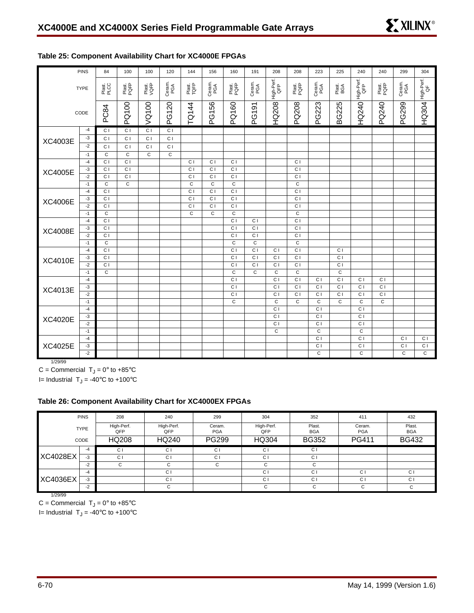|                | <b>PINS</b>  | 84             | 100            | 100            | 120            | 144            | 156            | 160            | 191            | 208                           | 208            | 223                              | 225            | 240                           | 240            | 299            | 304              |
|----------------|--------------|----------------|----------------|----------------|----------------|----------------|----------------|----------------|----------------|-------------------------------|----------------|----------------------------------|----------------|-------------------------------|----------------|----------------|------------------|
|                | <b>TYPE</b>  | Plast.<br>PLCC | Plast.<br>PQFP | Plast.<br>VQFP | Ceram.<br>PGA  | Plast.<br>TQFP | Ceram.<br>PGA  | Plast.<br>PQFP | Ceram.<br>PGA  | High-Perf.<br>QFP             | Plast.<br>PQFP | Ceram.<br>PGA                    | Plast.<br>BGA  | High-Perf.<br>QFP             | Plast.<br>PQFP | Ceram.<br>PGA  | High-Perf.<br>QF |
|                | CODE         | PC84           | PQ100          | VQ100          | PG120          | TQ144          | PG156          | PQ160          | PG191          | <b>HQ208</b>                  | PQ208          | PG223                            | <b>BG225</b>   | <b>HQ240</b>                  | PQ240          | PG299          | <b>HQ304</b>     |
|                | $-4$         | C <sub>1</sub> | C <sub>1</sub> | C <sub>1</sub> | C <sub>1</sub> |                |                |                |                |                               |                |                                  |                |                               |                |                |                  |
| XC4003E        | -3           | C I            | C <sub>1</sub> | C <sub>1</sub> | C <sub>1</sub> |                |                |                |                |                               |                |                                  |                |                               |                |                |                  |
|                | $-2$         | C <sub>1</sub> | C I            | C I            | C <sub>1</sub> |                |                |                |                |                               |                |                                  |                |                               |                |                |                  |
|                | $-1$         | C              | $\mathsf{C}$   | $\mathsf{C}$   | $\mathbf C$    |                |                |                |                |                               |                |                                  |                |                               |                |                |                  |
|                | $-4$         | C <sub>1</sub> | C <sub>1</sub> |                |                | C <sub>1</sub> | C <sub>1</sub> | C <sub>1</sub> |                |                               | C <sub>1</sub> |                                  |                |                               |                |                |                  |
| XC4005E        | $-3$         | C <sub>1</sub> | C1             |                |                | $\overline{c}$ | $\overline{C}$ | C1             |                |                               | $\overline{c}$ |                                  |                |                               |                |                |                  |
|                | $-2$         | C <sub>1</sub> | $\overline{c}$ |                |                | $\overline{c}$ | $\overline{c}$ | $\overline{C}$ |                |                               | $\overline{c}$ |                                  |                |                               |                |                |                  |
|                | $-1$         | C              | $\overline{C}$ |                |                | C              | C              | $\overline{C}$ |                |                               | $\overline{c}$ |                                  |                |                               |                |                |                  |
|                | $-4$         | C <sub>1</sub> |                |                |                | C <sub>1</sub> | C <sub>1</sub> | C <sub>1</sub> |                |                               | C <sub>1</sub> |                                  |                |                               |                |                |                  |
| <b>XC4006E</b> | $-3$         | C <sub>1</sub> |                |                |                | C <sub>1</sub> | C <sub>1</sub> | $\overline{c}$ |                |                               | C <sub>1</sub> |                                  |                |                               |                |                |                  |
|                | $-2$         | C <sub>1</sub> |                |                |                | C <sub>1</sub> | C <sub>1</sub> | C <sub>1</sub> |                |                               | C <sub>1</sub> |                                  |                |                               |                |                |                  |
|                | $-1$         | $\mathsf{C}$   |                |                |                | $\mathbf C$    | $\mathbf C$    | $\mathbf C$    |                |                               | $\mathbf C$    |                                  |                |                               |                |                |                  |
|                | $-4$         | C I            |                |                |                |                |                | C <sub>1</sub> | C <sub>1</sub> |                               | $\overline{c}$ |                                  |                |                               |                |                |                  |
| <b>XC4008E</b> | $-3$         | C I            |                |                |                |                |                | C <sub>1</sub> | C <sub>1</sub> |                               | C <sub>1</sub> |                                  |                |                               |                |                |                  |
|                | $-2$         | C <sub>1</sub> |                |                |                |                |                | C <sub>1</sub> | C <sub>1</sub> |                               | C <sub>1</sub> |                                  |                |                               |                |                |                  |
|                | $-1$         | C              |                |                |                |                |                | C              | C              |                               | C              |                                  |                |                               |                |                |                  |
|                | $-4$         | C <sub>1</sub> |                |                |                |                |                | C <sub>1</sub> | C <sub>1</sub> | C <sub>1</sub>                | C <sub>1</sub> |                                  | C <sub>1</sub> |                               |                |                |                  |
| XC4010E        | $-3$         | C <sub>1</sub> |                |                |                |                |                | $\overline{c}$ | $\overline{c}$ | $\overline{c}$                | $\overline{c}$ |                                  | $\overline{C}$ |                               |                |                |                  |
|                | $-2$         | C <sub>1</sub> |                |                |                |                |                | C I            | C I            | C <sub>1</sub>                | $\overline{C}$ |                                  | C1             |                               |                |                |                  |
|                | $-1$         | $\mathbf C$    |                |                |                |                |                | $\mathbf C$    | $\mathbf C$    | C                             | $\mathbf C$    |                                  | $\mathbf C$    |                               |                |                |                  |
|                | $-4$         |                |                |                |                |                |                | C1             |                | C1                            | $\overline{C}$ | C1                               | C <sub>1</sub> | C1                            | C1             |                |                  |
| XC4013E        | $-3$         |                |                |                |                |                |                | C <sub>1</sub> |                | C <sub>1</sub>                | C <sub>1</sub> | C <sub>1</sub>                   | C <sub>1</sub> | C <sub>1</sub>                | C <sub>1</sub> |                |                  |
|                | $-2$         |                |                |                |                |                |                | C <sub>1</sub> |                | C <sub>1</sub>                | C <sub>1</sub> | C <sub>1</sub>                   | C <sub>1</sub> | C <sub>1</sub>                | C <sub>1</sub> |                |                  |
|                | $-1$         |                |                |                |                |                |                | $\overline{c}$ |                | $\mathbf C$<br>$\overline{c}$ | $\mathbf C$    | $\overline{c}$<br>$\overline{C}$ | $\mathbf C$    | $\mathbf C$<br>$\overline{C}$ | $\overline{c}$ |                |                  |
|                | $-4$         |                |                |                |                |                |                |                |                | $\overline{c}$                |                | $\overline{c}$                   |                | $\overline{c}$                |                |                |                  |
| <b>XC4020E</b> | $-3$<br>$-2$ |                |                |                |                |                |                |                |                | C <sub>1</sub>                |                | C <sub>1</sub>                   |                | C <sub>1</sub>                |                |                |                  |
|                | $-1$         |                |                |                |                |                |                |                |                | C                             |                | $\mathbf C$                      |                | $\mathbf C$                   |                |                |                  |
|                | $-4$         |                |                |                |                |                |                |                |                |                               |                | C <sub>1</sub>                   |                | C <sub>1</sub>                |                | C <sub>1</sub> | C <sub>1</sub>   |
| <b>XC4025E</b> | $-3$         |                |                |                |                |                |                |                |                |                               |                | C <sub>1</sub>                   |                | C <sub>1</sub>                |                | $\overline{c}$ | $\overline{c}$   |
|                | $-2$         |                |                |                |                |                |                |                |                |                               |                | $\mathsf{C}$                     |                | $\mathsf{C}$                  |                | $\mathsf{C}$   | $\mathbf C$      |
|                |              |                |                |                |                |                |                |                |                |                               |                |                                  |                |                               |                |                |                  |

## **Table 25: Component Availability Chart for XC4000E FPGAs**

1/29/99

 $C =$  Commercial  $T_J = 0^\circ$  to +85°C I= Industrial  $T_J = -40^{\circ}C$  to  $+100^{\circ}C$ 

## **Table 26: Component Availability Chart for XC4000EX FPGAs**

|                 | <b>PINS</b><br>208               |                | 240               | 299                  | 304               | 352                  | 411                  | 432                  |
|-----------------|----------------------------------|----------------|-------------------|----------------------|-------------------|----------------------|----------------------|----------------------|
|                 | High-Perf.<br><b>TYPE</b><br>OFP |                | High-Perf.<br>QFP | Ceram.<br><b>PGA</b> | High-Perf.<br>QFP | Plast.<br><b>BGA</b> | Ceram.<br><b>PGA</b> | Plast.<br><b>BGA</b> |
|                 | <b>HQ208</b><br>CODE             |                | HQ240             | PG299                | HQ304             | <b>BG352</b>         | PG411                | <b>BG432</b>         |
|                 | -4                               | C <sub>1</sub> | C <sub>1</sub>    | C <sub>1</sub>       | C <sub>1</sub>    | C <sub>1</sub>       |                      |                      |
| <b>XC4028EX</b> | $-3$                             | C <sub>1</sub> | C <sub>1</sub>    | C <sub>1</sub>       | C <sub>1</sub>    | C <sub>1</sub>       |                      |                      |
|                 | $-2$                             | C              | C                 | C                    | C                 | C                    |                      |                      |
|                 | $-4$                             |                | C <sub>1</sub>    |                      | C <sub>1</sub>    | C <sub>1</sub>       | C <sub>1</sub>       | C <sub>1</sub>       |
| <b>XC4036EX</b> | $-3$                             |                | C <sub>1</sub>    |                      | C I               | C <sub>1</sub>       | C <sub>1</sub>       | C <sub>1</sub>       |
|                 | $-2$                             |                | C                 |                      | C                 | C                    |                      | C                    |

1/29/99

C = Commercial  $T_J = 0^\circ$  to +85°C

I= Industrial  $T_J = -40$ °C to +100°C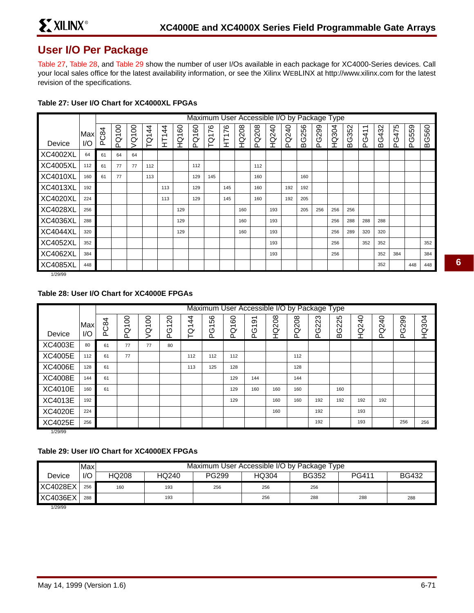## **User I/O Per Package**

Table 27, Table 28, and Table 29 show the number of user I/Os available in each package for XC4000-Series devices. Call your local sales office for the latest availability information, or see the Xilinx WEBLINX at http://www.xilinx.com for the latest revision of the specifications.

|                 |     |     | Maximum User Accessible I/O by Package Type |                |                 |                                        |                     |                                    |         |                                |              |          |       |      |          |          |              |          |                                 |                                 |          |          |              |
|-----------------|-----|-----|---------------------------------------------|----------------|-----------------|----------------------------------------|---------------------|------------------------------------|---------|--------------------------------|--------------|----------|-------|------|----------|----------|--------------|----------|---------------------------------|---------------------------------|----------|----------|--------------|
|                 | Max | C84 | PQ100                                       | 8<br>$\bar{S}$ | $\ddot{4}$<br>ğ | $\ddot{4}$<br>$\overline{\phantom{0}}$ | 8<br>$\overline{ }$ | 8<br>$\overline{\phantom{0}}$<br>Ø | 76<br>ğ | 76<br>$\overline{\phantom{0}}$ | <b>HQ208</b> | Q208     | HQ240 | Q240 | 256<br>O | 299<br>৩ | <b>HQ304</b> | 352<br>৩ | $\overline{\phantom{0}}$<br>G41 | $\mathcal{S}$<br>$\vec{A}$<br>ღ | 475<br>Ő | 559<br>ပ | <b>BG560</b> |
| Device          | I/O | ه   |                                             |                |                 | 보                                      | ğ                   | ã                                  |         | 보                              |              | $\Omega$ |       | ௳    | മ        | ൨        |              | ≃        | Ő.                              | മ                               | $\Omega$ | $\Omega$ |              |
| <b>XC4002XL</b> | 64  | 61  | 64                                          | 64             |                 |                                        |                     |                                    |         |                                |              |          |       |      |          |          |              |          |                                 |                                 |          |          |              |
| <b>XC4005XL</b> | 112 | 61  | 77                                          | 77             | 112             |                                        |                     | 112                                |         |                                |              | 112      |       |      |          |          |              |          |                                 |                                 |          |          |              |
| <b>XC4010XL</b> | 160 | 61  | 77                                          |                | 113             |                                        |                     | 129                                | 145     |                                |              | 160      |       |      | 160      |          |              |          |                                 |                                 |          |          |              |
| <b>XC4013XL</b> | 192 |     |                                             |                |                 | 113                                    |                     | 129                                |         | 145                            |              | 160      |       | 192  | 192      |          |              |          |                                 |                                 |          |          |              |
| <b>XC4020XL</b> | 224 |     |                                             |                |                 | 113                                    |                     | 129                                |         | 145                            |              | 160      |       | 192  | 205      |          |              |          |                                 |                                 |          |          |              |
| <b>XC4028XL</b> | 256 |     |                                             |                |                 |                                        | 129                 |                                    |         |                                | 160          |          | 193   |      | 205      | 256      | 256          | 256      |                                 |                                 |          |          |              |
| <b>XC4036XL</b> | 288 |     |                                             |                |                 |                                        | 129                 |                                    |         |                                | 160          |          | 193   |      |          |          | 256          | 288      | 288                             | 288                             |          |          |              |
| <b>XC4044XL</b> | 320 |     |                                             |                |                 |                                        | 129                 |                                    |         |                                | 160          |          | 193   |      |          |          | 256          | 289      | 320                             | 320                             |          |          |              |
| <b>XC4052XL</b> | 352 |     |                                             |                |                 |                                        |                     |                                    |         |                                |              |          | 193   |      |          |          | 256          |          | 352                             | 352                             |          |          | 352          |
| <b>XC4062XL</b> | 384 |     |                                             |                |                 |                                        |                     |                                    |         |                                |              |          | 193   |      |          |          | 256          |          |                                 | 352                             | 384      |          | 384          |
| <b>XC4085XL</b> | 448 |     |                                             |                |                 |                                        |                     |                                    |         |                                |              |          |       |      |          |          |              |          |                                 | 352                             |          | 448      | 448          |

#### **Table 27: User I/O Chart for XC4000XL FPGAs**

1/29/99

## **Table 28: User I/O Chart for XC4000E FPGAs**

|                          |     |                | Maximum User Accessible I/O by Package Type |                               |                               |     |                      |     |                                            |       |       |       |              |       |       |              |              |
|--------------------------|-----|----------------|---------------------------------------------|-------------------------------|-------------------------------|-----|----------------------|-----|--------------------------------------------|-------|-------|-------|--------------|-------|-------|--------------|--------------|
|                          | Max | 4<br><u>တွ</u> | 8<br>$\overline{\phantom{0}}$               | 8<br>$\overline{\phantom{0}}$ | ຊ<br>$\overline{\phantom{0}}$ | 4   | 99<br>$\overline{ }$ | 60  | $\overline{5}$<br>$\overline{\phantom{0}}$ | HQ208 | PQ208 | PG223 | <b>BG225</b> | HQ240 | PQ240 | <b>PG299</b> | <b>HQ304</b> |
| Device                   | 1/O |                | Ò<br>Ő.                                     | Ø                             | O<br>௳                        | ŗά  | Ó                    | ă   | Ó                                          |       |       |       |              |       |       |              |              |
| XC4003E                  | 80  | 61             | 77                                          | 77                            | 80                            |     |                      |     |                                            |       |       |       |              |       |       |              |              |
| <b>XC4005E</b>           | 112 | 61             | 77                                          |                               |                               | 112 | 112                  | 112 |                                            |       | 112   |       |              |       |       |              |              |
| <b>XC4006E</b>           | 128 | 61             |                                             |                               |                               | 113 | 125                  | 128 |                                            |       | 128   |       |              |       |       |              |              |
| <b>XC4008E</b>           | 144 | 61             |                                             |                               |                               |     |                      | 129 | 144                                        |       | 144   |       |              |       |       |              |              |
| <b>XC4010E</b>           | 160 | 61             |                                             |                               |                               |     |                      | 129 | 160                                        | 160   | 160   |       | 160          |       |       |              |              |
| XC4013E                  | 192 |                |                                             |                               |                               |     |                      | 129 |                                            | 160   | 160   | 192   | 192          | 192   | 192   |              |              |
| <b>XC4020E</b>           | 224 |                |                                             |                               |                               |     |                      |     |                                            | 160   |       | 192   |              | 193   |       |              |              |
| <b>XC4025E</b><br>110010 | 256 |                |                                             |                               |                               |     |                      |     |                                            |       |       | 192   |              | 193   |       | 256          | 256          |

1/29/99

### **Table 29: User I/O Chart for XC4000EX FPGAs**

|                 | Max | Maximum User Accessible I/O by Package Type |       |              |       |              |              |              |  |  |  |
|-----------------|-----|---------------------------------------------|-------|--------------|-------|--------------|--------------|--------------|--|--|--|
| Device          | I/O | HQ208                                       | HQ240 | <b>PG299</b> | HQ304 | <b>BG352</b> | <b>PG411</b> | <b>BG432</b> |  |  |  |
| <b>XC4028EX</b> | 256 | 160                                         | 193   | 256          | 256   | 256          |              |              |  |  |  |
| <b>XC4036EX</b> | 288 |                                             | 193   |              | 256   | 288          | 288          | 288          |  |  |  |

1/29/99